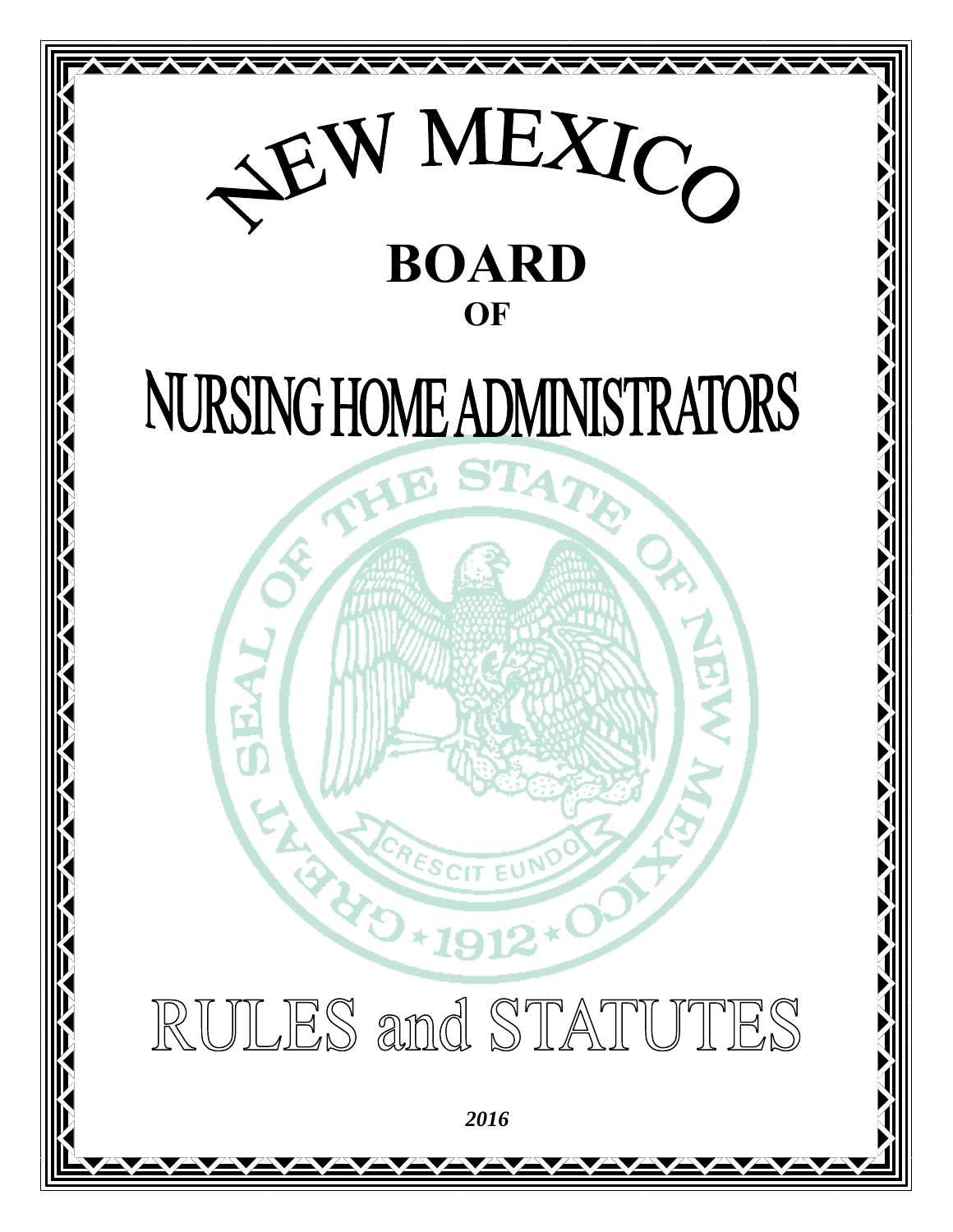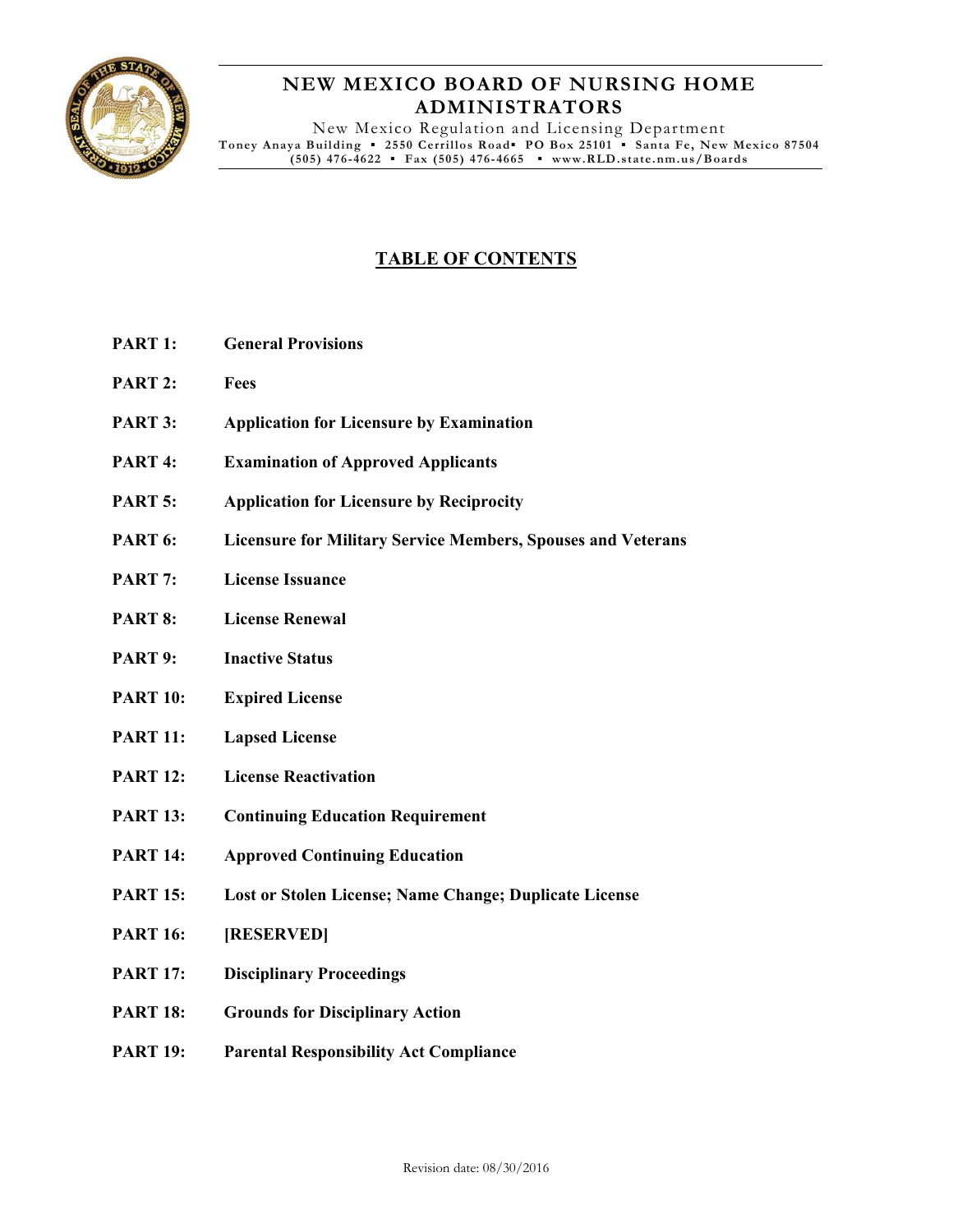

# **NEW MEXICO BOARD OF NURSING HOME ADMINISTRATORS**

New Mexico Regulation and Licensing Department **Toney Anaya Building ▪ 2550 Cerrillos Road▪ PO Box 25101 ▪ Santa Fe, New Mexico 87504 (505) 476-4622 ▪ Fax (505) 476-4665 ▪ www.RLD.state.nm.us/Boards**

# **TABLE OF CONTENTS**

- **PART 1: General Provisions**
- **PART 2: Fees**
- **PART 3: Application for Licensure by Examination**
- **PART 4: Examination of Approved Applicants**
- **PART 5: Application for Licensure by Reciprocity**
- **PART 6: Licensure for Military Service Members, Spouses and Veterans**
- **PART 7: License Issuance**
- **PART 8: License Renewal**
- **PART 9: Inactive Status**
- **PART 10: Expired License**
- **PART 11: Lapsed License**
- **PART 12: License Reactivation**
- **PART 13: Continuing Education Requirement**
- **PART 14: Approved Continuing Education**
- **PART 15: Lost or Stolen License; Name Change; Duplicate License**
- **PART 16: [RESERVED]**
- **PART 17: Disciplinary Proceedings**
- **PART 18: Grounds for Disciplinary Action**
- **PART 19: Parental Responsibility Act Compliance**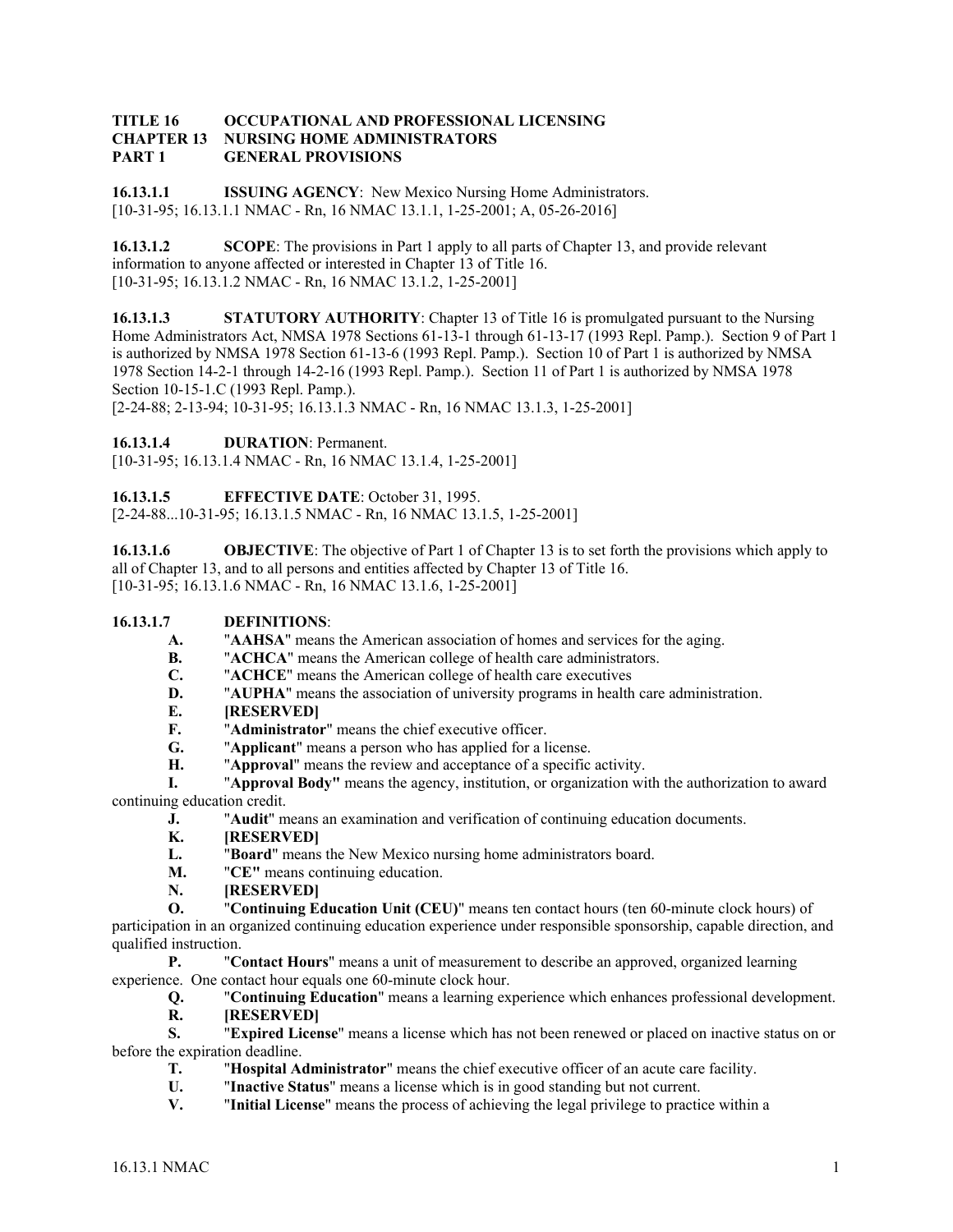#### **TITLE 16 OCCUPATIONAL AND PROFESSIONAL LICENSING CHAPTER 13 NURSING HOME ADMINISTRATORS PART 1 GENERAL PROVISIONS**

**16.13.1.1 ISSUING AGENCY:** New Mexico Nursing Home Administrators. [10-31-95; 16.13.1.1 NMAC - Rn, 16 NMAC 13.1.1, 1-25-2001; A, 05-26-2016]

**16.13.1.2 SCOPE:** The provisions in Part 1 apply to all parts of Chapter 13, and provide relevant information to anyone affected or interested in Chapter 13 of Title 16. [10-31-95; 16.13.1.2 NMAC - Rn, 16 NMAC 13.1.2, 1-25-2001]

**16.13.1.3** STATUTORY AUTHORITY: Chapter 13 of Title 16 is promulgated pursuant to the Nursing Home Administrators Act, NMSA 1978 Sections 61-13-1 through 61-13-17 (1993 Repl. Pamp.). Section 9 of Part 1 is authorized by NMSA 1978 Section 61-13-6 (1993 Repl. Pamp.). Section 10 of Part 1 is authorized by NMSA 1978 Section 14-2-1 through 14-2-16 (1993 Repl. Pamp.). Section 11 of Part 1 is authorized by NMSA 1978 Section 10-15-1.C (1993 Repl. Pamp.).

[2-24-88; 2-13-94; 10-31-95; 16.13.1.3 NMAC - Rn, 16 NMAC 13.1.3, 1-25-2001]

**16.13.1.4 DURATION**: Permanent.

[10-31-95; 16.13.1.4 NMAC - Rn, 16 NMAC 13.1.4, 1-25-2001]

**16.13.1.5 EFFECTIVE DATE**: October 31, 1995.

[2-24-88...10-31-95; 16.13.1.5 NMAC - Rn, 16 NMAC 13.1.5, 1-25-2001]

**16.13.1.6 OBJECTIVE:** The objective of Part 1 of Chapter 13 is to set forth the provisions which apply to all of Chapter 13, and to all persons and entities affected by Chapter 13 of Title 16. [10-31-95; 16.13.1.6 NMAC - Rn, 16 NMAC 13.1.6, 1-25-2001]

#### **16.13.1.7 DEFINITIONS**:

**A.** "**AAHSA**" means the American association of homes and services for the aging.

**B.** "**ACHCA**" means the American college of health care administrators.

**C.** "**ACHCE**" means the American college of health care executives

- **D.** "**AUPHA**" means the association of university programs in health care administration.
- **E. [RESERVED]**

**F.** "**Administrator**" means the chief executive officer.

**G.** "**Applicant**" means a person who has applied for a license.

**H.** "**Approval**" means the review and acceptance of a specific activity.

**I.** "**Approval Body"** means the agency, institution, or organization with the authorization to award continuing education credit.

**J.** "**Audit**" means an examination and verification of continuing education documents.

**K. [RESERVED]**

**L.** "**Board**" means the New Mexico nursing home administrators board.

- **M.** "**CE"** means continuing education.
- **N. [RESERVED]**

**O.** "**Continuing Education Unit (CEU)**" means ten contact hours (ten 60-minute clock hours) of participation in an organized continuing education experience under responsible sponsorship, capable direction, and qualified instruction.

**P.** "**Contact Hours**" means a unit of measurement to describe an approved, organized learning experience. One contact hour equals one 60-minute clock hour.

**Q.** "**Continuing Education**" means a learning experience which enhances professional development.

**R. [RESERVED]**

**S.** "**Expired License**" means a license which has not been renewed or placed on inactive status on or before the expiration deadline.

- **T.** "**Hospital Administrator**" means the chief executive officer of an acute care facility.
- **U.** "**Inactive Status**" means a license which is in good standing but not current.
- **V.** "**Initial License**" means the process of achieving the legal privilege to practice within a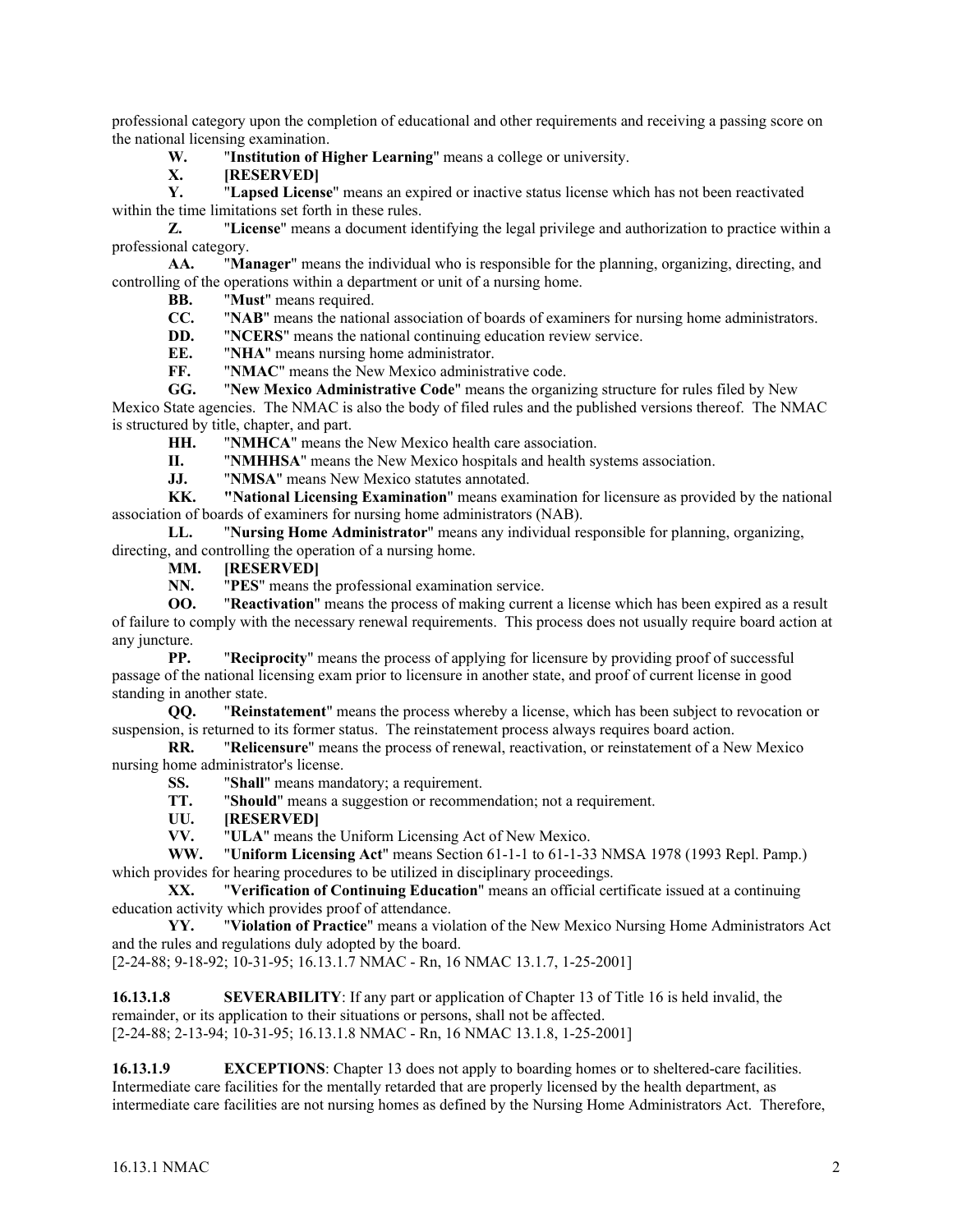professional category upon the completion of educational and other requirements and receiving a passing score on the national licensing examination.

**W.** "**Institution of Higher Learning**" means a college or university.

 $[RESERVED]$ 

**Y.** "**Lapsed License**" means an expired or inactive status license which has not been reactivated within the time limitations set forth in these rules.

**Z.** "**License**" means a document identifying the legal privilege and authorization to practice within a professional category.

**AA.** "**Manager**" means the individual who is responsible for the planning, organizing, directing, and controlling of the operations within a department or unit of a nursing home.

**BB.** "**Must**" means required.

**CC.** "**NAB**" means the national association of boards of examiners for nursing home administrators.

**DD.** "**NCERS**" means the national continuing education review service.

**EE.** "**NHA**" means nursing home administrator.

**FF.** "**NMAC**" means the New Mexico administrative code.

**GG.** "**New Mexico Administrative Code**" means the organizing structure for rules filed by New Mexico State agencies. The NMAC is also the body of filed rules and the published versions thereof. The NMAC is structured by title, chapter, and part.

**HH.** "**NMHCA**" means the New Mexico health care association.

**II.** "**NMHHSA**" means the New Mexico hospitals and health systems association.

**JJ.** "**NMSA**" means New Mexico statutes annotated.

**KK. "National Licensing Examination**" means examination for licensure as provided by the national association of boards of examiners for nursing home administrators (NAB).

**LL.** "**Nursing Home Administrator**" means any individual responsible for planning, organizing, directing, and controlling the operation of a nursing home.

**MM. [RESERVED]**

**NN.** "**PES**" means the professional examination service.

**OO.** "**Reactivation**" means the process of making current a license which has been expired as a result of failure to comply with the necessary renewal requirements. This process does not usually require board action at any juncture.

**PP.** "**Reciprocity**" means the process of applying for licensure by providing proof of successful passage of the national licensing exam prior to licensure in another state, and proof of current license in good standing in another state.

**QQ.** "**Reinstatement**" means the process whereby a license, which has been subject to revocation or suspension, is returned to its former status. The reinstatement process always requires board action.

**RR.** "**Relicensure**" means the process of renewal, reactivation, or reinstatement of a New Mexico nursing home administrator's license.

**SS.** "**Shall**" means mandatory; a requirement.

**TT.** "**Should**" means a suggestion or recommendation; not a requirement.

**UU. [RESERVED]**

**VV.** "**ULA**" means the Uniform Licensing Act of New Mexico.

**WW.** "**Uniform Licensing Act**" means Section 61-1-1 to 61-1-33 NMSA 1978 (1993 Repl. Pamp.) which provides for hearing procedures to be utilized in disciplinary proceedings.

**XX.** "**Verification of Continuing Education**" means an official certificate issued at a continuing education activity which provides proof of attendance.

**YY.** "**Violation of Practice**" means a violation of the New Mexico Nursing Home Administrators Act and the rules and regulations duly adopted by the board.

[2-24-88; 9-18-92; 10-31-95; 16.13.1.7 NMAC - Rn, 16 NMAC 13.1.7, 1-25-2001]

**16.13.1.8 SEVERABILITY**: If any part or application of Chapter 13 of Title 16 is held invalid, the remainder, or its application to their situations or persons, shall not be affected. [2-24-88; 2-13-94; 10-31-95; 16.13.1.8 NMAC - Rn, 16 NMAC 13.1.8, 1-25-2001]

**16.13.1.9 EXCEPTIONS**: Chapter 13 does not apply to boarding homes or to sheltered-care facilities. Intermediate care facilities for the mentally retarded that are properly licensed by the health department, as intermediate care facilities are not nursing homes as defined by the Nursing Home Administrators Act. Therefore,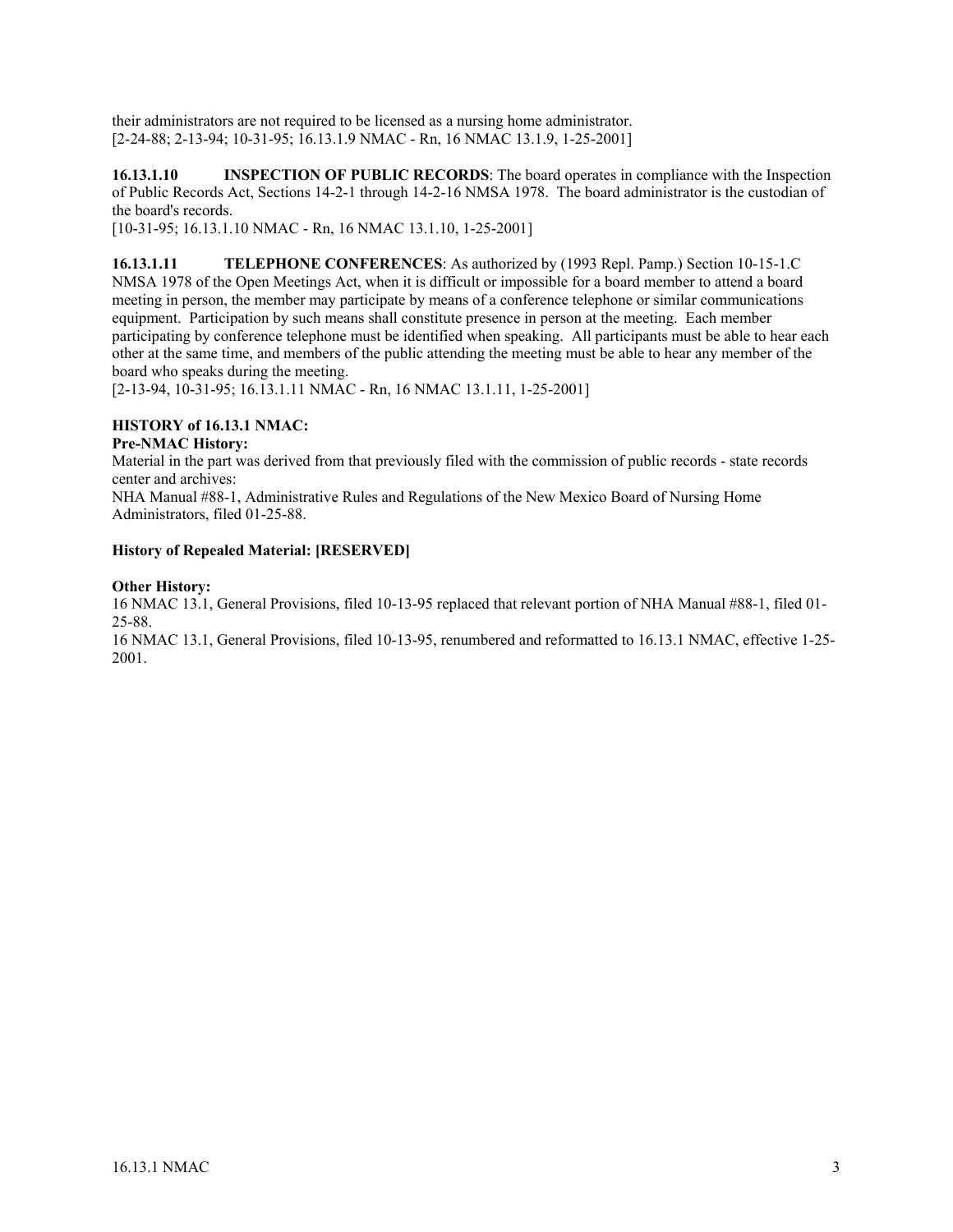their administrators are not required to be licensed as a nursing home administrator. [2-24-88; 2-13-94; 10-31-95; 16.13.1.9 NMAC - Rn, 16 NMAC 13.1.9, 1-25-2001]

**16.13.1.10 INSPECTION OF PUBLIC RECORDS**: The board operates in compliance with the Inspection of Public Records Act, Sections 14-2-1 through 14-2-16 NMSA 1978. The board administrator is the custodian of the board's records.

[10-31-95; 16.13.1.10 NMAC - Rn, 16 NMAC 13.1.10, 1-25-2001]

**16.13.1.11 TELEPHONE CONFERENCES**: As authorized by (1993 Repl. Pamp.) Section 10-15-1.C NMSA 1978 of the Open Meetings Act, when it is difficult or impossible for a board member to attend a board meeting in person, the member may participate by means of a conference telephone or similar communications equipment. Participation by such means shall constitute presence in person at the meeting. Each member participating by conference telephone must be identified when speaking. All participants must be able to hear each other at the same time, and members of the public attending the meeting must be able to hear any member of the board who speaks during the meeting.

[2-13-94, 10-31-95; 16.13.1.11 NMAC - Rn, 16 NMAC 13.1.11, 1-25-2001]

# **HISTORY of 16.13.1 NMAC:**

## **Pre-NMAC History:**

Material in the part was derived from that previously filed with the commission of public records - state records center and archives:

NHA Manual #88-1, Administrative Rules and Regulations of the New Mexico Board of Nursing Home Administrators, filed 01-25-88.

# **History of Repealed Material: [RESERVED]**

## **Other History:**

16 NMAC 13.1, General Provisions, filed 10-13-95 replaced that relevant portion of NHA Manual #88-1, filed 01- 25-88.

16 NMAC 13.1, General Provisions, filed 10-13-95, renumbered and reformatted to 16.13.1 NMAC, effective 1-25- 2001.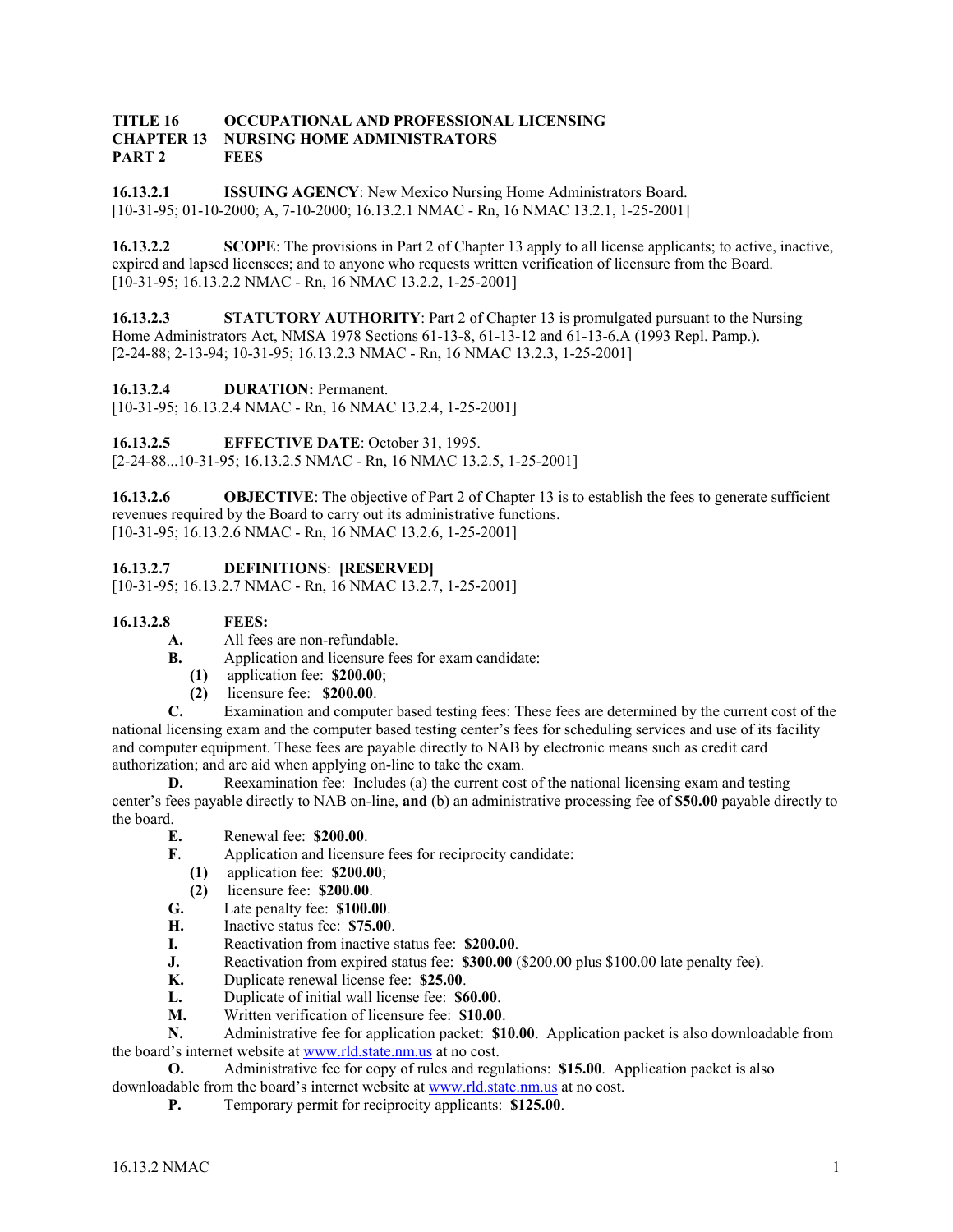#### **TITLE 16 OCCUPATIONAL AND PROFESSIONAL LICENSING CHAPTER 13 NURSING HOME ADMINISTRATORS PART 2 FEES**

**16.13.2.1 ISSUING AGENCY**: New Mexico Nursing Home Administrators Board. [10-31-95; 01-10-2000; A, 7-10-2000; 16.13.2.1 NMAC - Rn, 16 NMAC 13.2.1, 1-25-2001]

**16.13.2.2 SCOPE**: The provisions in Part 2 of Chapter 13 apply to all license applicants; to active, inactive, expired and lapsed licensees; and to anyone who requests written verification of licensure from the Board. [10-31-95; 16.13.2.2 NMAC - Rn, 16 NMAC 13.2.2, 1-25-2001]

**16.13.2.3 STATUTORY AUTHORITY:** Part 2 of Chapter 13 is promulgated pursuant to the Nursing Home Administrators Act, NMSA 1978 Sections 61-13-8, 61-13-12 and 61-13-6.A (1993 Repl. Pamp.). [2-24-88; 2-13-94; 10-31-95; 16.13.2.3 NMAC - Rn, 16 NMAC 13.2.3, 1-25-2001]

**16.13.2.4 DURATION:** Permanent.

[10-31-95; 16.13.2.4 NMAC - Rn, 16 NMAC 13.2.4, 1-25-2001]

**16.13.2.5 EFFECTIVE DATE**: October 31, 1995.

[2-24-88...10-31-95; 16.13.2.5 NMAC - Rn, 16 NMAC 13.2.5, 1-25-2001]

**16.13.2.6 OBJECTIVE**: The objective of Part 2 of Chapter 13 is to establish the fees to generate sufficient revenues required by the Board to carry out its administrative functions. [10-31-95; 16.13.2.6 NMAC - Rn, 16 NMAC 13.2.6, 1-25-2001]

**16.13.2.7 DEFINITIONS**: **[RESERVED]**

[10-31-95; 16.13.2.7 NMAC - Rn, 16 NMAC 13.2.7, 1-25-2001]

#### **16.13.2.8 FEES:**

- **A.** All fees are non-refundable.
- **B.** Application and licensure fees for exam candidate:
	- **(1)** application fee: **\$200.00**;
	- **(2)** licensure fee: **\$200.00**.

**C.** Examination and computer based testing fees: These fees are determined by the current cost of the national licensing exam and the computer based testing center's fees for scheduling services and use of its facility and computer equipment. These fees are payable directly to NAB by electronic means such as credit card authorization; and are aid when applying on-line to take the exam.

**D.** Reexamination fee: Includes (a) the current cost of the national licensing exam and testing center's fees payable directly to NAB on-line, **and** (b) an administrative processing fee of **\$50.00** payable directly to the board.

- **E.** Renewal fee: **\$200.00**.
- **F**. Application and licensure fees for reciprocity candidate:
	- **(1)** application fee: **\$200.00**;
	- **(2)** licensure fee: **\$200.00**.
- **G.** Late penalty fee: **\$100.00**.
- **H.** Inactive status fee: **\$75.00**.
- **I.** Reactivation from inactive status fee: **\$200.00**.
- **J.** Reactivation from expired status fee: **\$300.00** (\$200.00 plus \$100.00 late penalty fee).
- **K.** Duplicate renewal license fee: **\$25.00**.
- **L.** Duplicate of initial wall license fee: **\$60.00**.
- **M.** Written verification of licensure fee: **\$10.00**.

**N.** Administrative fee for application packet: **\$10.00**. Application packet is also downloadable from the board's internet website at www.rld.state.nm.us at no cost.

**O.** Administrative fee for copy of rules and regulations: **\$15.00**. Application packet is also downloadable from the board's internet website at www.rld.state.nm.us at no cost.

**P.** Temporary permit for reciprocity applicants: **\$125.00**.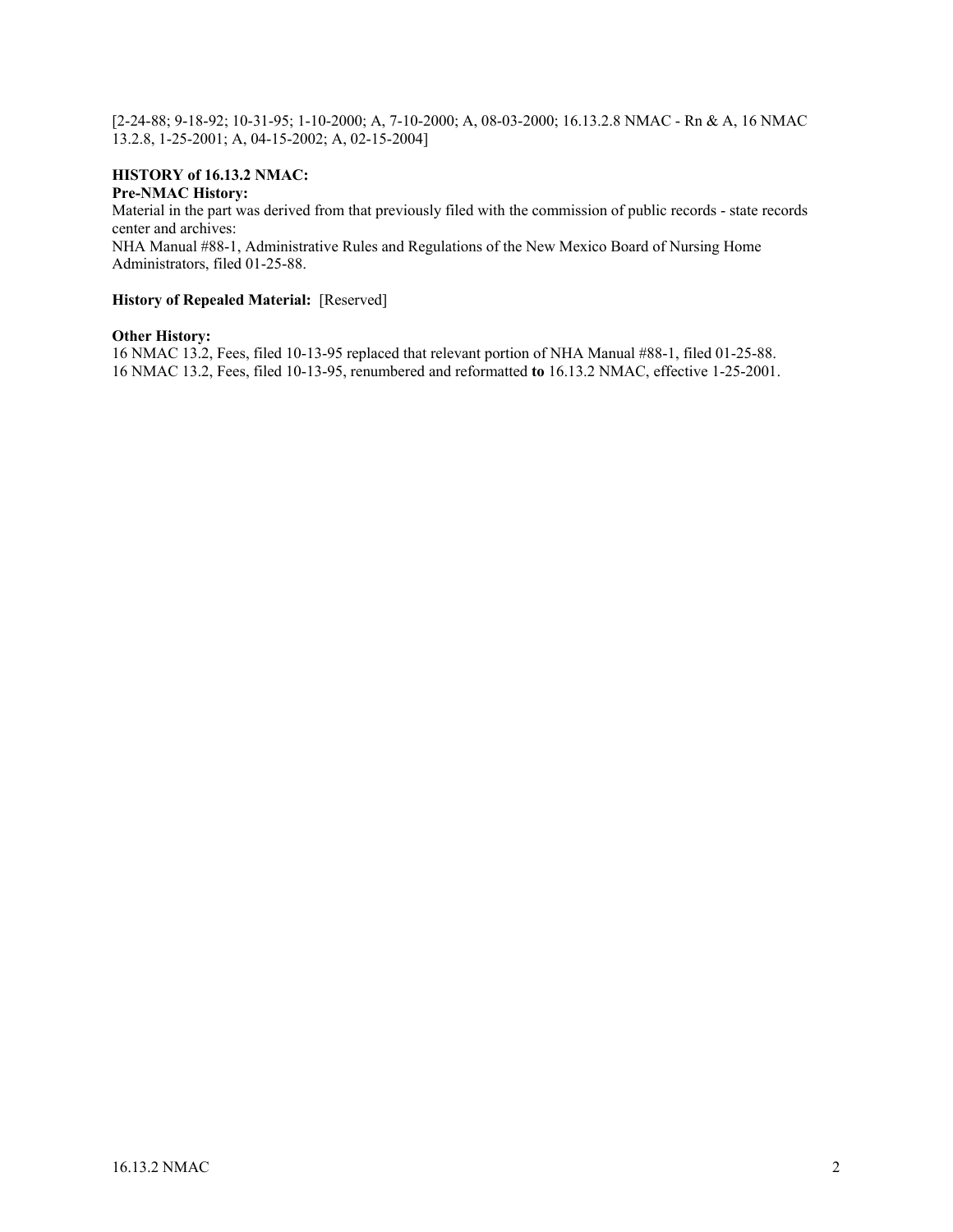[2-24-88; 9-18-92; 10-31-95; 1-10-2000; A, 7-10-2000; A, 08-03-2000; 16.13.2.8 NMAC - Rn & A, 16 NMAC 13.2.8, 1-25-2001; A, 04-15-2002; A, 02-15-2004]

#### **HISTORY of 16.13.2 NMAC: Pre-NMAC History:**

Material in the part was derived from that previously filed with the commission of public records - state records center and archives:

NHA Manual #88-1, Administrative Rules and Regulations of the New Mexico Board of Nursing Home Administrators, filed 01-25-88.

# **History of Repealed Material:** [Reserved]

#### **Other History:**

16 NMAC 13.2, Fees, filed 10-13-95 replaced that relevant portion of NHA Manual #88-1, filed 01-25-88. 16 NMAC 13.2, Fees, filed 10-13-95, renumbered and reformatted **to** 16.13.2 NMAC, effective 1-25-2001.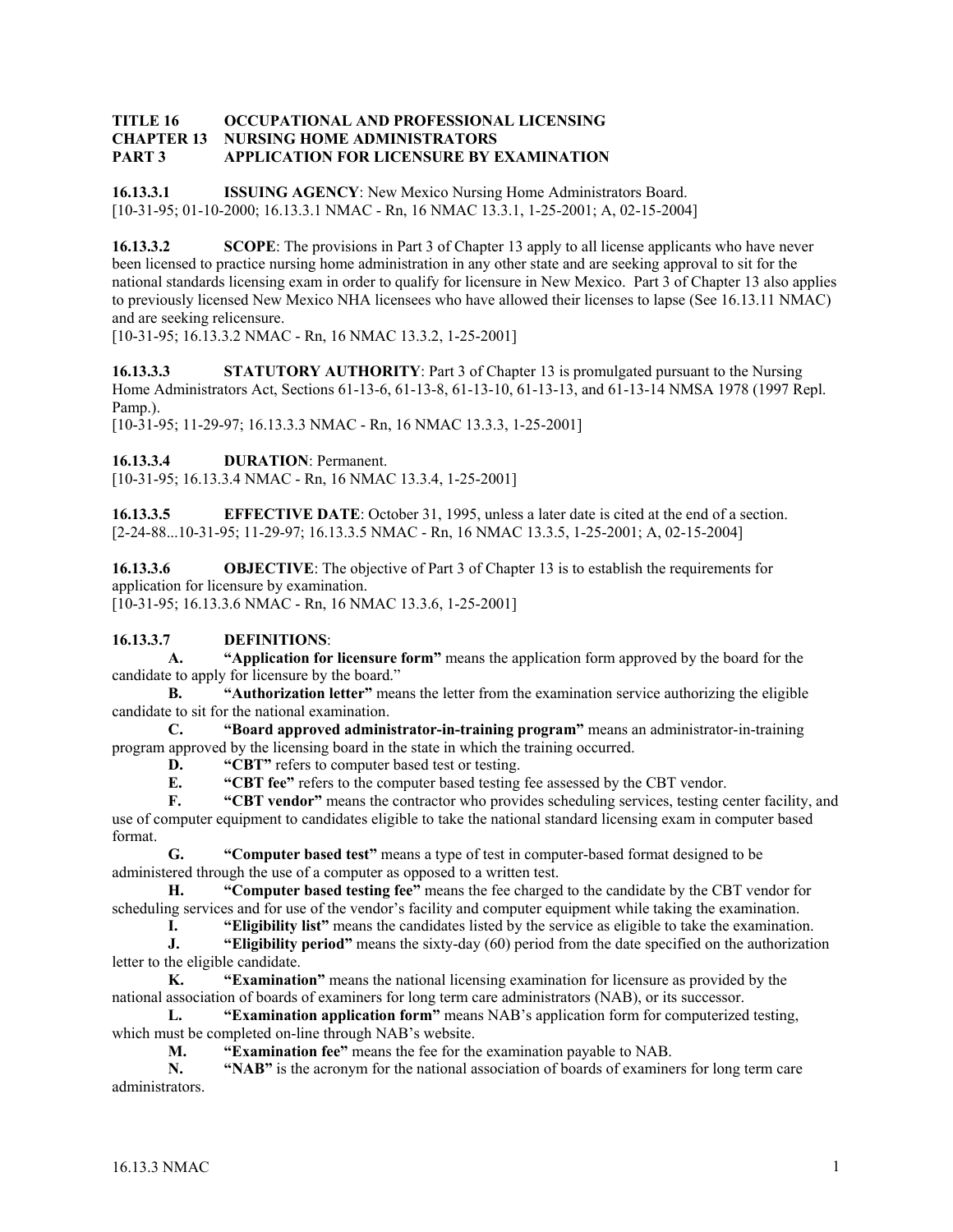#### **TITLE 16 OCCUPATIONAL AND PROFESSIONAL LICENSING CHAPTER 13 NURSING HOME ADMINISTRATORS PART 3 APPLICATION FOR LICENSURE BY EXAMINATION**

**16.13.3.1 ISSUING AGENCY**: New Mexico Nursing Home Administrators Board. [10-31-95; 01-10-2000; 16.13.3.1 NMAC - Rn, 16 NMAC 13.3.1, 1-25-2001; A, 02-15-2004]

**16.13.3.2 SCOPE**: The provisions in Part 3 of Chapter 13 apply to all license applicants who have never been licensed to practice nursing home administration in any other state and are seeking approval to sit for the national standards licensing exam in order to qualify for licensure in New Mexico. Part 3 of Chapter 13 also applies to previously licensed New Mexico NHA licensees who have allowed their licenses to lapse (See 16.13.11 NMAC) and are seeking relicensure.

[10-31-95; 16.13.3.2 NMAC - Rn, 16 NMAC 13.3.2, 1-25-2001]

**16.13.3.3 STATUTORY AUTHORITY:** Part 3 of Chapter 13 is promulgated pursuant to the Nursing Home Administrators Act, Sections 61-13-6, 61-13-8, 61-13-10, 61-13-13, and 61-13-14 NMSA 1978 (1997 Repl. Pamp.).

[10-31-95; 11-29-97; 16.13.3.3 NMAC - Rn, 16 NMAC 13.3.3, 1-25-2001]

**16.13.3.4 DURATION**: Permanent.

[10-31-95; 16.13.3.4 NMAC - Rn, 16 NMAC 13.3.4, 1-25-2001]

**16.13.3.5 EFFECTIVE DATE**: October 31, 1995, unless a later date is cited at the end of a section. [2-24-88...10-31-95; 11-29-97; 16.13.3.5 NMAC - Rn, 16 NMAC 13.3.5, 1-25-2001; A, 02-15-2004]

**16.13.3.6 OBJECTIVE**: The objective of Part 3 of Chapter 13 is to establish the requirements for application for licensure by examination. [10-31-95; 16.13.3.6 NMAC - Rn, 16 NMAC 13.3.6, 1-25-2001]

## **16.13.3.7 DEFINITIONS**:

**A. "Application for licensure form"** means the application form approved by the board for the candidate to apply for licensure by the board."

**B. "Authorization letter"** means the letter from the examination service authorizing the eligible candidate to sit for the national examination.

**C. "Board approved administrator-in-training program"** means an administrator-in-training program approved by the licensing board in the state in which the training occurred.

**D.** "CBT" refers to computer based test or testing.

**E. "CBT fee"** refers to the computer based testing fee assessed by the CBT vendor.

**F. "CBT vendor"** means the contractor who provides scheduling services, testing center facility, and use of computer equipment to candidates eligible to take the national standard licensing exam in computer based format.

**G. "Computer based test"** means a type of test in computer-based format designed to be administered through the use of a computer as opposed to a written test.

**H. "Computer based testing fee"** means the fee charged to the candidate by the CBT vendor for scheduling services and for use of the vendor's facility and computer equipment while taking the examination.

**I. "Eligibility list"** means the candidates listed by the service as eligible to take the examination.

**J. "Eligibility period"** means the sixty-day (60) period from the date specified on the authorization letter to the eligible candidate.

**K. "Examination"** means the national licensing examination for licensure as provided by the national association of boards of examiners for long term care administrators (NAB), or its successor.

**L. "Examination application form"** means NAB's application form for computerized testing, which must be completed on-line through NAB's website.

**M. "Examination fee"** means the fee for the examination payable to NAB.

**N. "NAB"** is the acronym for the national association of boards of examiners for long term care administrators.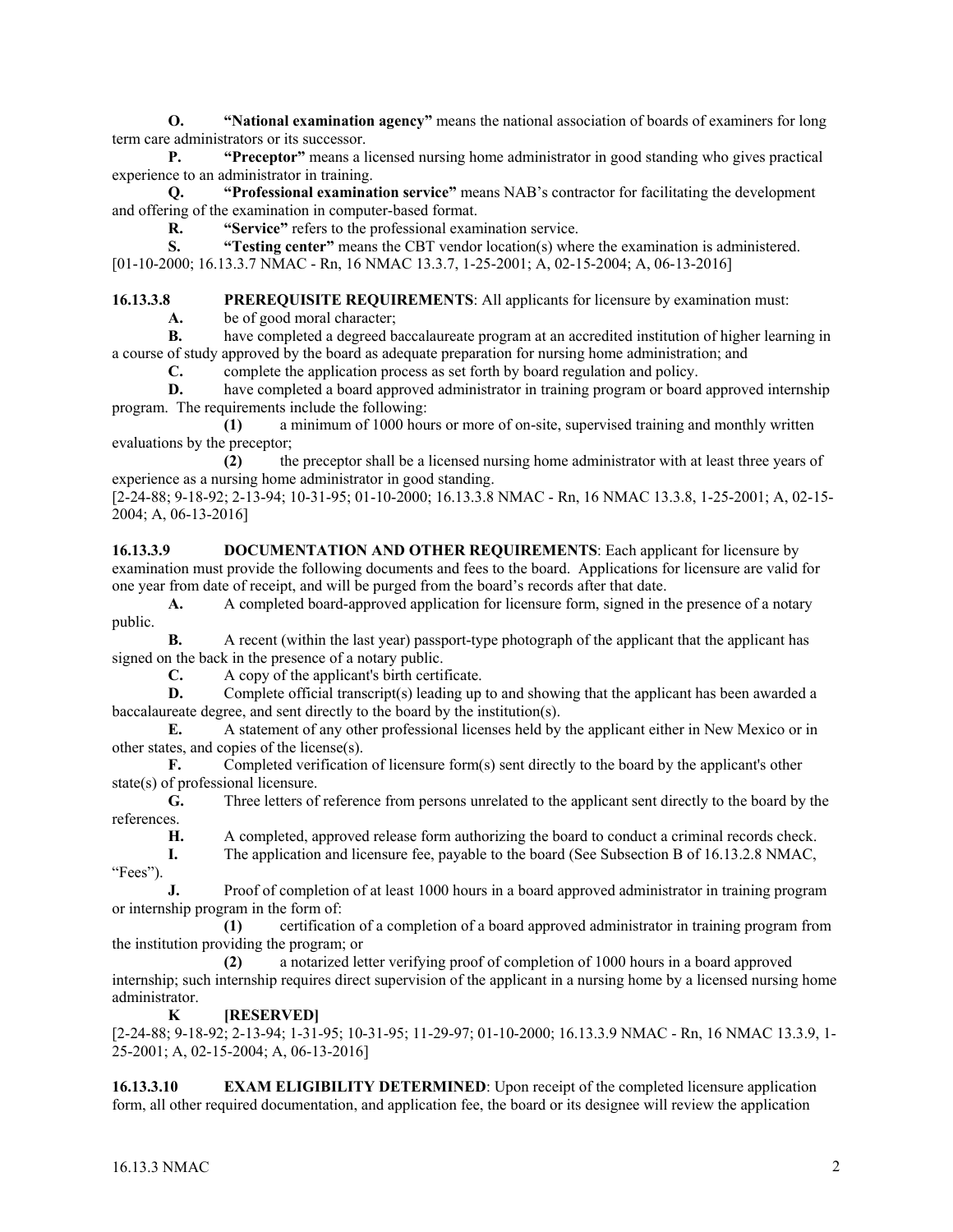**O. "National examination agency"** means the national association of boards of examiners for long term care administrators or its successor.

**P. "Preceptor"** means a licensed nursing home administrator in good standing who gives practical experience to an administrator in training.

**Q. "Professional examination service"** means NAB's contractor for facilitating the development and offering of the examination in computer-based format.

**R. "Service"** refers to the professional examination service.

**S. "Testing center"** means the CBT vendor location(s) where the examination is administered. [01-10-2000; 16.13.3.7 NMAC - Rn, 16 NMAC 13.3.7, 1-25-2001; A, 02-15-2004; A, 06-13-2016]

**16.13.3.8 PREREQUISITE REQUIREMENTS**: All applicants for licensure by examination must:

**A.** be of good moral character;

 **B.** have completed a degreed baccalaureate program at an accredited institution of higher learning in a course of study approved by the board as adequate preparation for nursing home administration; and

**C.** complete the application process as set forth by board regulation and policy.

**D.** have completed a board approved administrator in training program or board approved internship program. The requirements include the following:

 **(1)** a minimum of 1000 hours or more of on-site, supervised training and monthly written evaluations by the preceptor;

 **(2)** the preceptor shall be a licensed nursing home administrator with at least three years of experience as a nursing home administrator in good standing.

[2-24-88; 9-18-92; 2-13-94; 10-31-95; 01-10-2000; 16.13.3.8 NMAC - Rn, 16 NMAC 13.3.8, 1-25-2001; A, 02-15- 2004; A, 06-13-2016]

**16.13.3.9 DOCUMENTATION AND OTHER REQUIREMENTS**: Each applicant for licensure by examination must provide the following documents and fees to the board. Applications for licensure are valid for one year from date of receipt, and will be purged from the board's records after that date.

**A.** A completed board-approved application for licensure form, signed in the presence of a notary public.

**B.** A recent (within the last year) passport-type photograph of the applicant hat the applicant has signed on the back in the presence of a notary public.

**C.** A copy of the applicant's birth certificate.<br>**D.** Complete official transcript(s) leading up

**D.** Complete official transcript(s) leading up to and showing that the applicant has been awarded a baccalaureate degree, and sent directly to the board by the institution(s).

**E.** A statement of any other professional licenses held by the applicant either in New Mexico or in other states, and copies of the license(s).

**F.** Completed verification of licensure form(s) sent directly to the board by the applicant's other state(s) of professional licensure.

**G.** Three letters of reference from persons unrelated to the applicant sent directly to the board by the references.

**H.** A completed, approved release form authorizing the board to conduct a criminal records check.

**I.** The application and licensure fee, payable to the board (See Subsection B of 16.13.2.8 NMAC,

**J.** Proof of completion of at least 1000 hours in a board approved administrator in training program or internship program in the form of:

 **(1)** certification of a completion of a board approved administrator in training program from the institution providing the program; or

 **(2)** a notarized letter verifying proof of completion of 1000 hours in a board approved internship; such internship requires direct supervision of the applicant in a nursing home by a licensed nursing home administrator.

# **K [RESERVED]**

[2-24-88; 9-18-92; 2-13-94; 1-31-95; 10-31-95; 11-29-97; 01-10-2000; 16.13.3.9 NMAC - Rn, 16 NMAC 13.3.9, 1- 25-2001; A, 02-15-2004; A, 06-13-2016]

**16.13.3.10 EXAM ELIGIBILITY DETERMINED:** Upon receipt of the completed licensure application form, all other required documentation, and application fee, the board or its designee will review the application

"Fees").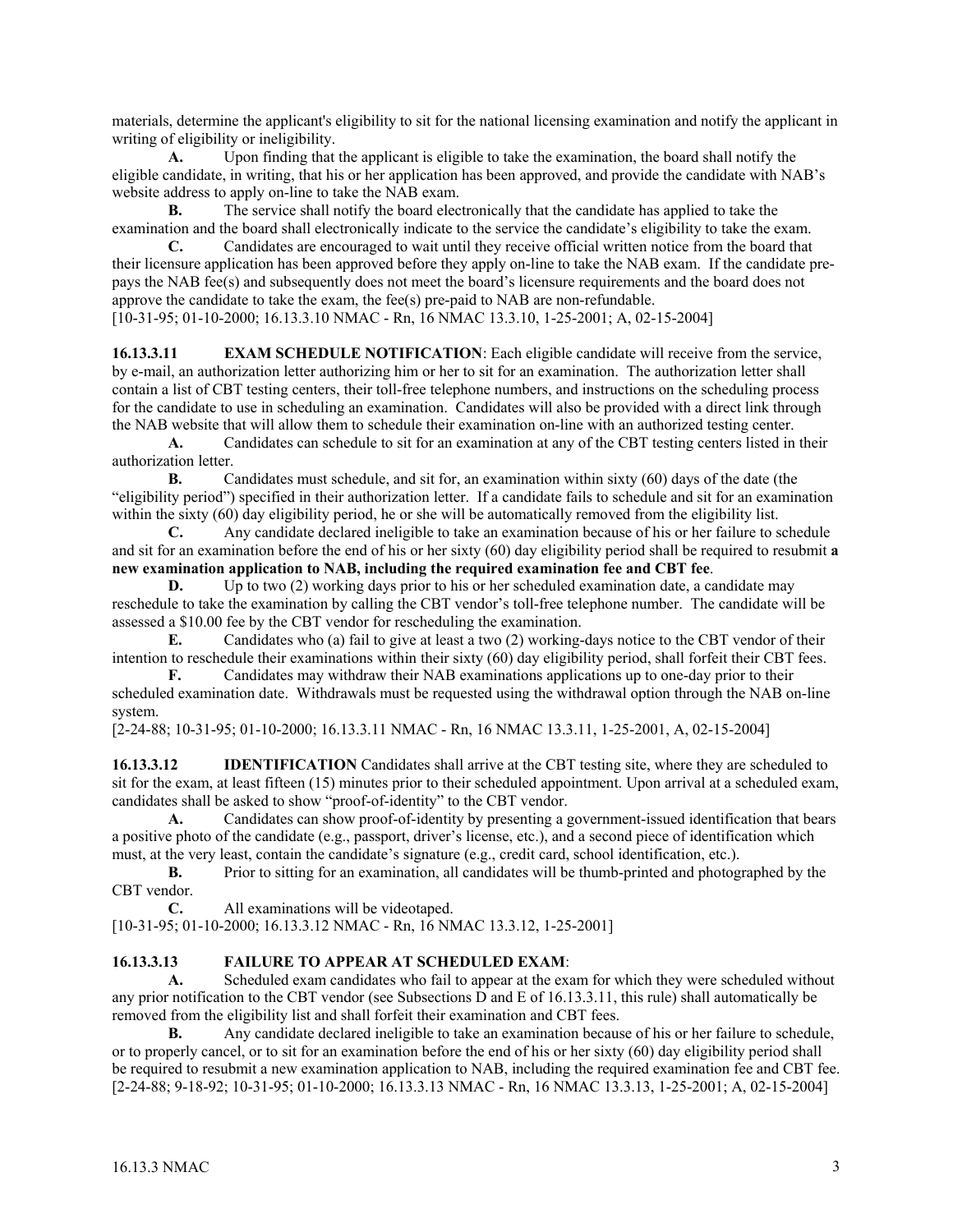materials, determine the applicant's eligibility to sit for the national licensing examination and notify the applicant in writing of eligibility or ineligibility.

**A.** Upon finding that the applicant is eligible to take the examination, the board shall notify the eligible candidate, in writing, that his or her application has been approved, and provide the candidate with NAB's website address to apply on-line to take the NAB exam.

**B.** The service shall notify the board electronically that the candidate has applied to take the examination and the board shall electronically indicate to the service the candidate's eligibility to take the exam.

**C.** Candidates are encouraged to wait until they receive official written notice from the board that their licensure application has been approved before they apply on-line to take the NAB exam. If the candidate prepays the NAB fee(s) and subsequently does not meet the board's licensure requirements and the board does not approve the candidate to take the exam, the fee(s) pre-paid to NAB are non-refundable. [10-31-95; 01-10-2000; 16.13.3.10 NMAC - Rn, 16 NMAC 13.3.10, 1-25-2001; A, 02-15-2004]

**16.13.3.11 EXAM SCHEDULE NOTIFICATION**: Each eligible candidate will receive from the service, by e-mail, an authorization letter authorizing him or her to sit for an examination. The authorization letter shall contain a list of CBT testing centers, their toll-free telephone numbers, and instructions on the scheduling process for the candidate to use in scheduling an examination. Candidates will also be provided with a direct link through the NAB website that will allow them to schedule their examination on-line with an authorized testing center.

**A.** Candidates can schedule to sit for an examination at any of the CBT testing centers listed in their authorization letter.

**B.** Candidates must schedule, and sit for, an examination within sixty (60) days of the date (the "eligibility period") specified in their authorization letter. If a candidate fails to schedule and sit for an examination within the sixty (60) day eligibility period, he or she will be automatically removed from the eligibility list.<br> **C.** Any candidate declared ineligible to take an examination because of his or her failure to s

**C.** Any candidate declared ineligible to take an examination because of his or her failure to schedule and sit for an examination before the end of his or her sixty (60) day eligibility period shall be required to resubmit **a new examination application to NAB, including the required examination fee and CBT fee**.

**D.** Up to two (2) working days prior to his or her scheduled examination date, a candidate may reschedule to take the examination by calling the CBT vendor's toll-free telephone number. The candidate will be assessed a \$10.00 fee by the CBT vendor for rescheduling the examination.

**E.** Candidates who (a) fail to give at least a two (2) working-days notice to the CBT vendor of their intention to reschedule their examinations within their sixty (60) day eligibility period, shall forfeit their CBT fees.

**F.** Candidates may withdraw their NAB examinations applications up to one-day prior to their scheduled examination date. Withdrawals must be requested using the withdrawal option through the NAB on-line system.

[2-24-88; 10-31-95; 01-10-2000; 16.13.3.11 NMAC - Rn, 16 NMAC 13.3.11, 1-25-2001, A, 02-15-2004]

**16.13.3.12 IDENTIFICATION** Candidates shall arrive at the CBT testing site, where they are scheduled to sit for the exam, at least fifteen (15) minutes prior to their scheduled appointment. Upon arrival at a scheduled exam, candidates shall be asked to show "proof-of-identity" to the CBT vendor.

**A.** Candidates can show proof-of-identity by presenting a government-issued identification that bears a positive photo of the candidate (e.g., passport, driver's license, etc.), and a second piece of identification which must, at the very least, contain the candidate's signature (e.g., credit card, school identification, etc.).

**B.** Prior to sitting for an examination, all candidates will be thumb-printed and photographed by the CBT vendor.

**C.** All examinations will be videotaped.

[10-31-95; 01-10-2000; 16.13.3.12 NMAC - Rn, 16 NMAC 13.3.12, 1-25-2001]

## **16.13.3.13 FAILURE TO APPEAR AT SCHEDULED EXAM**:

 **A.** Scheduled exam candidates who fail to appear at the exam for which they were scheduled without any prior notification to the CBT vendor (see Subsections D and E of 16.13.3.11, this rule) shall automatically be removed from the eligibility list and shall forfeit their examination and CBT fees.

**B.** Any candidate declared ineligible to take an examination because of his or her failure to schedule, or to properly cancel, or to sit for an examination before the end of his or her sixty (60) day eligibility period shall be required to resubmit a new examination application to NAB, including the required examination fee and CBT fee. [2-24-88; 9-18-92; 10-31-95; 01-10-2000; 16.13.3.13 NMAC - Rn, 16 NMAC 13.3.13, 1-25-2001; A, 02-15-2004]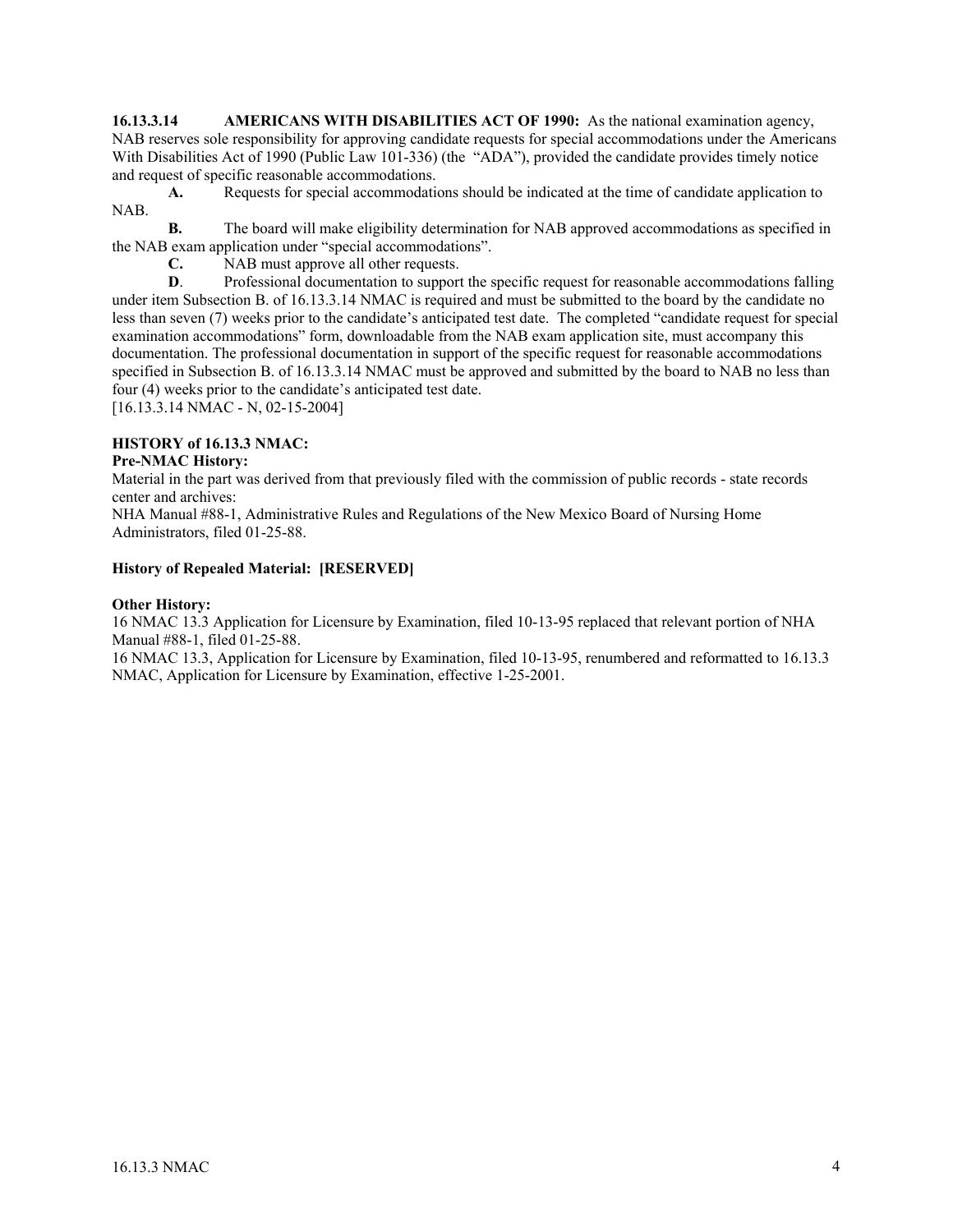**16.13.3.14 AMERICANS WITH DISABILITIES ACT OF 1990:** As the national examination agency, NAB reserves sole responsibility for approving candidate requests for special accommodations under the Americans With Disabilities Act of 1990 (Public Law 101-336) (the "ADA"), provided the candidate provides timely notice and request of specific reasonable accommodations.

**A.** Requests for special accommodations should be indicated at the time of candidate application to NAB.

**B.** The board will make eligibility determination for NAB approved accommodations as specified in the NAB exam application under "special accommodations".

**C.** NAB must approve all other requests.

**D.** Professional documentation to support the specific request for reasonable accommodations falling under item Subsection B. of 16.13.3.14 NMAC is required and must be submitted to the board by the candidate no less than seven (7) weeks prior to the candidate's anticipated test date. The completed "candidate request for special examination accommodations" form, downloadable from the NAB exam application site, must accompany this documentation. The professional documentation in support of the specific request for reasonable accommodations specified in Subsection B. of 16.13.3.14 NMAC must be approved and submitted by the board to NAB no less than four (4) weeks prior to the candidate's anticipated test date.

[16.13.3.14 NMAC - N, 02-15-2004]

## **HISTORY of 16.13.3 NMAC:**

## **Pre-NMAC History:**

Material in the part was derived from that previously filed with the commission of public records - state records center and archives:

NHA Manual #88-1, Administrative Rules and Regulations of the New Mexico Board of Nursing Home Administrators, filed 01-25-88.

#### **History of Repealed Material: [RESERVED]**

#### **Other History:**

16 NMAC 13.3 Application for Licensure by Examination, filed 10-13-95 replaced that relevant portion of NHA Manual #88-1, filed 01-25-88.

16 NMAC 13.3, Application for Licensure by Examination, filed 10-13-95, renumbered and reformatted to 16.13.3 NMAC, Application for Licensure by Examination, effective 1-25-2001.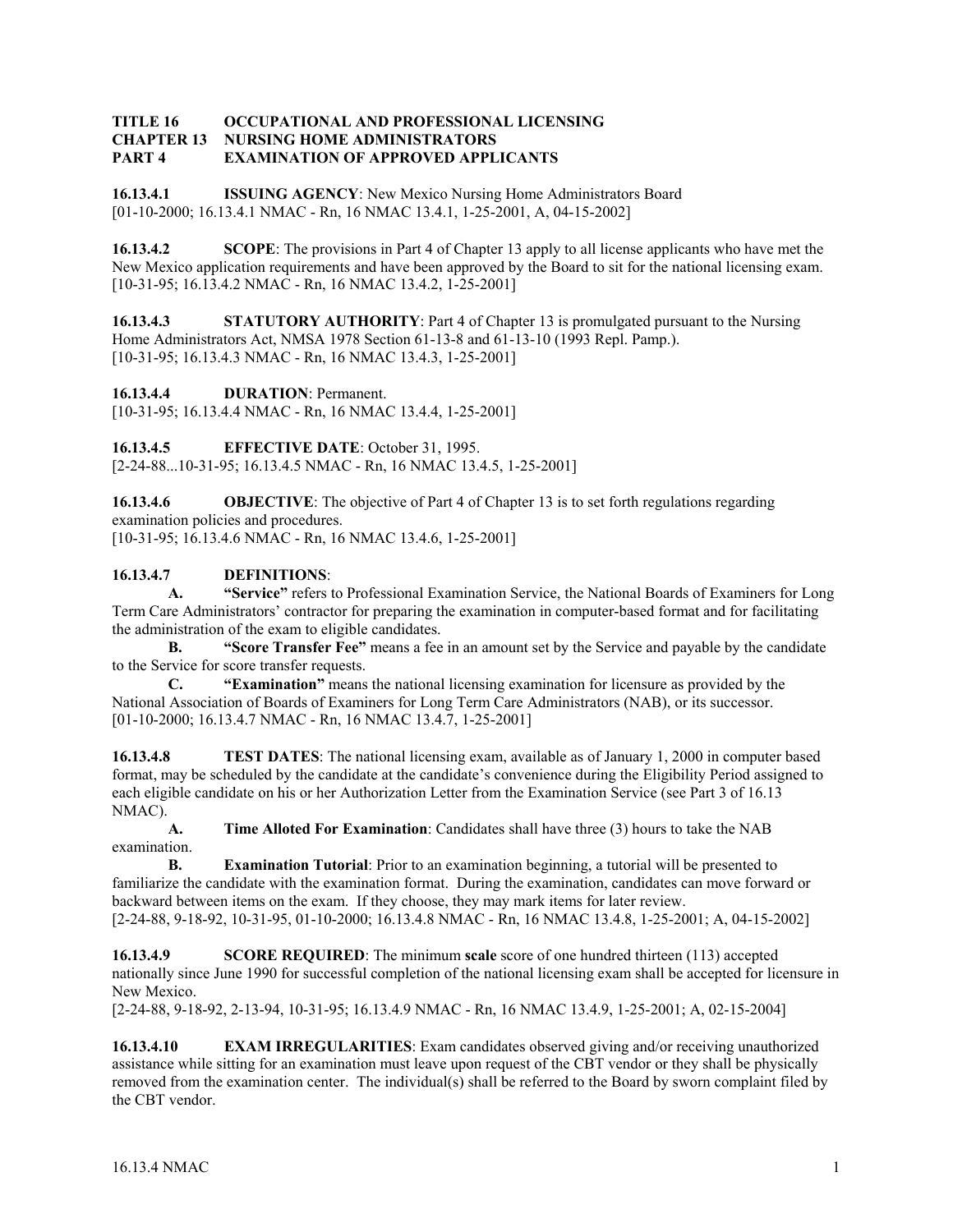#### **TITLE 16 OCCUPATIONAL AND PROFESSIONAL LICENSING CHAPTER 13 NURSING HOME ADMINISTRATORS PART 4 EXAMINATION OF APPROVED APPLICANTS**

**16.13.4.1 ISSUING AGENCY**: New Mexico Nursing Home Administrators Board [01-10-2000; 16.13.4.1 NMAC - Rn, 16 NMAC 13.4.1, 1-25-2001, A, 04-15-2002]

**16.13.4.2 SCOPE**: The provisions in Part 4 of Chapter 13 apply to all license applicants who have met the New Mexico application requirements and have been approved by the Board to sit for the national licensing exam. [10-31-95; 16.13.4.2 NMAC - Rn, 16 NMAC 13.4.2, 1-25-2001]

**16.13.4.3** STATUTORY AUTHORITY: Part 4 of Chapter 13 is promulgated pursuant to the Nursing Home Administrators Act, NMSA 1978 Section 61-13-8 and 61-13-10 (1993 Repl. Pamp.). [10-31-95; 16.13.4.3 NMAC - Rn, 16 NMAC 13.4.3, 1-25-2001]

**16.13.4.4 DURATION**: Permanent.

[10-31-95; 16.13.4.4 NMAC - Rn, 16 NMAC 13.4.4, 1-25-2001]

**16.13.4.5 EFFECTIVE DATE**: October 31, 1995.

[2-24-88...10-31-95; 16.13.4.5 NMAC - Rn, 16 NMAC 13.4.5, 1-25-2001]

**16.13.4.6 OBJECTIVE**: The objective of Part 4 of Chapter 13 is to set forth regulations regarding examination policies and procedures.

[10-31-95; 16.13.4.6 NMAC - Rn, 16 NMAC 13.4.6, 1-25-2001]

# **16.13.4.7 DEFINITIONS**:

**A. "Service"** refers to Professional Examination Service, the National Boards of Examiners for Long Term Care Administrators' contractor for preparing the examination in computer-based format and for facilitating the administration of the exam to eligible candidates.

**B. "Score Transfer Fee"** means a fee in an amount set by the Service and payable by the candidate to the Service for score transfer requests.

**C. "Examination"** means the national licensing examination for licensure as provided by the National Association of Boards of Examiners for Long Term Care Administrators (NAB), or its successor. [01-10-2000; 16.13.4.7 NMAC - Rn, 16 NMAC 13.4.7, 1-25-2001]

**16.13.4.8 TEST DATES**: The national licensing exam, available as of January 1, 2000 in computer based format, may be scheduled by the candidate at the candidate's convenience during the Eligibility Period assigned to each eligible candidate on his or her Authorization Letter from the Examination Service (see Part 3 of 16.13 NMAC).

**A. Time Alloted For Examination**: Candidates shall have three (3) hours to take the NAB examination.

**B.** Examination Tutorial: Prior to an examination beginning, a tutorial will be presented to familiarize the candidate with the examination format. During the examination, candidates can move forward or backward between items on the exam. If they choose, they may mark items for later review. [2-24-88, 9-18-92, 10-31-95, 01-10-2000; 16.13.4.8 NMAC - Rn, 16 NMAC 13.4.8, 1-25-2001; A, 04-15-2002]

**16.13.4.9 SCORE REQUIRED**: The minimum **scale** score of one hundred thirteen (113) accepted nationally since June 1990 for successful completion of the national licensing exam shall be accepted for licensure in New Mexico.

[2-24-88, 9-18-92, 2-13-94, 10-31-95; 16.13.4.9 NMAC - Rn, 16 NMAC 13.4.9, 1-25-2001; A, 02-15-2004]

**16.13.4.10 EXAM IRREGULARITIES**: Exam candidates observed giving and/or receiving unauthorized assistance while sitting for an examination must leave upon request of the CBT vendor or they shall be physically removed from the examination center. The individual(s) shall be referred to the Board by sworn complaint filed by the CBT vendor.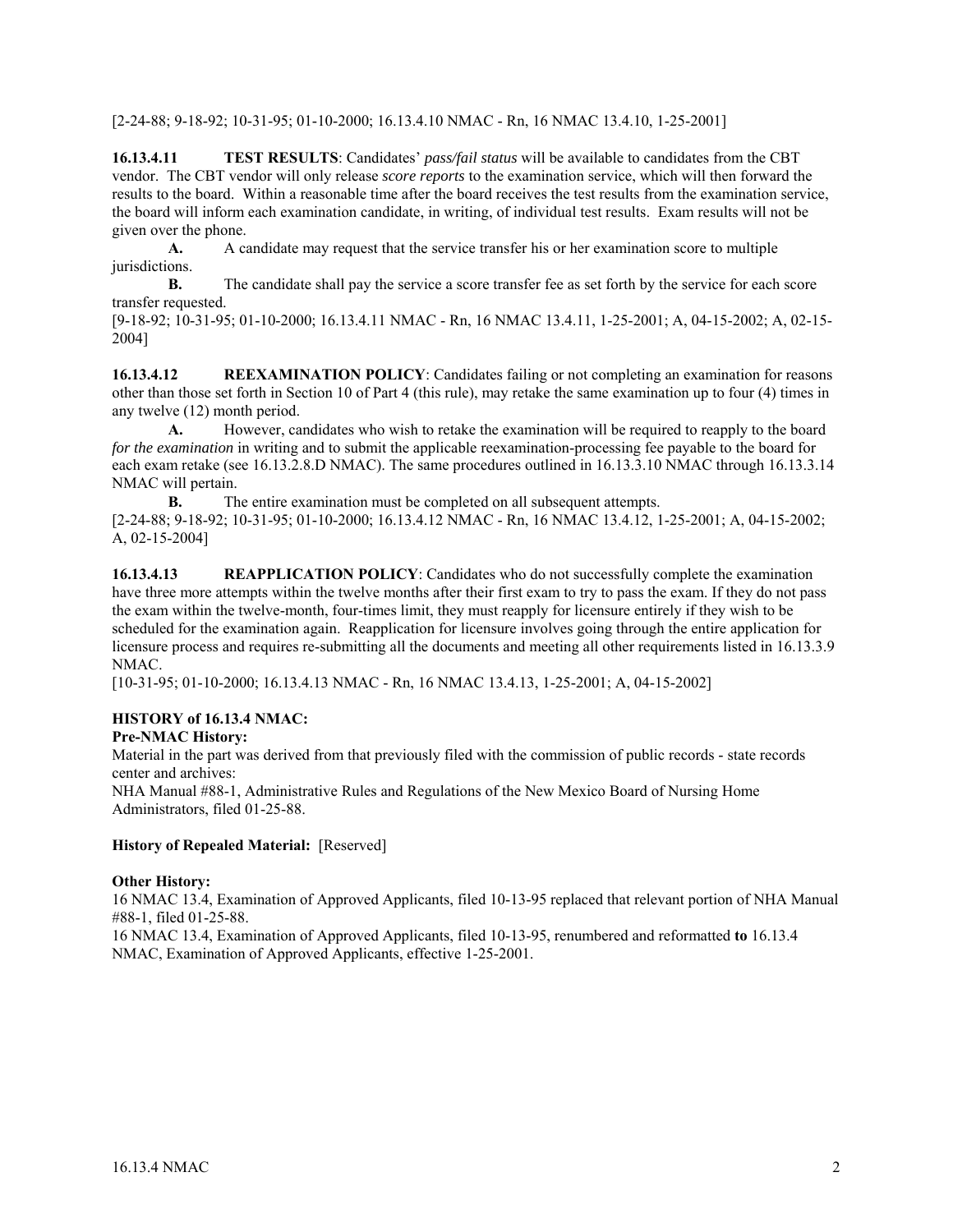[2-24-88; 9-18-92; 10-31-95; 01-10-2000; 16.13.4.10 NMAC - Rn, 16 NMAC 13.4.10, 1-25-2001]

**16.13.4.11 TEST RESULTS**: Candidates' *pass/fail status* will be available to candidates from the CBT vendor. The CBT vendor will only release *score reports* to the examination service, which will then forward the results to the board. Within a reasonable time after the board receives the test results from the examination service, the board will inform each examination candidate, in writing, of individual test results. Exam results will not be given over the phone.

**A.** A candidate may request that the service transfer his or her examination score to multiple jurisdictions.

**B.** The candidate shall pay the service a score transfer fee as set forth by the service for each score transfer requested.

[9-18-92; 10-31-95; 01-10-2000; 16.13.4.11 NMAC - Rn, 16 NMAC 13.4.11, 1-25-2001; A, 04-15-2002; A, 02-15- 2004]

**16.13.4.12** REEXAMINATION POLICY: Candidates failing or not completing an examination for reasons other than those set forth in Section 10 of Part 4 (this rule), may retake the same examination up to four (4) times in any twelve (12) month period.

 **A.** However, candidates who wish to retake the examination will be required to reapply to the board *for the examination* in writing and to submit the applicable reexamination-processing fee payable to the board for each exam retake (see 16.13.2.8.D NMAC). The same procedures outlined in 16.13.3.10 NMAC through 16.13.3.14 NMAC will pertain.

**B.** The entire examination must be completed on all subsequent attempts. [2-24-88; 9-18-92; 10-31-95; 01-10-2000; 16.13.4.12 NMAC - Rn, 16 NMAC 13.4.12, 1-25-2001; A, 04-15-2002; A, 02-15-2004]

**16.13.4.13** REAPPLICATION POLICY: Candidates who do not successfully complete the examination have three more attempts within the twelve months after their first exam to try to pass the exam. If they do not pass the exam within the twelve-month, four-times limit, they must reapply for licensure entirely if they wish to be scheduled for the examination again. Reapplication for licensure involves going through the entire application for licensure process and requires re-submitting all the documents and meeting all other requirements listed in 16.13.3.9 NMAC.

[10-31-95; 01-10-2000; 16.13.4.13 NMAC - Rn, 16 NMAC 13.4.13, 1-25-2001; A, 04-15-2002]

## **HISTORY of 16.13.4 NMAC:**

**Pre-NMAC History:**

Material in the part was derived from that previously filed with the commission of public records - state records center and archives:

NHA Manual #88-1, Administrative Rules and Regulations of the New Mexico Board of Nursing Home Administrators, filed 01-25-88.

#### **History of Repealed Material:** [Reserved]

#### **Other History:**

16 NMAC 13.4, Examination of Approved Applicants, filed 10-13-95 replaced that relevant portion of NHA Manual #88-1, filed 01-25-88.

16 NMAC 13.4, Examination of Approved Applicants, filed 10-13-95, renumbered and reformatted **to** 16.13.4 NMAC, Examination of Approved Applicants, effective 1-25-2001.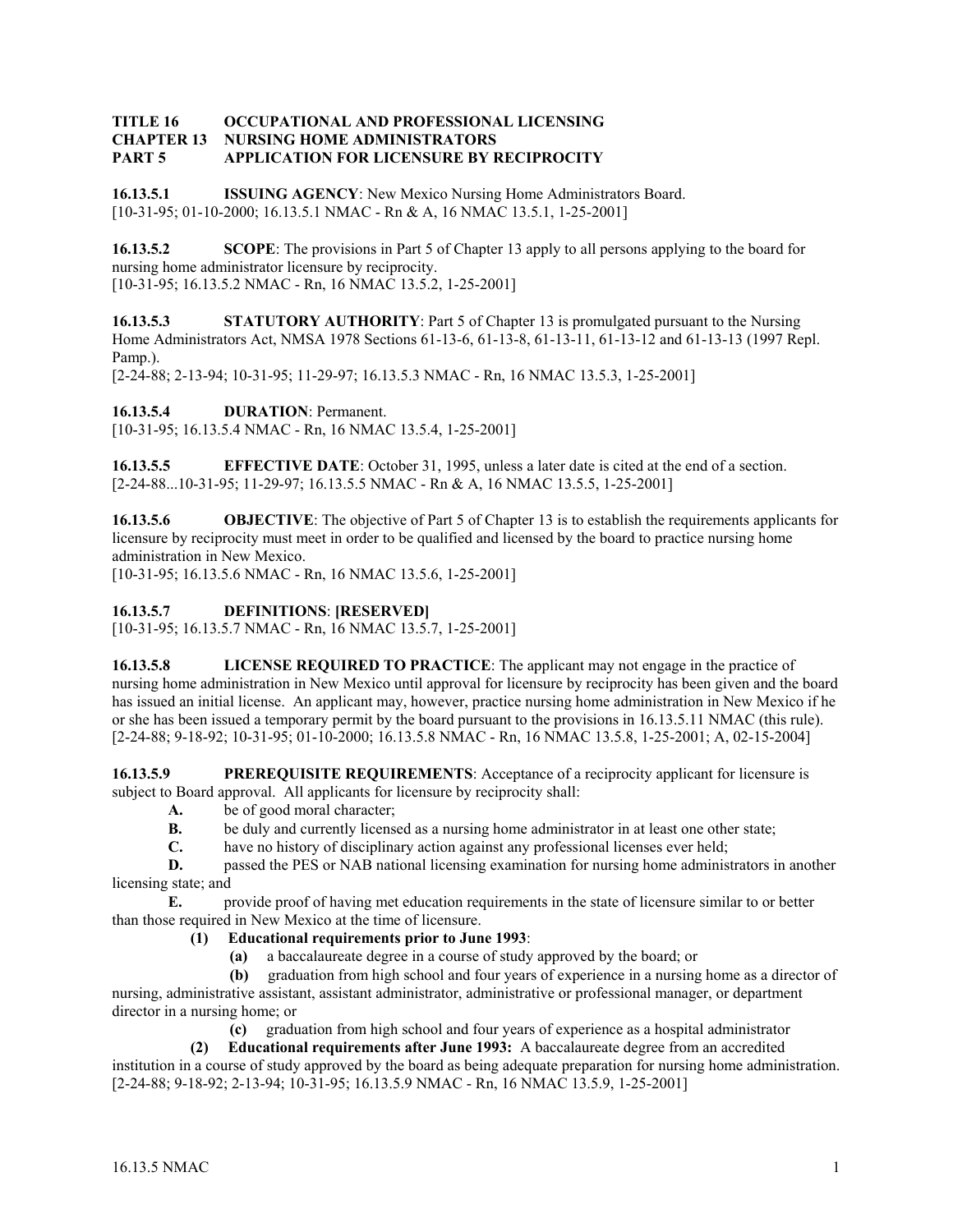#### **TITLE 16 OCCUPATIONAL AND PROFESSIONAL LICENSING CHAPTER 13 NURSING HOME ADMINISTRATORS PART 5 APPLICATION FOR LICENSURE BY RECIPROCITY**

**16.13.5.1 ISSUING AGENCY**: New Mexico Nursing Home Administrators Board. [10-31-95; 01-10-2000; 16.13.5.1 NMAC - Rn & A, 16 NMAC 13.5.1, 1-25-2001]

**16.13.5.2 SCOPE**: The provisions in Part 5 of Chapter 13 apply to all persons applying to the board for nursing home administrator licensure by reciprocity. [10-31-95; 16.13.5.2 NMAC - Rn, 16 NMAC 13.5.2, 1-25-2001]

**16.13.5.3 STATUTORY AUTHORITY**: Part 5 of Chapter 13 is promulgated pursuant to the Nursing Home Administrators Act, NMSA 1978 Sections 61-13-6, 61-13-8, 61-13-11, 61-13-12 and 61-13-13 (1997 Repl. Pamp.).

[2-24-88; 2-13-94; 10-31-95; 11-29-97; 16.13.5.3 NMAC - Rn, 16 NMAC 13.5.3, 1-25-2001]

**16.13.5.4 DURATION**: Permanent.

[10-31-95; 16.13.5.4 NMAC - Rn, 16 NMAC 13.5.4, 1-25-2001]

**16.13.5.5 EFFECTIVE DATE**: October 31, 1995, unless a later date is cited at the end of a section. [2-24-88...10-31-95; 11-29-97; 16.13.5.5 NMAC - Rn & A, 16 NMAC 13.5.5, 1-25-2001]

**16.13.5.6 OBJECTIVE**: The objective of Part 5 of Chapter 13 is to establish the requirements applicants for licensure by reciprocity must meet in order to be qualified and licensed by the board to practice nursing home administration in New Mexico.

[10-31-95; 16.13.5.6 NMAC - Rn, 16 NMAC 13.5.6, 1-25-2001]

## **16.13.5.7 DEFINITIONS**: **[RESERVED]**

[10-31-95; 16.13.5.7 NMAC - Rn, 16 NMAC 13.5.7, 1-25-2001]

**16.13.5.8 LICENSE REQUIRED TO PRACTICE**: The applicant may not engage in the practice of nursing home administration in New Mexico until approval for licensure by reciprocity has been given and the board has issued an initial license. An applicant may, however, practice nursing home administration in New Mexico if he or she has been issued a temporary permit by the board pursuant to the provisions in 16.13.5.11 NMAC (this rule). [2-24-88; 9-18-92; 10-31-95; 01-10-2000; 16.13.5.8 NMAC - Rn, 16 NMAC 13.5.8, 1-25-2001; A, 02-15-2004]

**16.13.5.9 PREREQUISITE REQUIREMENTS:** Acceptance of a reciprocity applicant for licensure is subject to Board approval. All applicants for licensure by reciprocity shall:

- **A.** be of good moral character;
	- **B.** be duly and currently licensed as a nursing home administrator in at least one other state;<br> **C.** have no history of disciplinary action against any professional licenses ever held:
	- have no history of disciplinary action against any professional licenses ever held;

**D. passed the PES or NAB national licensing examination for nursing home administrators in another** licensing state; and

**E.** provide proof of having met education requirements in the state of licensure similar to or better than those required in New Mexico at the time of licensure.

## **(1) Educational requirements prior to June 1993**:

**(a)** a baccalaureate degree in a course of study approved by the board; or

 **(b)** graduation from high school and four years of experience in a nursing home as a director of nursing, administrative assistant, assistant administrator, administrative or professional manager, or department director in a nursing home; or

**(c)** graduation from high school and four years of experience as a hospital administrator

 **(2) Educational requirements after June 1993:** A baccalaureate degree from an accredited institution in a course of study approved by the board as being adequate preparation for nursing home administration. [2-24-88; 9-18-92; 2-13-94; 10-31-95; 16.13.5.9 NMAC - Rn, 16 NMAC 13.5.9, 1-25-2001]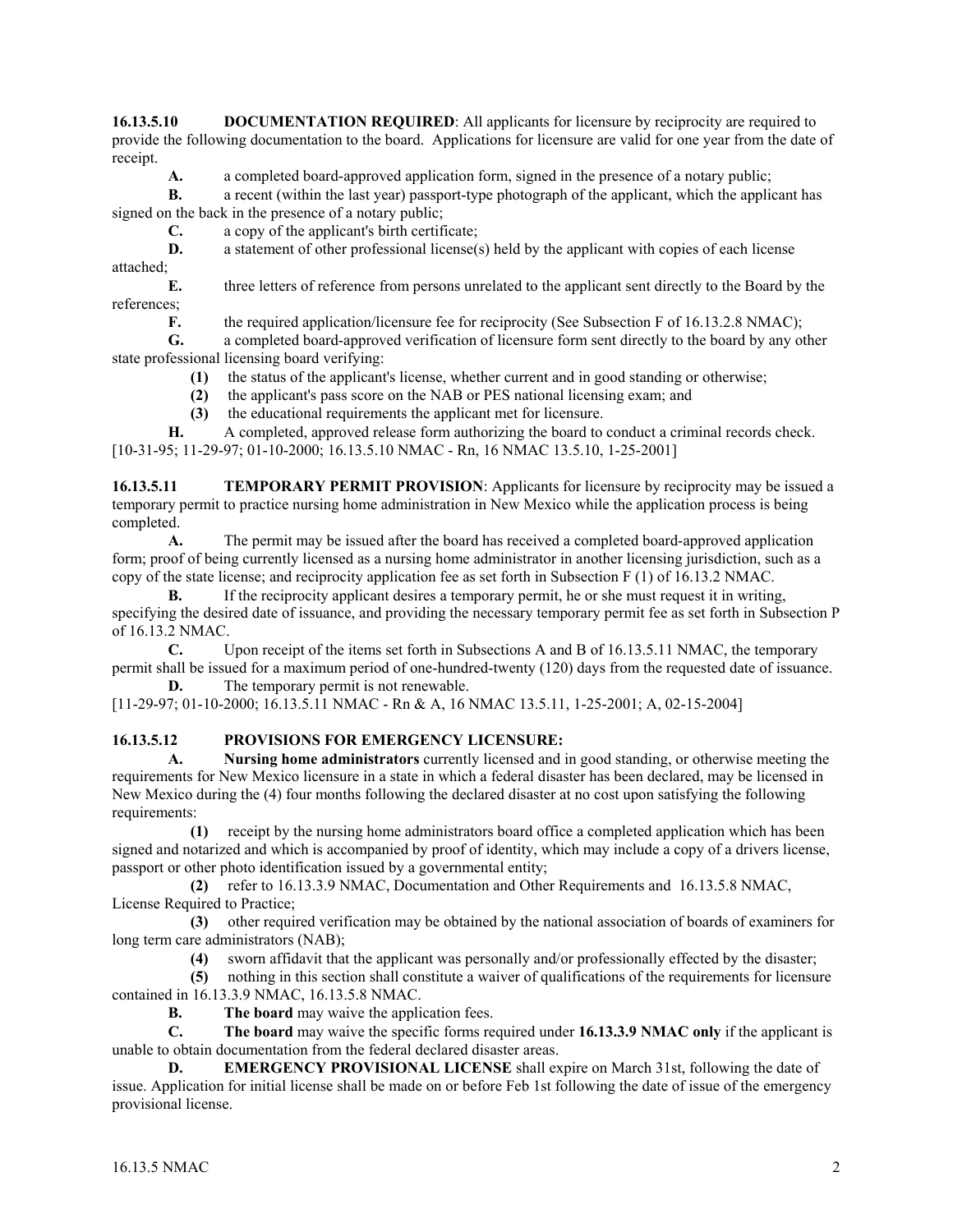**16.13.5.10 DOCUMENTATION REQUIRED:** All applicants for licensure by reciprocity are required to provide the following documentation to the board. Applications for licensure are valid for one year from the date of receipt.

**A.** a completed board-approved application form, signed in the presence of a notary public;

**B.** a recent (within the last year) passport-type photograph of the applicant, which the applicant has signed on the back in the presence of a notary public;

**C.** a copy of the applicant's birth certificate;

**D.** a statement of other professional license(s) held by the applicant with copies of each license attached;

**E.** three letters of reference from persons unrelated to the applicant sent directly to the Board by the references;

**F.** the required application/licensure fee for reciprocity (See Subsection F of 16.13.2.8 NMAC);

**G.** a completed board-approved verification of licensure form sent directly to the board by any other state professional licensing board verifying:

**(1)** the status of the applicant's license, whether current and in good standing or otherwise;

**(2)** the applicant's pass score on the NAB or PES national licensing exam; and

**(3)** the educational requirements the applicant met for licensure.

**H.** A completed, approved release form authorizing the board to conduct a criminal records check. [10-31-95; 11-29-97; 01-10-2000; 16.13.5.10 NMAC - Rn, 16 NMAC 13.5.10, 1-25-2001]

**16.13.5.11 TEMPORARY PERMIT PROVISION**: Applicants for licensure by reciprocity may be issued a temporary permit to practice nursing home administration in New Mexico while the application process is being completed.

**A.** The permit may be issued after the board has received a completed board-approved application form; proof of being currently licensed as a nursing home administrator in another licensing jurisdiction, such as a copy of the state license; and reciprocity application fee as set forth in Subsection F (1) of 16.13.2 NMAC.

**B.** If the reciprocity applicant desires a temporary permit, he or she must request it in writing, specifying the desired date of issuance, and providing the necessary temporary permit fee as set forth in Subsection P of 16.13.2 NMAC.

**C.** Upon receipt of the items set forth in Subsections A and B of 16.13.5.11 NMAC, the temporary permit shall be issued for a maximum period of one-hundred-twenty (120) days from the requested date of issuance. **D.** The temporary permit is not renewable.

[11-29-97; 01-10-2000; 16.13.5.11 NMAC - Rn & A, 16 NMAC 13.5.11, 1-25-2001; A, 02-15-2004]

# **16.13.5.12 PROVISIONS FOR EMERGENCY LICENSURE:**

**A. Nursing home administrators** currently licensed and in good standing, or otherwise meeting the requirements for New Mexico licensure in a state in which a federal disaster has been declared, may be licensed in New Mexico during the (4) four months following the declared disaster at no cost upon satisfying the following requirements:

 **(1)** receipt by the nursing home administrators board office a completed application which has been signed and notarized and which is accompanied by proof of identity, which may include a copy of a drivers license, passport or other photo identification issued by a governmental entity;

 **(2)** refer to 16.13.3.9 NMAC, Documentation and Other Requirements and 16.13.5.8 NMAC, License Required to Practice;

 **(3)** other required verification may be obtained by the national association of boards of examiners for long term care administrators (NAB);

**(4)** sworn affidavit that the applicant was personally and/or professionally effected by the disaster;

 **(5)** nothing in this section shall constitute a waiver of qualifications of the requirements for licensure contained in 16.13.3.9 NMAC, 16.13.5.8 NMAC.

**B.** The board may waive the application fees.

**C. The board** may waive the specific forms required under **16.13.3.9 NMAC only** if the applicant is unable to obtain documentation from the federal declared disaster areas.

**D.** EMERGENCY PROVISIONAL LICENSE shall expire on March 31st, following the date of issue. Application for initial license shall be made on or before Feb 1st following the date of issue of the emergency provisional license.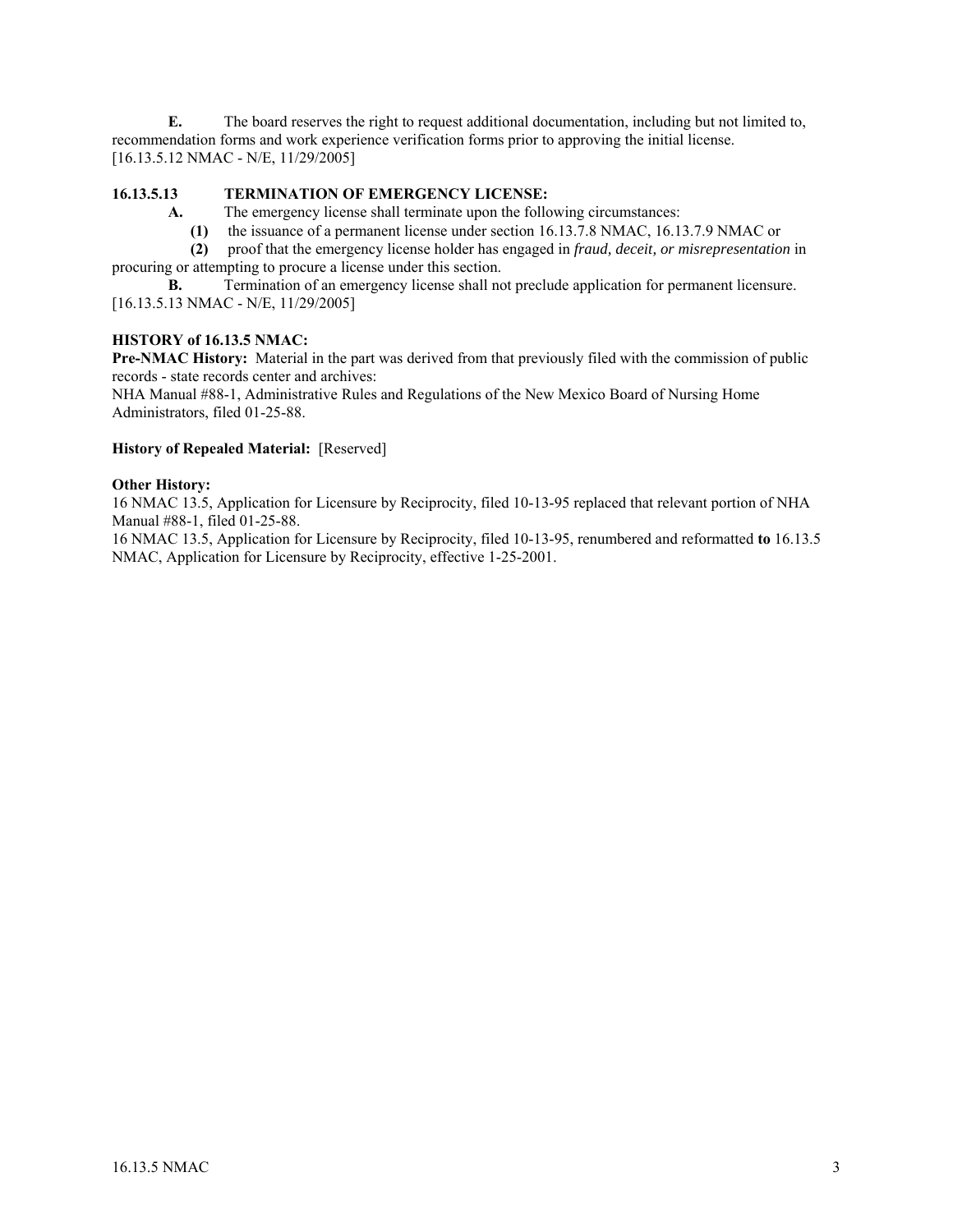**E.** The board reserves the right to request additional documentation, including but not limited to, recommendation forms and work experience verification forms prior to approving the initial license. [16.13.5.12 NMAC - N/E, 11/29/2005]

# **16.13.5.13 TERMINATION OF EMERGENCY LICENSE:**

**A.** The emergency license shall terminate upon the following circumstances:

**(1)** the issuance of a permanent license under section 16.13.7.8 NMAC, 16.13.7.9 NMAC or

 **(2)** proof that the emergency license holder has engaged in *fraud, deceit, or misrepresentation* in procuring or attempting to procure a license under this section.

**B.** Termination of an emergency license shall not preclude application for permanent licensure. [16.13.5.13 NMAC - N/E, 11/29/2005]

#### **HISTORY of 16.13.5 NMAC:**

**Pre-NMAC History:** Material in the part was derived from that previously filed with the commission of public records - state records center and archives:

NHA Manual #88-1, Administrative Rules and Regulations of the New Mexico Board of Nursing Home Administrators, filed 01-25-88.

#### **History of Repealed Material:** [Reserved]

#### **Other History:**

16 NMAC 13.5, Application for Licensure by Reciprocity, filed 10-13-95 replaced that relevant portion of NHA Manual #88-1, filed 01-25-88.

16 NMAC 13.5, Application for Licensure by Reciprocity, filed 10-13-95, renumbered and reformatted **to** 16.13.5 NMAC, Application for Licensure by Reciprocity, effective 1-25-2001.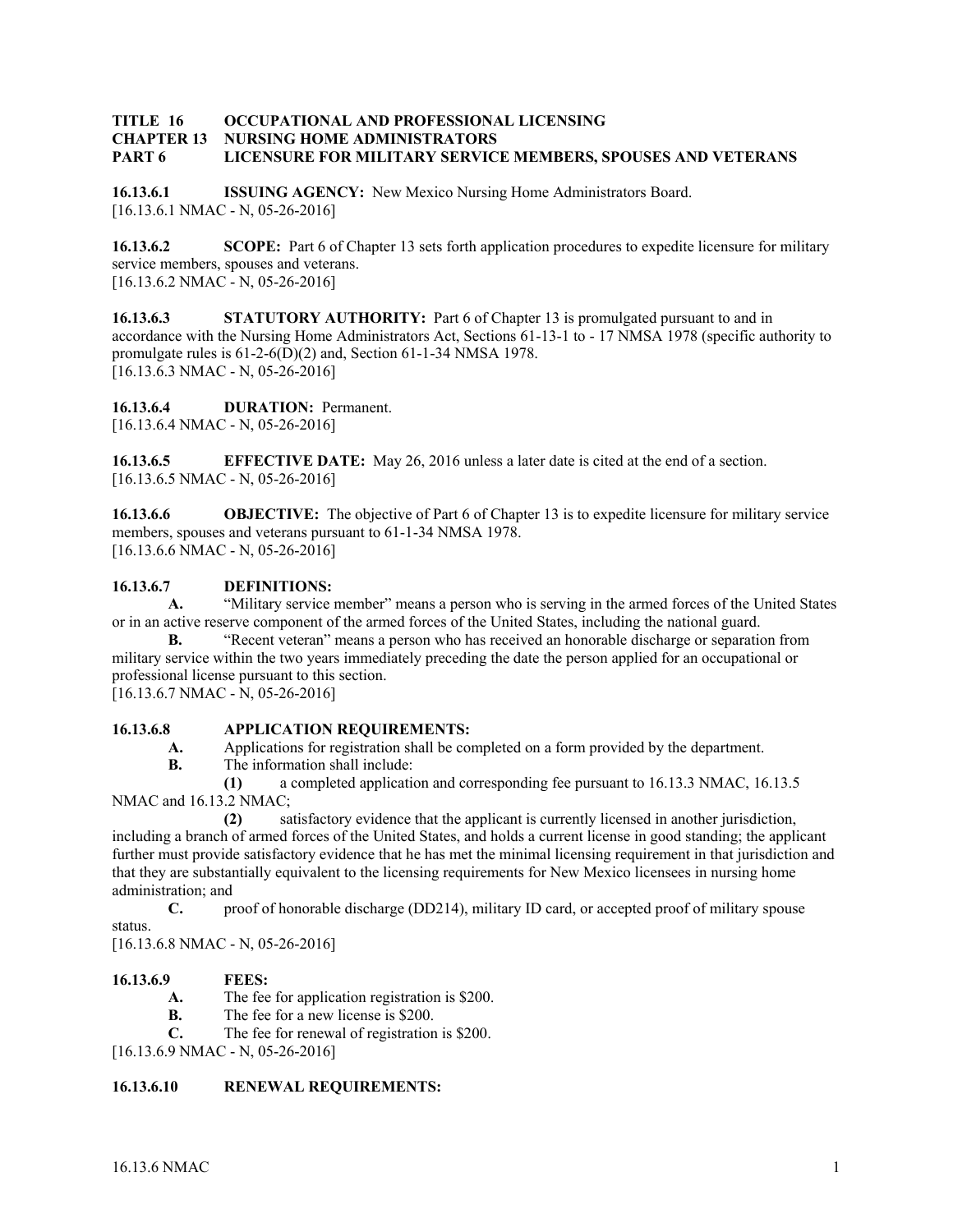# **TITLE 16 OCCUPATIONAL AND PROFESSIONAL LICENSING CHAPTER 13 NURSING HOME ADMINISTRATORS PART 6 LICENSURE FOR MILITARY SERVICE MEMBERS, SPOUSES AND VETERANS**

**16.13.6.1 ISSUING AGENCY:** New Mexico Nursing Home Administrators Board. [16.13.6.1 NMAC - N, 05-26-2016]

**16.13.6.2 SCOPE:** Part 6 of Chapter 13 sets forth application procedures to expedite licensure for military service members, spouses and veterans. [16.13.6.2 NMAC - N, 05-26-2016]

**16.13.6.3 STATUTORY AUTHORITY:** Part 6 of Chapter 13 is promulgated pursuant to and in accordance with the Nursing Home Administrators Act, Sections 61-13-1 to - 17 NMSA 1978 (specific authority to promulgate rules is 61-2-6(D)(2) and, Section 61-1-34 NMSA 1978. [16.13.6.3 NMAC - N, 05-26-2016]

**16.13.6.4 DURATION:** Permanent. [16.13.6.4 NMAC - N, 05-26-2016]

**16.13.6.5 EFFECTIVE DATE:** May 26, 2016 unless a later date is cited at the end of a section. [16.13.6.5 NMAC - N, 05-26-2016]

**16.13.6.6 OBJECTIVE:** The objective of Part 6 of Chapter 13 is to expedite licensure for military service members, spouses and veterans pursuant to 61-1-34 NMSA 1978. [16.13.6.6 NMAC - N, 05-26-2016]

# **16.13.6.7 DEFINITIONS:**

**A.** "Military service member" means a person who is serving in the armed forces of the United States or in an active reserve component of the armed forces of the United States, including the national guard.

**B.** "Recent veteran" means a person who has received an honorable discharge or separation from military service within the two years immediately preceding the date the person applied for an occupational or professional license pursuant to this section.

[16.13.6.7 NMAC - N, 05-26-2016]

## **16.13.6.8 APPLICATION REQUIREMENTS:**

**A.** Applications for registration shall be completed on a form provided by the department.

**B.** The information shall include:

 **(1)** a completed application and corresponding fee pursuant to 16.13.3 NMAC, 16.13.5 NMAC and 16.13.2 NMAC;

 **(2)** satisfactory evidence that the applicant is currently licensed in another jurisdiction, including a branch of armed forces of the United States, and holds a current license in good standing; the applicant further must provide satisfactory evidence that he has met the minimal licensing requirement in that jurisdiction and that they are substantially equivalent to the licensing requirements for New Mexico licensees in nursing home administration; and

**C.** proof of honorable discharge (DD214), military ID card, or accepted proof of military spouse status.

[16.13.6.8 NMAC - N, 05-26-2016]

## **16.13.6.9 FEES:**

- **A.** The fee for application registration is \$200.
- **B.** The fee for a new license is \$200.
- **C.** The fee for renewal of registration is \$200.

[16.13.6.9 NMAC - N, 05-26-2016]

#### **16.13.6.10 RENEWAL REQUIREMENTS:**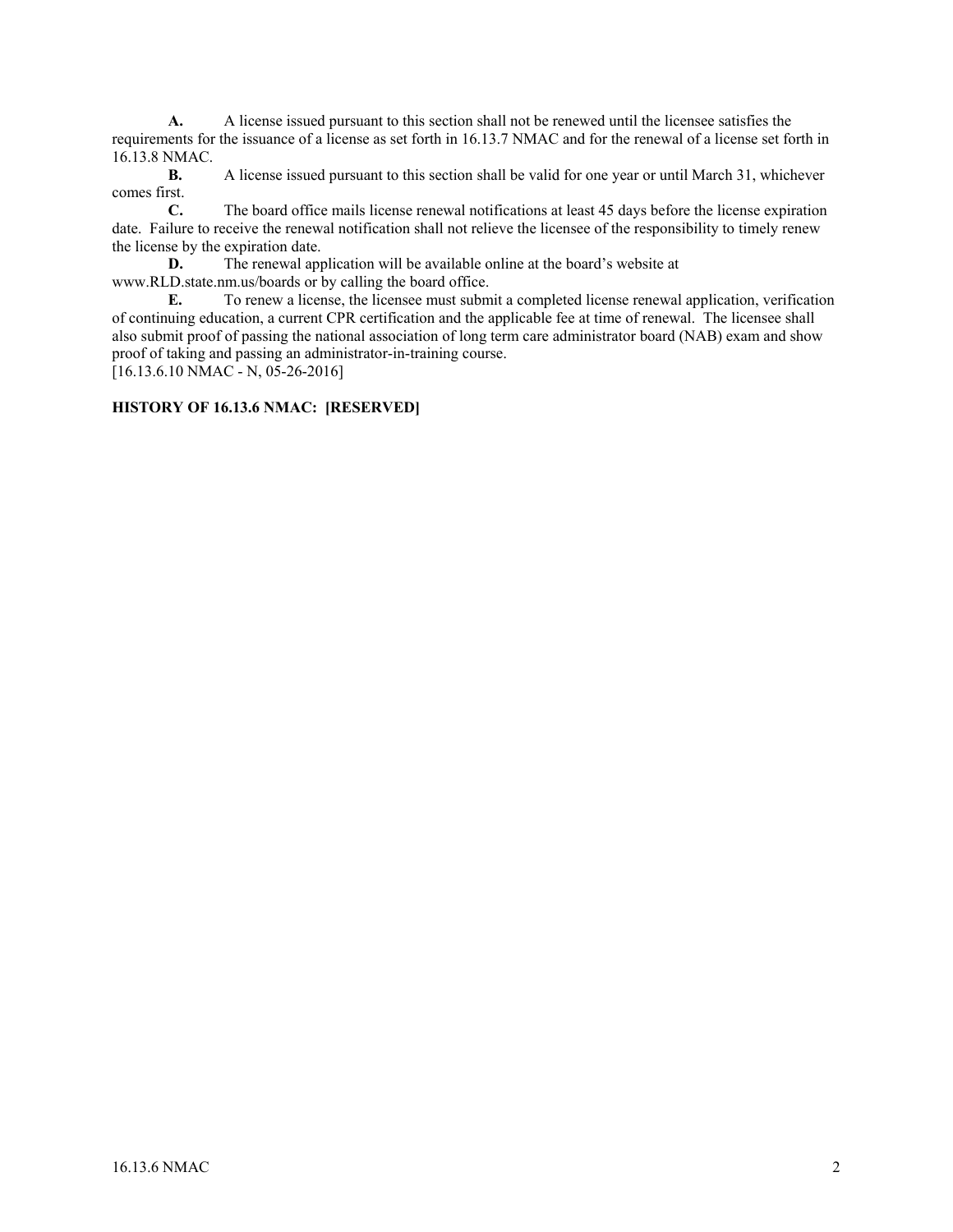**A.** A license issued pursuant to this section shall not be renewed until the licensee satisfies the requirements for the issuance of a license as set forth in 16.13.7 NMAC and for the renewal of a license set forth in 16.13.8 NMAC.

**B.** A license issued pursuant to this section shall be valid for one year or until March 31, whichever comes first.

**C.** The board office mails license renewal notifications at least 45 days before the license expiration date. Failure to receive the renewal notification shall not relieve the licensee of the responsibility to timely renew the license by the expiration date.

**D.** The renewal application will be available online at the board's website at www.RLD.state.nm.us/boards or by calling the board office.

**E.** To renew a license, the licensee must submit a completed license renewal application, verification of continuing education, a current CPR certification and the applicable fee at time of renewal. The licensee shall also submit proof of passing the national association of long term care administrator board (NAB) exam and show proof of taking and passing an administrator-in-training course.

[16.13.6.10 NMAC - N, 05-26-2016]

## **HISTORY OF 16.13.6 NMAC: [RESERVED]**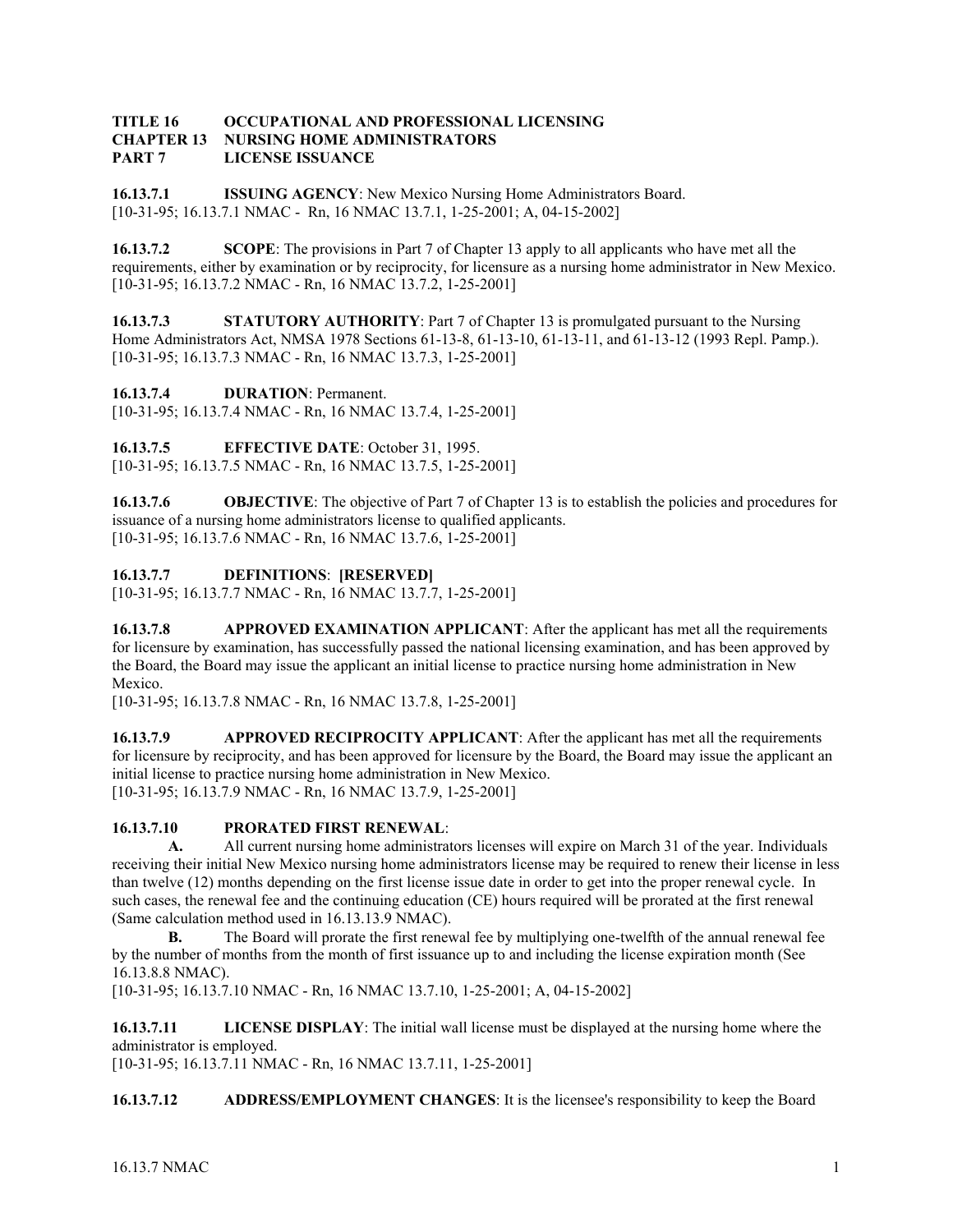#### **TITLE 16 OCCUPATIONAL AND PROFESSIONAL LICENSING CHAPTER 13 NURSING HOME ADMINISTRATORS PART 7 LICENSE ISSUANCE**

**16.13.7.1 ISSUING AGENCY**: New Mexico Nursing Home Administrators Board. [10-31-95; 16.13.7.1 NMAC - Rn, 16 NMAC 13.7.1, 1-25-2001; A, 04-15-2002]

**16.13.7.2 SCOPE**: The provisions in Part 7 of Chapter 13 apply to all applicants who have met all the requirements, either by examination or by reciprocity, for licensure as a nursing home administrator in New Mexico. [10-31-95; 16.13.7.2 NMAC - Rn, 16 NMAC 13.7.2, 1-25-2001]

**16.13.7.3** STATUTORY AUTHORITY: Part 7 of Chapter 13 is promulgated pursuant to the Nursing Home Administrators Act, NMSA 1978 Sections 61-13-8, 61-13-10, 61-13-11, and 61-13-12 (1993 Repl. Pamp.). [10-31-95; 16.13.7.3 NMAC - Rn, 16 NMAC 13.7.3, 1-25-2001]

**16.13.7.4 DURATION**: Permanent.

[10-31-95; 16.13.7.4 NMAC - Rn, 16 NMAC 13.7.4, 1-25-2001]

**16.13.7.5 EFFECTIVE DATE**: October 31, 1995.

[10-31-95; 16.13.7.5 NMAC - Rn, 16 NMAC 13.7.5, 1-25-2001]

**16.13.7.6 OBJECTIVE**: The objective of Part 7 of Chapter 13 is to establish the policies and procedures for issuance of a nursing home administrators license to qualified applicants. [10-31-95; 16.13.7.6 NMAC - Rn, 16 NMAC 13.7.6, 1-25-2001]

**16.13.7.7 DEFINITIONS**: **[RESERVED]**

[10-31-95; 16.13.7.7 NMAC - Rn, 16 NMAC 13.7.7, 1-25-2001]

**16.13.7.8** APPROVED EXAMINATION APPLICANT: After the applicant has met all the requirements for licensure by examination, has successfully passed the national licensing examination, and has been approved by the Board, the Board may issue the applicant an initial license to practice nursing home administration in New Mexico.

[10-31-95; 16.13.7.8 NMAC - Rn, 16 NMAC 13.7.8, 1-25-2001]

**16.13.7.9 APPROVED RECIPROCITY APPLICANT:** After the applicant has met all the requirements for licensure by reciprocity, and has been approved for licensure by the Board, the Board may issue the applicant an initial license to practice nursing home administration in New Mexico. [10-31-95; 16.13.7.9 NMAC - Rn, 16 NMAC 13.7.9, 1-25-2001]

## **16.13.7.10 PRORATED FIRST RENEWAL**:

**A.** All current nursing home administrators licenses will expire on March 31 of the year. Individuals receiving their initial New Mexico nursing home administrators license may be required to renew their license in less than twelve (12) months depending on the first license issue date in order to get into the proper renewal cycle. In such cases, the renewal fee and the continuing education (CE) hours required will be prorated at the first renewal (Same calculation method used in 16.13.13.9 NMAC).

**B.** The Board will prorate the first renewal fee by multiplying one-twelfth of the annual renewal fee by the number of months from the month of first issuance up to and including the license expiration month (See 16.13.8.8 NMAC).

[10-31-95; 16.13.7.10 NMAC - Rn, 16 NMAC 13.7.10, 1-25-2001; A, 04-15-2002]

**16.13.7.11 LICENSE DISPLAY**: The initial wall license must be displayed at the nursing home where the administrator is employed.

[10-31-95; 16.13.7.11 NMAC - Rn, 16 NMAC 13.7.11, 1-25-2001]

**16.13.7.12** ADDRESS/EMPLOYMENT CHANGES: It is the licensee's responsibility to keep the Board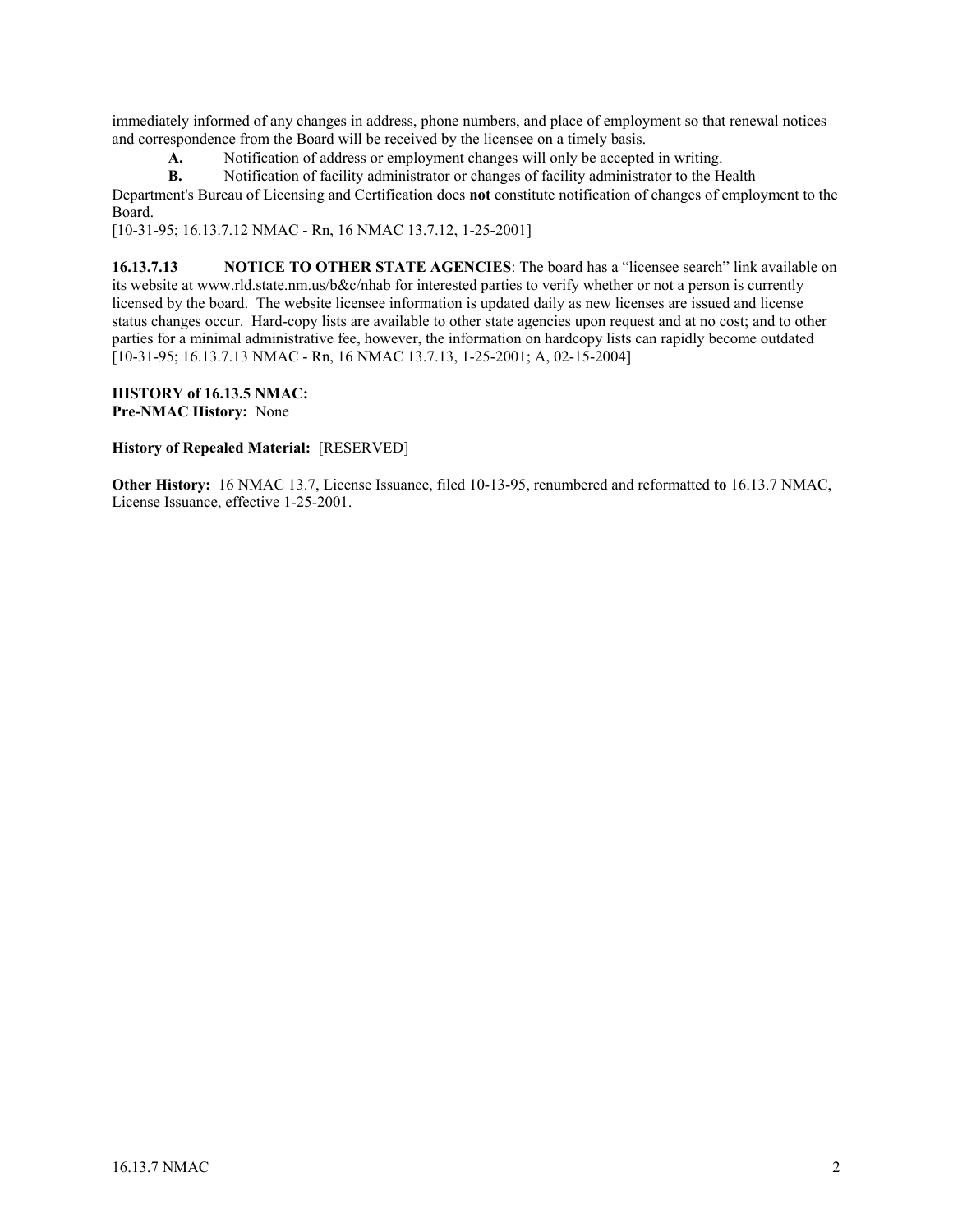immediately informed of any changes in address, phone numbers, and place of employment so that renewal notices and correspondence from the Board will be received by the licensee on a timely basis.

**A.** Notification of address or employment changes will only be accepted in writing.

**B.** Notification of facility administrator or changes of facility administrator to the Health

Department's Bureau of Licensing and Certification does **not** constitute notification of changes of employment to the Board.

[10-31-95; 16.13.7.12 NMAC - Rn, 16 NMAC 13.7.12, 1-25-2001]

**16.13.7.13 NOTICE TO OTHER STATE AGENCIES**: The board has a "licensee search" link available on its website at www.rld.state.nm.us/b&c/nhab for interested parties to verify whether or not a person is currently licensed by the board. The website licensee information is updated daily as new licenses are issued and license status changes occur. Hard-copy lists are available to other state agencies upon request and at no cost; and to other parties for a minimal administrative fee, however, the information on hardcopy lists can rapidly become outdated [10-31-95; 16.13.7.13 NMAC - Rn, 16 NMAC 13.7.13, 1-25-2001; A, 02-15-2004]

**HISTORY of 16.13.5 NMAC: Pre-NMAC History:** None

#### **History of Repealed Material:** [RESERVED]

**Other History:** 16 NMAC 13.7, License Issuance, filed 10-13-95, renumbered and reformatted **to** 16.13.7 NMAC, License Issuance, effective 1-25-2001.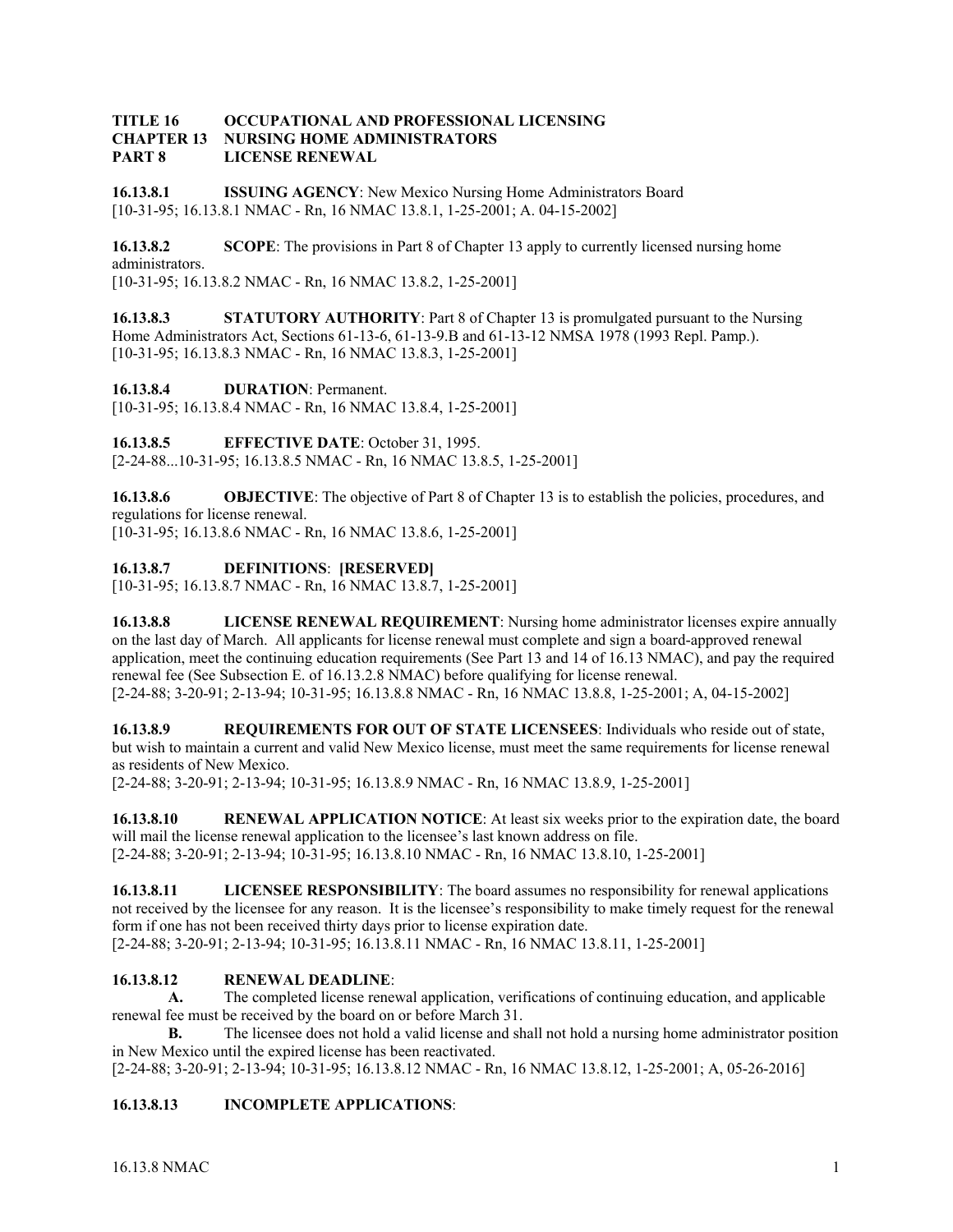#### **TITLE 16 OCCUPATIONAL AND PROFESSIONAL LICENSING CHAPTER 13 NURSING HOME ADMINISTRATORS PART 8 LICENSE RENEWAL**

**16.13.8.1 ISSUING AGENCY**: New Mexico Nursing Home Administrators Board [10-31-95; 16.13.8.1 NMAC - Rn, 16 NMAC 13.8.1, 1-25-2001; A. 04-15-2002]

**16.13.8.2 SCOPE:** The provisions in Part 8 of Chapter 13 apply to currently licensed nursing home administrators.

[10-31-95; 16.13.8.2 NMAC - Rn, 16 NMAC 13.8.2, 1-25-2001]

**16.13.8.3 STATUTORY AUTHORITY:** Part 8 of Chapter 13 is promulgated pursuant to the Nursing Home Administrators Act, Sections 61-13-6, 61-13-9.B and 61-13-12 NMSA 1978 (1993 Repl. Pamp.). [10-31-95; 16.13.8.3 NMAC - Rn, 16 NMAC 13.8.3, 1-25-2001]

**16.13.8.4 DURATION**: Permanent.

[10-31-95; 16.13.8.4 NMAC - Rn, 16 NMAC 13.8.4, 1-25-2001]

**16.13.8.5 EFFECTIVE DATE**: October 31, 1995. [2-24-88...10-31-95; 16.13.8.5 NMAC - Rn, 16 NMAC 13.8.5, 1-25-2001]

**16.13.8.6 OBJECTIVE**: The objective of Part 8 of Chapter 13 is to establish the policies, procedures, and regulations for license renewal. [10-31-95; 16.13.8.6 NMAC - Rn, 16 NMAC 13.8.6, 1-25-2001]

**16.13.8.7 DEFINITIONS**: **[RESERVED]**

[10-31-95; 16.13.8.7 NMAC - Rn, 16 NMAC 13.8.7, 1-25-2001]

**16.13.8.8 LICENSE RENEWAL REQUIREMENT**: Nursing home administrator licenses expire annually on the last day of March. All applicants for license renewal must complete and sign a board-approved renewal application, meet the continuing education requirements (See Part 13 and 14 of 16.13 NMAC), and pay the required renewal fee (See Subsection E. of 16.13.2.8 NMAC) before qualifying for license renewal. [2-24-88; 3-20-91; 2-13-94; 10-31-95; 16.13.8.8 NMAC - Rn, 16 NMAC 13.8.8, 1-25-2001; A, 04-15-2002]

**16.13.8.9 REQUIREMENTS FOR OUT OF STATE LICENSEES**: Individuals who reside out of state, but wish to maintain a current and valid New Mexico license, must meet the same requirements for license renewal as residents of New Mexico.

[2-24-88; 3-20-91; 2-13-94; 10-31-95; 16.13.8.9 NMAC - Rn, 16 NMAC 13.8.9, 1-25-2001]

**16.13.8.10** RENEWAL APPLICATION NOTICE: At least six weeks prior to the expiration date, the board will mail the license renewal application to the licensee's last known address on file. [2-24-88; 3-20-91; 2-13-94; 10-31-95; 16.13.8.10 NMAC - Rn, 16 NMAC 13.8.10, 1-25-2001]

**16.13.8.11** LICENSEE RESPONSIBILITY: The board assumes no responsibility for renewal applications not received by the licensee for any reason. It is the licensee's responsibility to make timely request for the renewal form if one has not been received thirty days prior to license expiration date.

[2-24-88; 3-20-91; 2-13-94; 10-31-95; 16.13.8.11 NMAC - Rn, 16 NMAC 13.8.11, 1-25-2001]

# **16.13.8.12 RENEWAL DEADLINE**:

 **A.** The completed license renewal application, verifications of continuing education, and applicable renewal fee must be received by the board on or before March 31.

**B.** The licensee does not hold a valid license and shall not hold a nursing home administrator position in New Mexico until the expired license has been reactivated.

[2-24-88; 3-20-91; 2-13-94; 10-31-95; 16.13.8.12 NMAC - Rn, 16 NMAC 13.8.12, 1-25-2001; A, 05-26-2016]

# **16.13.8.13 INCOMPLETE APPLICATIONS**: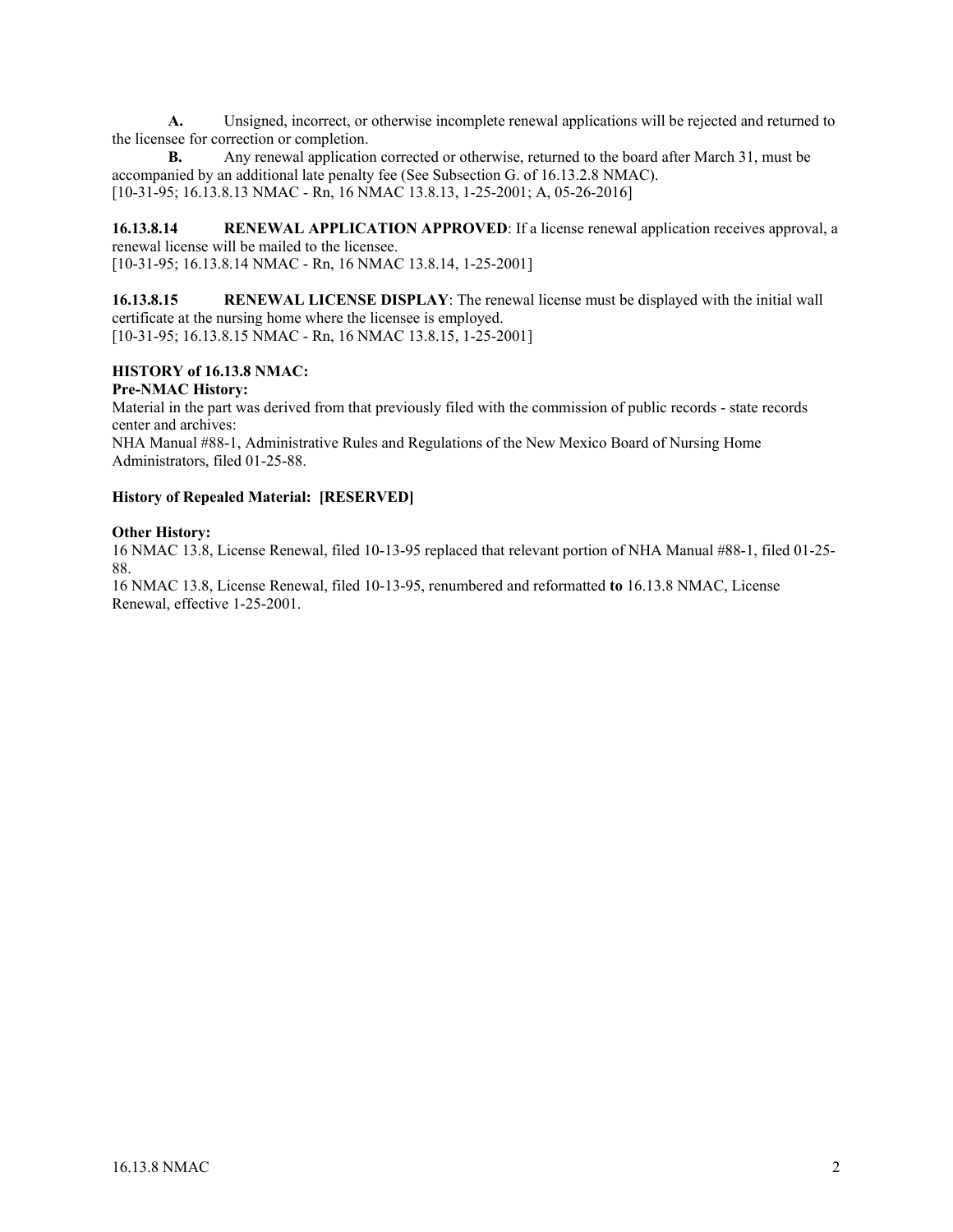**A.** Unsigned, incorrect, or otherwise incomplete renewal applications will be rejected and returned to the licensee for correction or completion.

**B.** Any renewal application corrected or otherwise, returned to the board after March 31, must be accompanied by an additional late penalty fee (See Subsection G. of 16.13.2.8 NMAC). [10-31-95; 16.13.8.13 NMAC - Rn, 16 NMAC 13.8.13, 1-25-2001; A, 05-26-2016]

**16.13.8.14 RENEWAL APPLICATION APPROVED**: If a license renewal application receives approval, a renewal license will be mailed to the licensee. [10-31-95; 16.13.8.14 NMAC - Rn, 16 NMAC 13.8.14, 1-25-2001]

**16.13.8.15 RENEWAL LICENSE DISPLAY**: The renewal license must be displayed with the initial wall certificate at the nursing home where the licensee is employed. [10-31-95; 16.13.8.15 NMAC - Rn, 16 NMAC 13.8.15, 1-25-2001]

# **HISTORY of 16.13.8 NMAC:**

## **Pre-NMAC History:**

Material in the part was derived from that previously filed with the commission of public records - state records center and archives:

NHA Manual #88-1, Administrative Rules and Regulations of the New Mexico Board of Nursing Home Administrators, filed 01-25-88.

# **History of Repealed Material: [RESERVED]**

#### **Other History:**

16 NMAC 13.8, License Renewal, filed 10-13-95 replaced that relevant portion of NHA Manual #88-1, filed 01-25- 88.

16 NMAC 13.8, License Renewal, filed 10-13-95, renumbered and reformatted **to** 16.13.8 NMAC, License Renewal, effective 1-25-2001.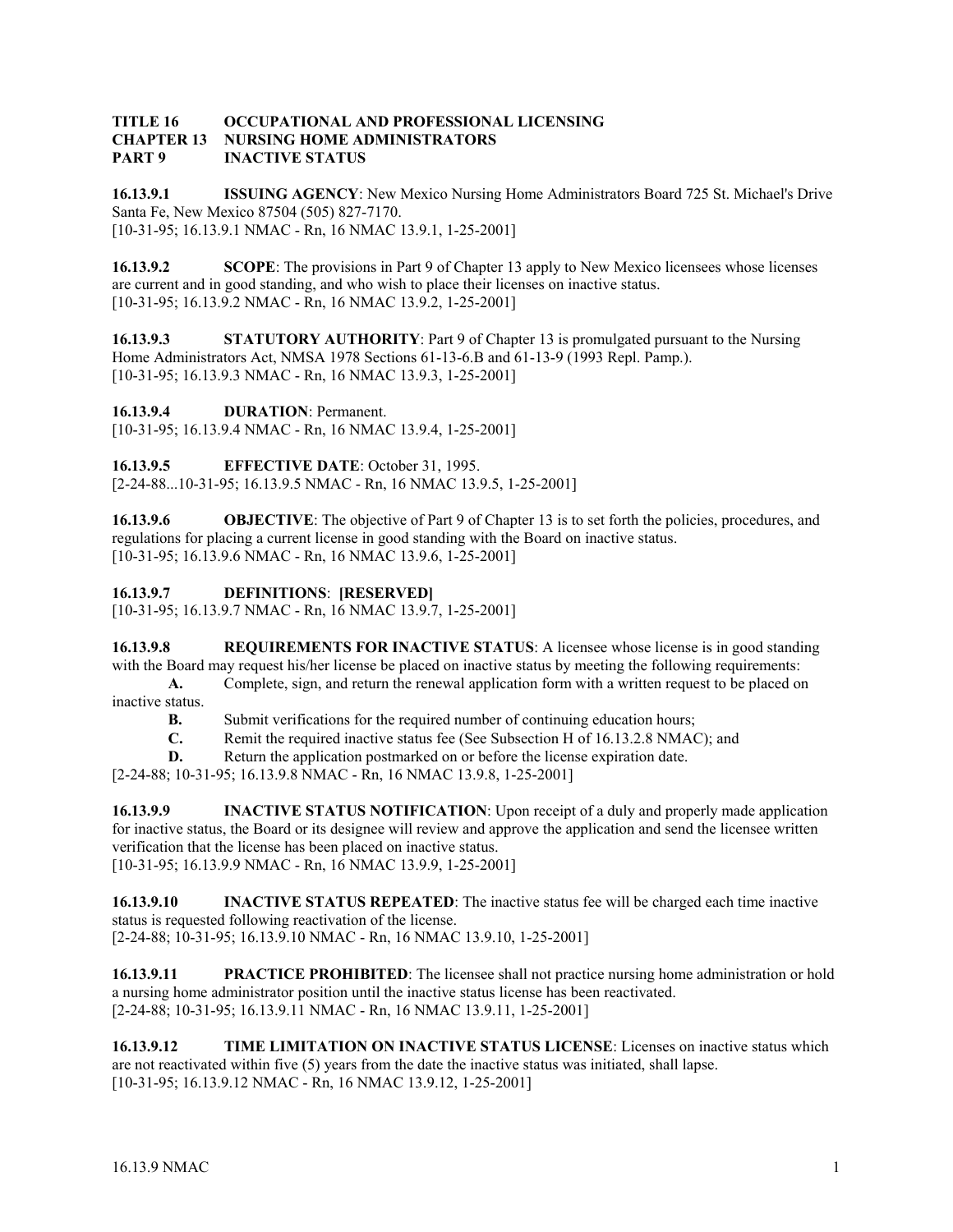#### **TITLE 16 OCCUPATIONAL AND PROFESSIONAL LICENSING CHAPTER 13 NURSING HOME ADMINISTRATORS PART 9 INACTIVE STATUS**

**16.13.9.1 ISSUING AGENCY**: New Mexico Nursing Home Administrators Board 725 St. Michael's Drive Santa Fe, New Mexico 87504 (505) 827-7170. [10-31-95; 16.13.9.1 NMAC - Rn, 16 NMAC 13.9.1, 1-25-2001]

**16.13.9.2 SCOPE**: The provisions in Part 9 of Chapter 13 apply to New Mexico licensees whose licenses are current and in good standing, and who wish to place their licenses on inactive status. [10-31-95; 16.13.9.2 NMAC - Rn, 16 NMAC 13.9.2, 1-25-2001]

**16.13.9.3 STATUTORY AUTHORITY**: Part 9 of Chapter 13 is promulgated pursuant to the Nursing Home Administrators Act, NMSA 1978 Sections 61-13-6.B and 61-13-9 (1993 Repl. Pamp.). [10-31-95; 16.13.9.3 NMAC - Rn, 16 NMAC 13.9.3, 1-25-2001]

**16.13.9.4 DURATION**: Permanent.

[10-31-95; 16.13.9.4 NMAC - Rn, 16 NMAC 13.9.4, 1-25-2001]

**16.13.9.5 EFFECTIVE DATE**: October 31, 1995. [2-24-88...10-31-95; 16.13.9.5 NMAC - Rn, 16 NMAC 13.9.5, 1-25-2001]

**16.13.9.6 OBJECTIVE**: The objective of Part 9 of Chapter 13 is to set forth the policies, procedures, and regulations for placing a current license in good standing with the Board on inactive status. [10-31-95; 16.13.9.6 NMAC - Rn, 16 NMAC 13.9.6, 1-25-2001]

**16.13.9.7 DEFINITIONS**: **[RESERVED]**

[10-31-95; 16.13.9.7 NMAC - Rn, 16 NMAC 13.9.7, 1-25-2001]

**16.13.9.8** REQUIREMENTS FOR INACTIVE STATUS: A licensee whose license is in good standing with the Board may request his/her license be placed on inactive status by meeting the following requirements: **A.** Complete, sign, and return the renewal application form with a written request to be placed on

inactive status.

**B.** Submit verifications for the required number of continuing education hours;

- **C.** Remit the required inactive status fee (See Subsection H of 16.13.2.8 NMAC); and
- **D.** Return the application postmarked on or before the license expiration date.

[2-24-88; 10-31-95; 16.13.9.8 NMAC - Rn, 16 NMAC 13.9.8, 1-25-2001]

**16.13.9.9 INACTIVE STATUS NOTIFICATION**: Upon receipt of a duly and properly made application for inactive status, the Board or its designee will review and approve the application and send the licensee written verification that the license has been placed on inactive status. [10-31-95; 16.13.9.9 NMAC - Rn, 16 NMAC 13.9.9, 1-25-2001]

**16.13.9.10 INACTIVE STATUS REPEATED**: The inactive status fee will be charged each time inactive status is requested following reactivation of the license.

[2-24-88; 10-31-95; 16.13.9.10 NMAC - Rn, 16 NMAC 13.9.10, 1-25-2001]

**16.13.9.11** PRACTICE PROHIBITED: The licensee shall not practice nursing home administration or hold a nursing home administrator position until the inactive status license has been reactivated. [2-24-88; 10-31-95; 16.13.9.11 NMAC - Rn, 16 NMAC 13.9.11, 1-25-2001]

**16.13.9.12 TIME LIMITATION ON INACTIVE STATUS LICENSE**: Licenses on inactive status which are not reactivated within five (5) years from the date the inactive status was initiated, shall lapse. [10-31-95; 16.13.9.12 NMAC - Rn, 16 NMAC 13.9.12, 1-25-2001]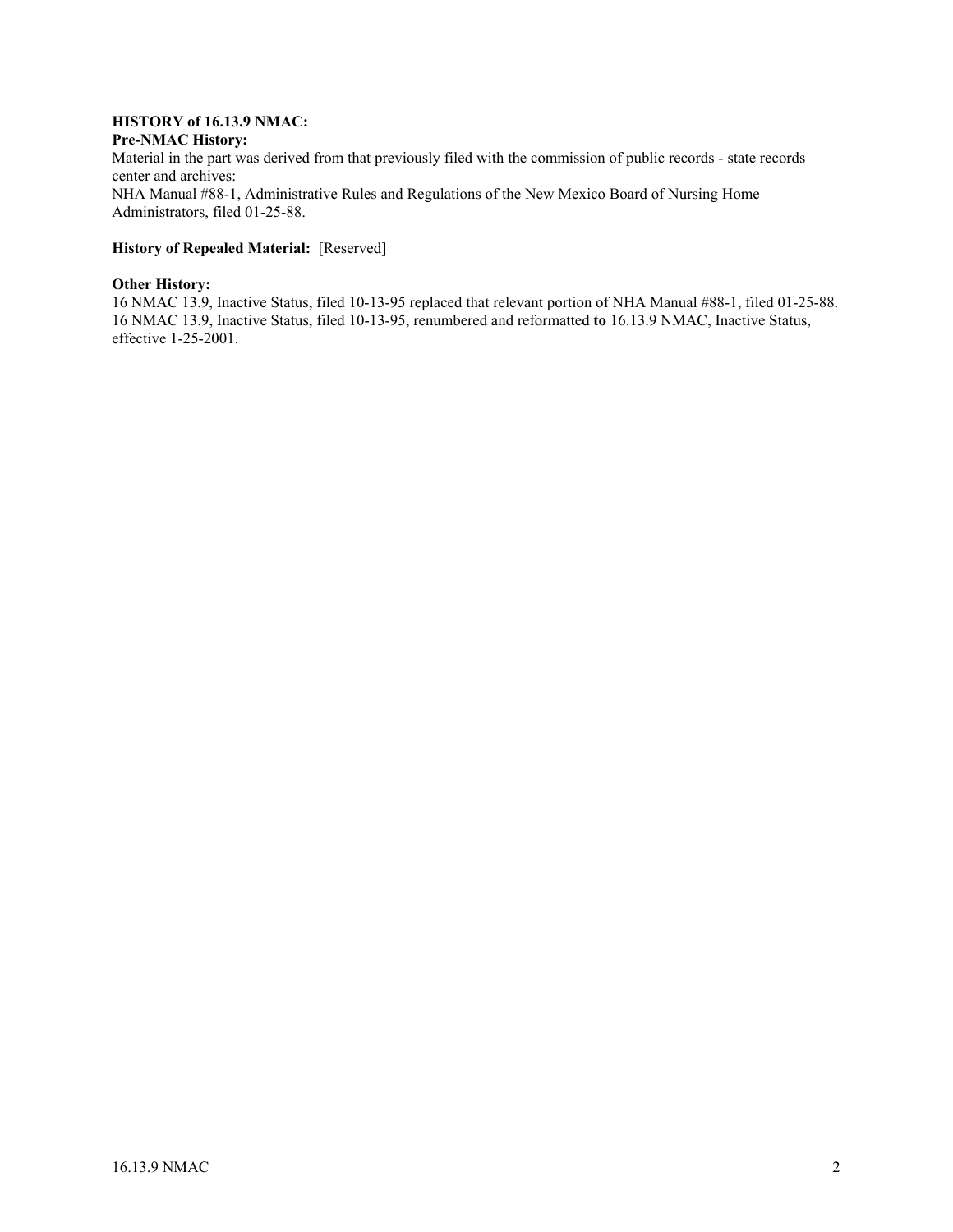#### **HISTORY of 16.13.9 NMAC: Pre-NMAC History:**

Material in the part was derived from that previously filed with the commission of public records - state records center and archives: NHA Manual #88-1, Administrative Rules and Regulations of the New Mexico Board of Nursing Home Administrators, filed 01-25-88.

# **History of Repealed Material:** [Reserved]

#### **Other History:**

16 NMAC 13.9, Inactive Status, filed 10-13-95 replaced that relevant portion of NHA Manual #88-1, filed 01-25-88. 16 NMAC 13.9, Inactive Status, filed 10-13-95, renumbered and reformatted **to** 16.13.9 NMAC, Inactive Status, effective 1-25-2001.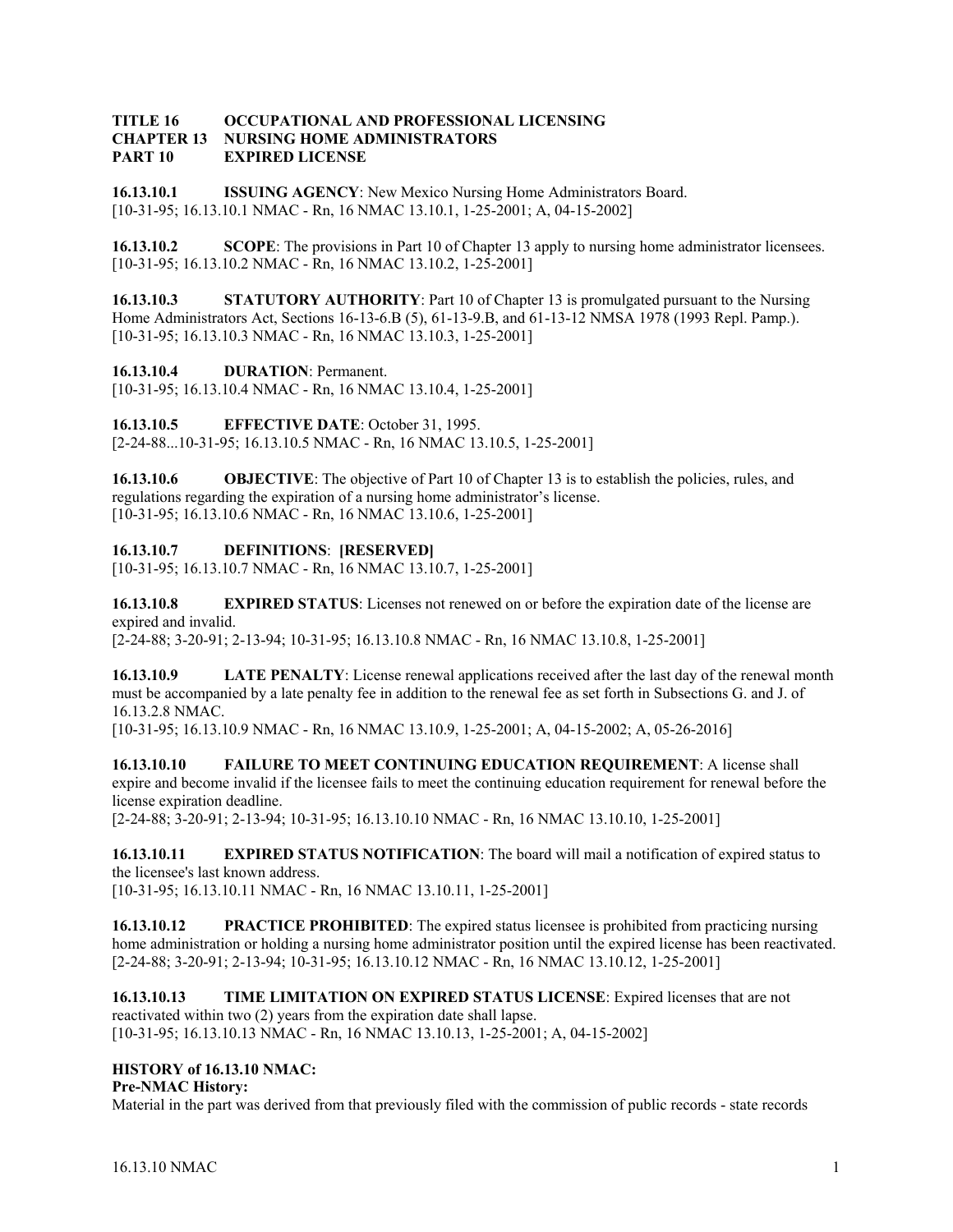#### **TITLE 16 OCCUPATIONAL AND PROFESSIONAL LICENSING CHAPTER 13 NURSING HOME ADMINISTRATORS PART 10 EXPIRED LICENSE**

**16.13.10.1 ISSUING AGENCY**: New Mexico Nursing Home Administrators Board. [10-31-95; 16.13.10.1 NMAC - Rn, 16 NMAC 13.10.1, 1-25-2001; A, 04-15-2002]

**16.13.10.2 SCOPE**: The provisions in Part 10 of Chapter 13 apply to nursing home administrator licensees. [10-31-95; 16.13.10.2 NMAC - Rn, 16 NMAC 13.10.2, 1-25-2001]

**16.13.10.3** STATUTORY AUTHORITY: Part 10 of Chapter 13 is promulgated pursuant to the Nursing Home Administrators Act, Sections 16-13-6.B (5), 61-13-9.B, and 61-13-12 NMSA 1978 (1993 Repl. Pamp.). [10-31-95; 16.13.10.3 NMAC - Rn, 16 NMAC 13.10.3, 1-25-2001]

**16.13.10.4 DURATION**: Permanent.

[10-31-95; 16.13.10.4 NMAC - Rn, 16 NMAC 13.10.4, 1-25-2001]

**16.13.10.5 EFFECTIVE DATE**: October 31, 1995.

[2-24-88...10-31-95; 16.13.10.5 NMAC - Rn, 16 NMAC 13.10.5, 1-25-2001]

**16.13.10.6 OBJECTIVE**: The objective of Part 10 of Chapter 13 is to establish the policies, rules, and regulations regarding the expiration of a nursing home administrator's license. [10-31-95; 16.13.10.6 NMAC - Rn, 16 NMAC 13.10.6, 1-25-2001]

#### **16.13.10.7 DEFINITIONS**: **[RESERVED]**

[10-31-95; 16.13.10.7 NMAC - Rn, 16 NMAC 13.10.7, 1-25-2001]

**16.13.10.8 EXPIRED STATUS**: Licenses not renewed on or before the expiration date of the license are expired and invalid.

[2-24-88; 3-20-91; 2-13-94; 10-31-95; 16.13.10.8 NMAC - Rn, 16 NMAC 13.10.8, 1-25-2001]

**16.13.10.9 LATE PENALTY**: License renewal applications received after the last day of the renewal month must be accompanied by a late penalty fee in addition to the renewal fee as set forth in Subsections G. and J. of 16.13.2.8 NMAC.

[10-31-95; 16.13.10.9 NMAC - Rn, 16 NMAC 13.10.9, 1-25-2001; A, 04-15-2002; A, 05-26-2016]

**16.13.10.10 FAILURE TO MEET CONTINUING EDUCATION REQUIREMENT**: A license shall expire and become invalid if the licensee fails to meet the continuing education requirement for renewal before the license expiration deadline.

[2-24-88; 3-20-91; 2-13-94; 10-31-95; 16.13.10.10 NMAC - Rn, 16 NMAC 13.10.10, 1-25-2001]

**16.13.10.11 EXPIRED STATUS NOTIFICATION**: The board will mail a notification of expired status to the licensee's last known address.

[10-31-95; 16.13.10.11 NMAC - Rn, 16 NMAC 13.10.11, 1-25-2001]

**16.13.10.12** PRACTICE PROHIBITED: The expired status licensee is prohibited from practicing nursing home administration or holding a nursing home administrator position until the expired license has been reactivated. [2-24-88; 3-20-91; 2-13-94; 10-31-95; 16.13.10.12 NMAC - Rn, 16 NMAC 13.10.12, 1-25-2001]

**16.13.10.13 TIME LIMITATION ON EXPIRED STATUS LICENSE**: Expired licenses that are not reactivated within two (2) years from the expiration date shall lapse. [10-31-95; 16.13.10.13 NMAC - Rn, 16 NMAC 13.10.13, 1-25-2001; A, 04-15-2002]

## **HISTORY of 16.13.10 NMAC:**

**Pre-NMAC History:**

Material in the part was derived from that previously filed with the commission of public records - state records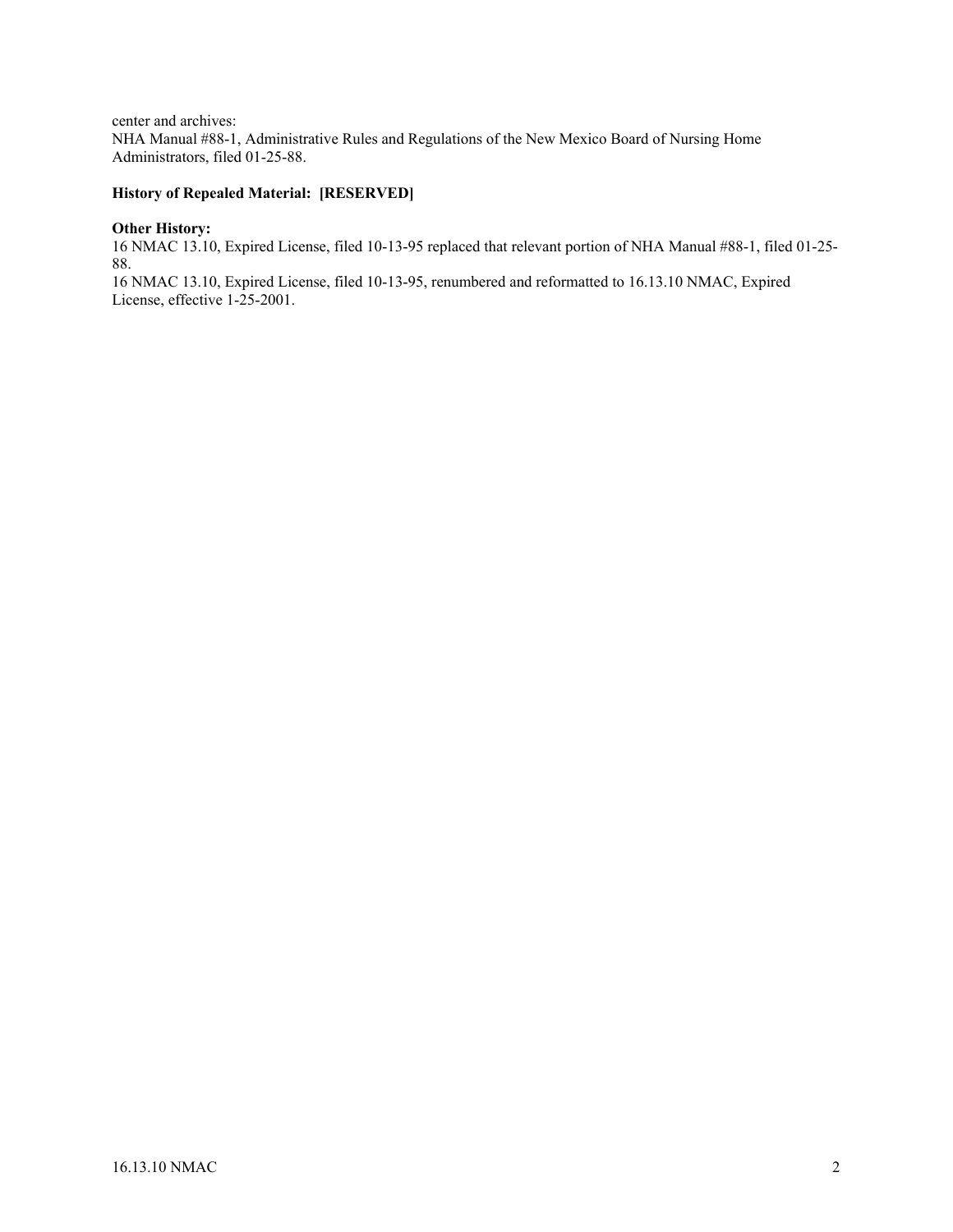center and archives: NHA Manual #88-1, Administrative Rules and Regulations of the New Mexico Board of Nursing Home Administrators, filed 01-25-88.

# **History of Repealed Material: [RESERVED]**

#### **Other History:**

16 NMAC 13.10, Expired License, filed 10-13-95 replaced that relevant portion of NHA Manual #88-1, filed 01-25- 88.

16 NMAC 13.10, Expired License, filed 10-13-95, renumbered and reformatted to 16.13.10 NMAC, Expired License, effective 1-25-2001.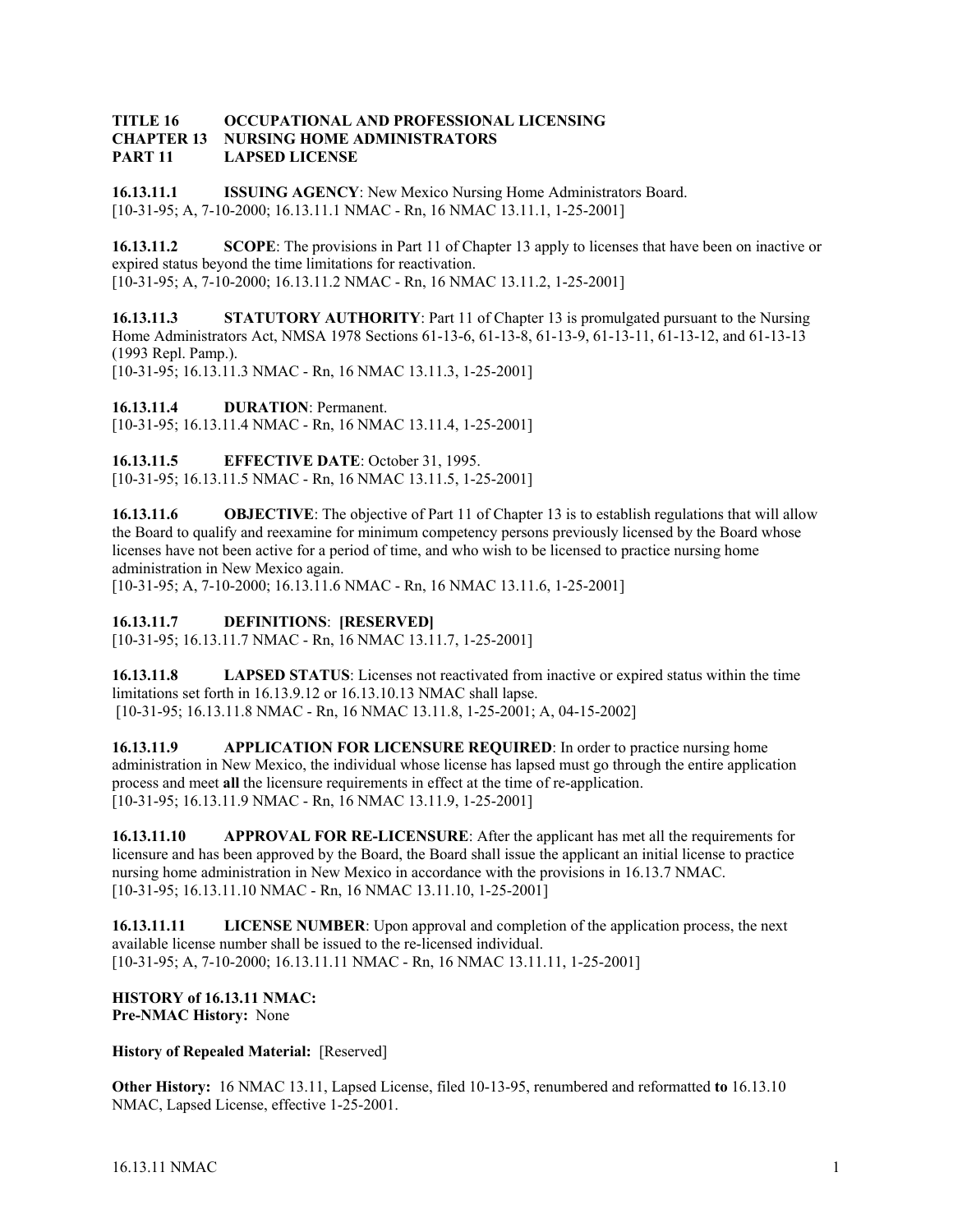#### **TITLE 16 OCCUPATIONAL AND PROFESSIONAL LICENSING CHAPTER 13 NURSING HOME ADMINISTRATORS PART 11 LAPSED LICENSE**

**16.13.11.1 ISSUING AGENCY**: New Mexico Nursing Home Administrators Board. [10-31-95; A, 7-10-2000; 16.13.11.1 NMAC - Rn, 16 NMAC 13.11.1, 1-25-2001]

**16.13.11.2** SCOPE: The provisions in Part 11 of Chapter 13 apply to licenses that have been on inactive or expired status beyond the time limitations for reactivation. [10-31-95; A, 7-10-2000; 16.13.11.2 NMAC - Rn, 16 NMAC 13.11.2, 1-25-2001]

**16.13.11.3** STATUTORY AUTHORITY: Part 11 of Chapter 13 is promulgated pursuant to the Nursing Home Administrators Act, NMSA 1978 Sections 61-13-6, 61-13-8, 61-13-9, 61-13-11, 61-13-12, and 61-13-13 (1993 Repl. Pamp.). [10-31-95; 16.13.11.3 NMAC - Rn, 16 NMAC 13.11.3, 1-25-2001]

**16.13.11.4 DURATION**: Permanent.

[10-31-95; 16.13.11.4 NMAC - Rn, 16 NMAC 13.11.4, 1-25-2001]

**16.13.11.5 EFFECTIVE DATE**: October 31, 1995. [10-31-95; 16.13.11.5 NMAC - Rn, 16 NMAC 13.11.5, 1-25-2001]

**16.13.11.6 OBJECTIVE**: The objective of Part 11 of Chapter 13 is to establish regulations that will allow the Board to qualify and reexamine for minimum competency persons previously licensed by the Board whose licenses have not been active for a period of time, and who wish to be licensed to practice nursing home administration in New Mexico again.

[10-31-95; A, 7-10-2000; 16.13.11.6 NMAC - Rn, 16 NMAC 13.11.6, 1-25-2001]

#### **16.13.11.7 DEFINITIONS**: **[RESERVED]**

[10-31-95; 16.13.11.7 NMAC - Rn, 16 NMAC 13.11.7, 1-25-2001]

**16.13.11.8 LAPSED STATUS**: Licenses not reactivated from inactive or expired status within the time limitations set forth in 16.13.9.12 or 16.13.10.13 NMAC shall lapse. [10-31-95; 16.13.11.8 NMAC - Rn, 16 NMAC 13.11.8, 1-25-2001; A, 04-15-2002]

**16.13.11.9 APPLICATION FOR LICENSURE REQUIRED**: In order to practice nursing home administration in New Mexico, the individual whose license has lapsed must go through the entire application process and meet **all** the licensure requirements in effect at the time of re-application. [10-31-95; 16.13.11.9 NMAC - Rn, 16 NMAC 13.11.9, 1-25-2001]

**16.13.11.10 APPROVAL FOR RE-LICENSURE**: After the applicant has met all the requirements for licensure and has been approved by the Board, the Board shall issue the applicant an initial license to practice nursing home administration in New Mexico in accordance with the provisions in 16.13.7 NMAC. [10-31-95; 16.13.11.10 NMAC - Rn, 16 NMAC 13.11.10, 1-25-2001]

**16.13.11.11 LICENSE NUMBER**: Upon approval and completion of the application process, the next available license number shall be issued to the re-licensed individual. [10-31-95; A, 7-10-2000; 16.13.11.11 NMAC - Rn, 16 NMAC 13.11.11, 1-25-2001]

#### **HISTORY of 16.13.11 NMAC: Pre-NMAC History:** None

**History of Repealed Material:** [Reserved]

**Other History:** 16 NMAC 13.11, Lapsed License, filed 10-13-95, renumbered and reformatted **to** 16.13.10 NMAC, Lapsed License, effective 1-25-2001.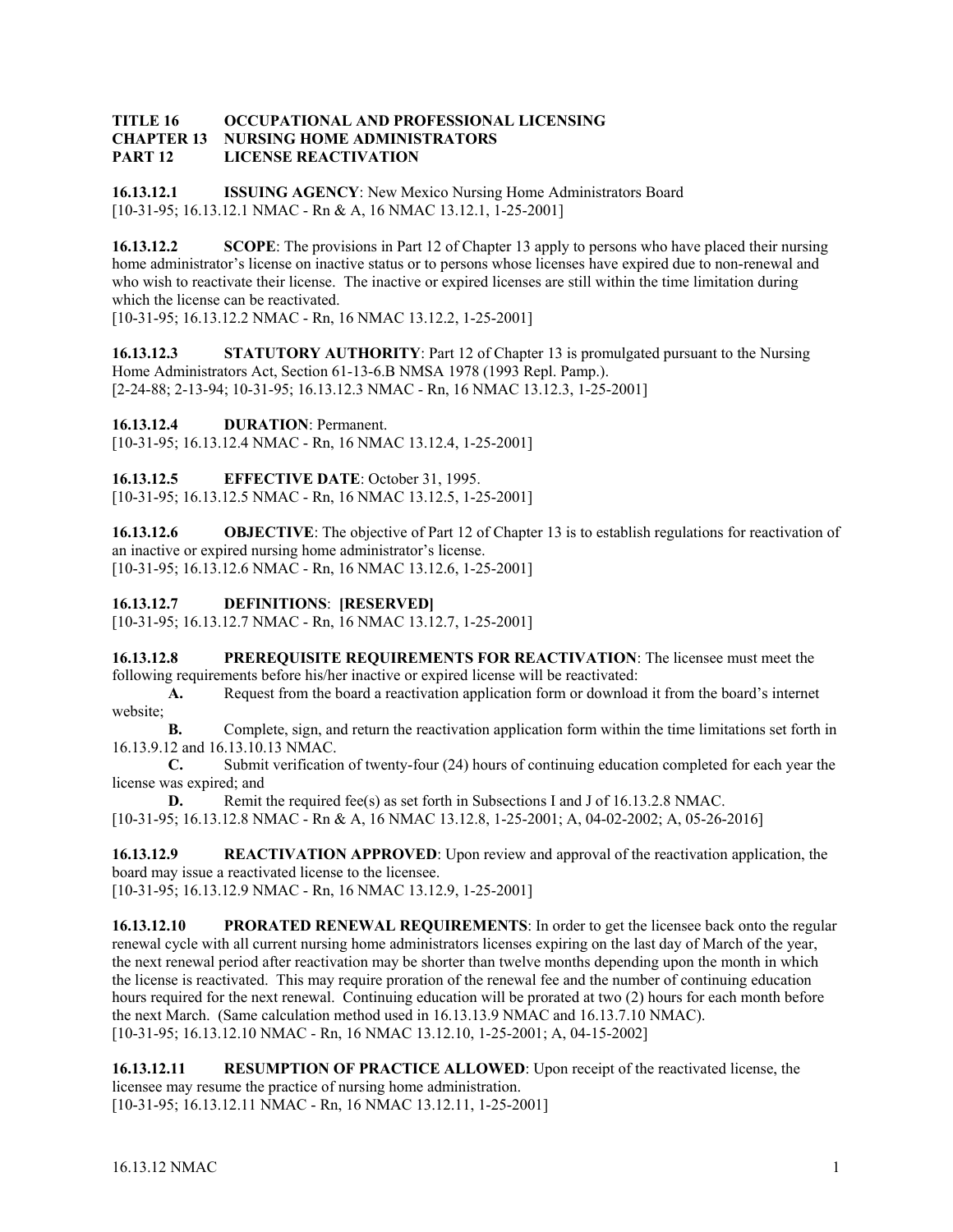#### **TITLE 16 OCCUPATIONAL AND PROFESSIONAL LICENSING CHAPTER 13 NURSING HOME ADMINISTRATORS PART 12 LICENSE REACTIVATION**

**16.13.12.1 ISSUING AGENCY**: New Mexico Nursing Home Administrators Board [10-31-95; 16.13.12.1 NMAC - Rn & A, 16 NMAC 13.12.1, 1-25-2001]

**16.13.12.2** SCOPE: The provisions in Part 12 of Chapter 13 apply to persons who have placed their nursing home administrator's license on inactive status or to persons whose licenses have expired due to non-renewal and who wish to reactivate their license. The inactive or expired licenses are still within the time limitation during which the license can be reactivated.

[10-31-95; 16.13.12.2 NMAC - Rn, 16 NMAC 13.12.2, 1-25-2001]

**16.13.12.3** STATUTORY AUTHORITY: Part 12 of Chapter 13 is promulgated pursuant to the Nursing Home Administrators Act, Section 61-13-6.B NMSA 1978 (1993 Repl. Pamp.). [2-24-88; 2-13-94; 10-31-95; 16.13.12.3 NMAC - Rn, 16 NMAC 13.12.3, 1-25-2001]

**16.13.12.4 DURATION**: Permanent.

[10-31-95; 16.13.12.4 NMAC - Rn, 16 NMAC 13.12.4, 1-25-2001]

**16.13.12.5 EFFECTIVE DATE**: October 31, 1995.

[10-31-95; 16.13.12.5 NMAC - Rn, 16 NMAC 13.12.5, 1-25-2001]

**16.13.12.6 OBJECTIVE**: The objective of Part 12 of Chapter 13 is to establish regulations for reactivation of an inactive or expired nursing home administrator's license. [10-31-95; 16.13.12.6 NMAC - Rn, 16 NMAC 13.12.6, 1-25-2001]

## **16.13.12.7 DEFINITIONS**: **[RESERVED]**

[10-31-95; 16.13.12.7 NMAC - Rn, 16 NMAC 13.12.7, 1-25-2001]

**16.13.12.8 PREREQUISITE REQUIREMENTS FOR REACTIVATION**: The licensee must meet the following requirements before his/her inactive or expired license will be reactivated:

**A.** Request from the board a reactivation application form or download it from the board's internet website;

**B.** Complete, sign, and return the reactivation application form within the time limitations set forth in 16.13.9.12 and 16.13.10.13 NMAC.

**C.** Submit verification of twenty-four (24) hours of continuing education completed for each year the license was expired; and

**D.** Remit the required fee(s) as set forth in Subsections I and J of 16.13.2.8 NMAC. [10-31-95; 16.13.12.8 NMAC - Rn & A, 16 NMAC 13.12.8, 1-25-2001; A, 04-02-2002; A, 05-26-2016]

**16.13.12.9 REACTIVATION APPROVED**: Upon review and approval of the reactivation application, the board may issue a reactivated license to the licensee.

[10-31-95; 16.13.12.9 NMAC - Rn, 16 NMAC 13.12.9, 1-25-2001]

**16.13.12.10 PRORATED RENEWAL REQUIREMENTS:** In order to get the licensee back onto the regular renewal cycle with all current nursing home administrators licenses expiring on the last day of March of the year, the next renewal period after reactivation may be shorter than twelve months depending upon the month in which the license is reactivated. This may require proration of the renewal fee and the number of continuing education hours required for the next renewal. Continuing education will be prorated at two (2) hours for each month before the next March. (Same calculation method used in 16.13.13.9 NMAC and 16.13.7.10 NMAC). [10-31-95; 16.13.12.10 NMAC - Rn, 16 NMAC 13.12.10, 1-25-2001; A, 04-15-2002]

**16.13.12.11 RESUMPTION OF PRACTICE ALLOWED**: Upon receipt of the reactivated license, the licensee may resume the practice of nursing home administration. [10-31-95; 16.13.12.11 NMAC - Rn, 16 NMAC 13.12.11, 1-25-2001]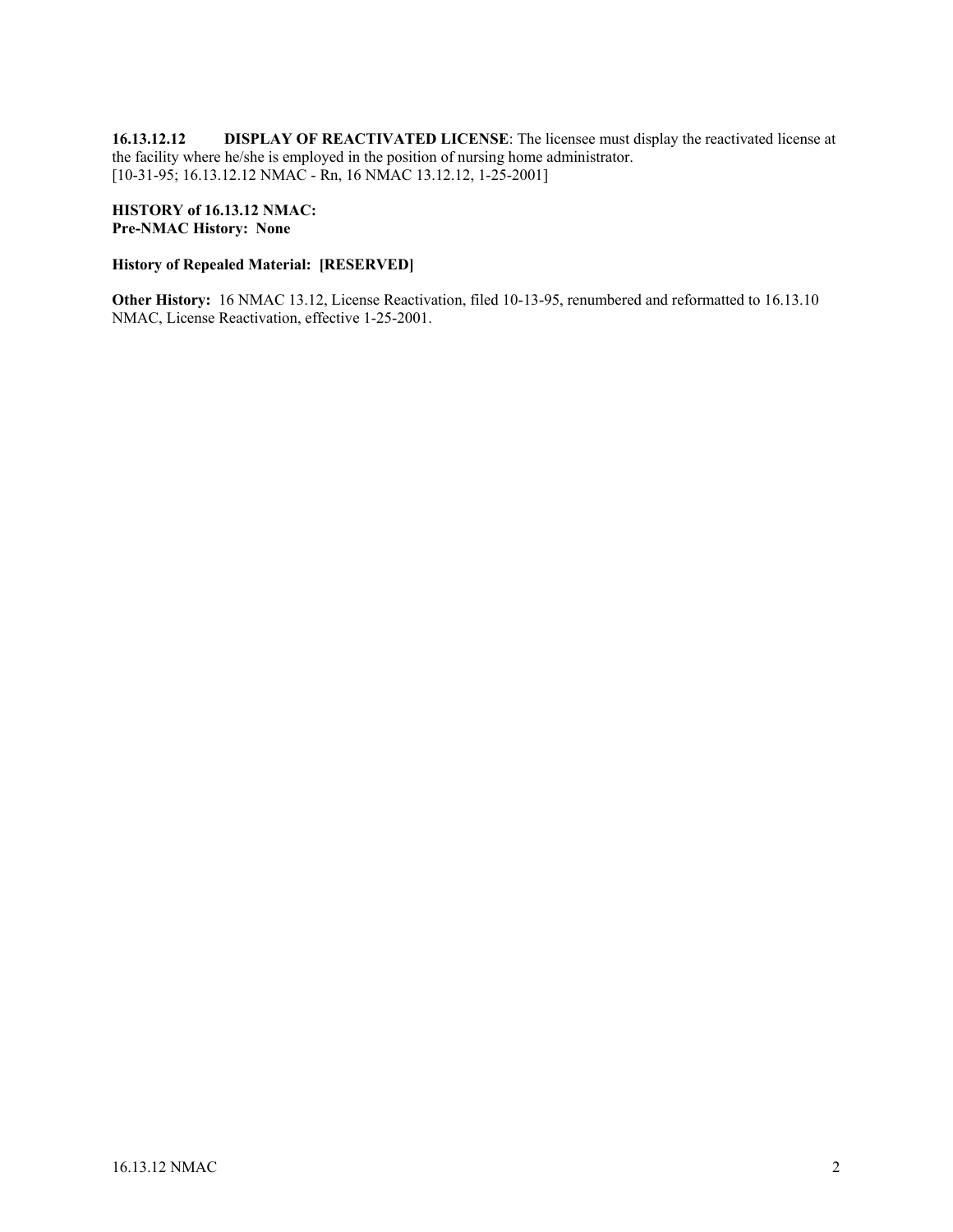**16.13.12.12 DISPLAY OF REACTIVATED LICENSE**: The licensee must display the reactivated license at the facility where he/she is employed in the position of nursing home administrator. [10-31-95; 16.13.12.12 NMAC - Rn, 16 NMAC 13.12.12, 1-25-2001]

#### **HISTORY of 16.13.12 NMAC: Pre-NMAC History: None**

#### **History of Repealed Material: [RESERVED]**

**Other History:** 16 NMAC 13.12, License Reactivation, filed 10-13-95, renumbered and reformatted to 16.13.10 NMAC, License Reactivation, effective 1-25-2001.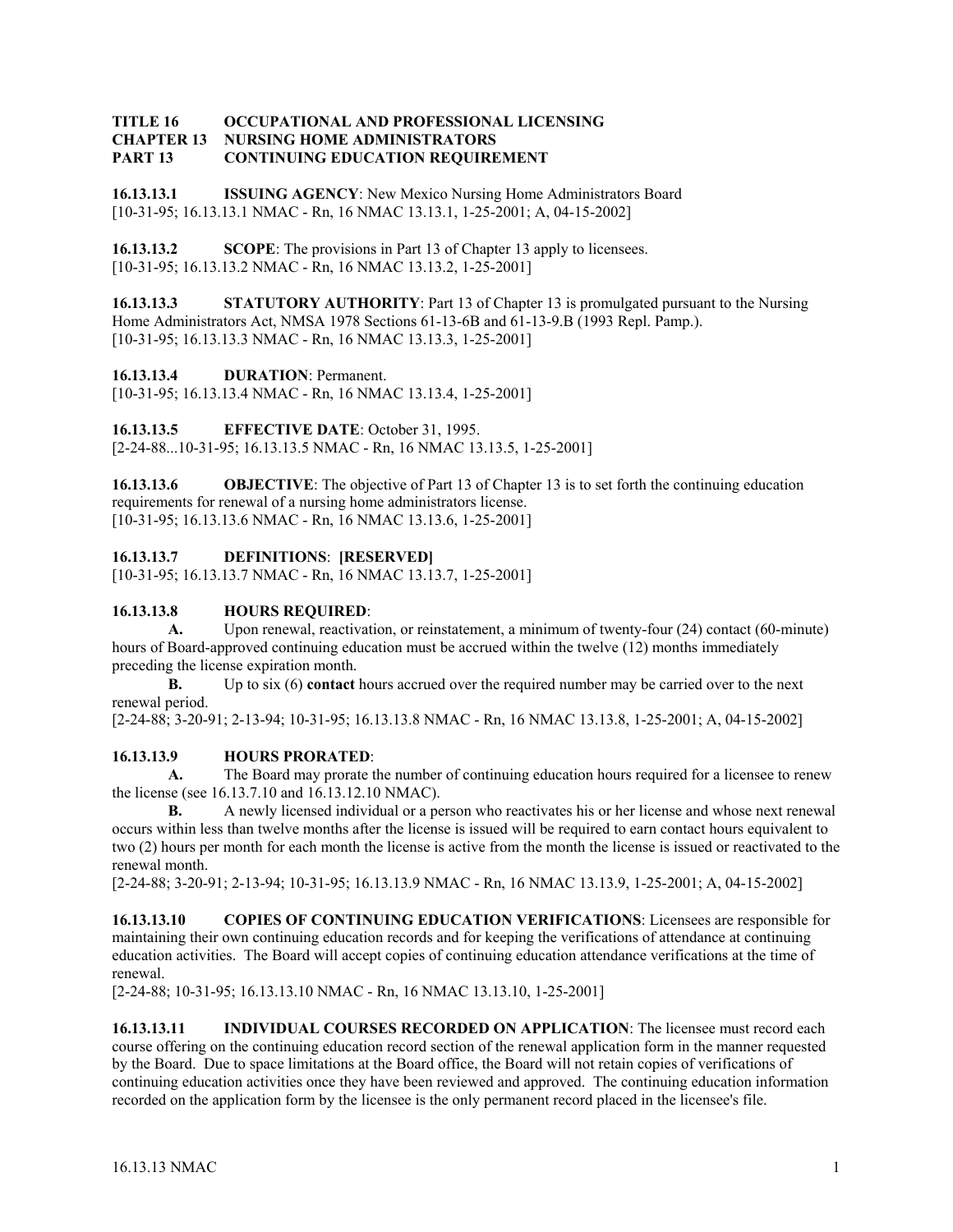#### **TITLE 16 OCCUPATIONAL AND PROFESSIONAL LICENSING CHAPTER 13 NURSING HOME ADMINISTRATORS PART 13 CONTINUING EDUCATION REQUIREMENT**

**16.13.13.1 ISSUING AGENCY**: New Mexico Nursing Home Administrators Board [10-31-95; 16.13.13.1 NMAC - Rn, 16 NMAC 13.13.1, 1-25-2001; A, 04-15-2002]

**16.13.13.2 SCOPE**: The provisions in Part 13 of Chapter 13 apply to licensees. [10-31-95; 16.13.13.2 NMAC - Rn, 16 NMAC 13.13.2, 1-25-2001]

**16.13.13.3** STATUTORY AUTHORITY: Part 13 of Chapter 13 is promulgated pursuant to the Nursing Home Administrators Act, NMSA 1978 Sections 61-13-6B and 61-13-9.B (1993 Repl. Pamp.). [10-31-95; 16.13.13.3 NMAC - Rn, 16 NMAC 13.13.3, 1-25-2001]

**16.13.13.4 DURATION**: Permanent.

[10-31-95; 16.13.13.4 NMAC - Rn, 16 NMAC 13.13.4, 1-25-2001]

**16.13.13.5 EFFECTIVE DATE**: October 31, 1995.

[2-24-88...10-31-95; 16.13.13.5 NMAC - Rn, 16 NMAC 13.13.5, 1-25-2001]

**16.13.13.6 OBJECTIVE**: The objective of Part 13 of Chapter 13 is to set forth the continuing education requirements for renewal of a nursing home administrators license. [10-31-95; 16.13.13.6 NMAC - Rn, 16 NMAC 13.13.6, 1-25-2001]

# **16.13.13.7 DEFINITIONS**: **[RESERVED]**

[10-31-95; 16.13.13.7 NMAC - Rn, 16 NMAC 13.13.7, 1-25-2001]

## **16.13.13.8 HOURS REQUIRED**:

**A.** Upon renewal, reactivation, or reinstatement, a minimum of twenty-four (24) contact (60-minute) hours of Board-approved continuing education must be accrued within the twelve (12) months immediately preceding the license expiration month.

**B.** Up to six (6) **contact** hours accrued over the required number may be carried over to the next renewal period.

[2-24-88; 3-20-91; 2-13-94; 10-31-95; 16.13.13.8 NMAC - Rn, 16 NMAC 13.13.8, 1-25-2001; A, 04-15-2002]

## **16.13.13.9 HOURS PRORATED**:

**A.** The Board may prorate the number of continuing education hours required for a licensee to renew the license (see 16.13.7.10 and 16.13.12.10 NMAC).

**B.** A newly licensed individual or a person who reactivates his or her license and whose next renewal occurs within less than twelve months after the license is issued will be required to earn contact hours equivalent to two (2) hours per month for each month the license is active from the month the license is issued or reactivated to the renewal month.

[2-24-88; 3-20-91; 2-13-94; 10-31-95; 16.13.13.9 NMAC - Rn, 16 NMAC 13.13.9, 1-25-2001; A, 04-15-2002]

**16.13.13.10 COPIES OF CONTINUING EDUCATION VERIFICATIONS**: Licensees are responsible for maintaining their own continuing education records and for keeping the verifications of attendance at continuing education activities. The Board will accept copies of continuing education attendance verifications at the time of renewal.

[2-24-88; 10-31-95; 16.13.13.10 NMAC - Rn, 16 NMAC 13.13.10, 1-25-2001]

**16.13.13.11 INDIVIDUAL COURSES RECORDED ON APPLICATION**: The licensee must record each course offering on the continuing education record section of the renewal application form in the manner requested by the Board. Due to space limitations at the Board office, the Board will not retain copies of verifications of continuing education activities once they have been reviewed and approved. The continuing education information recorded on the application form by the licensee is the only permanent record placed in the licensee's file.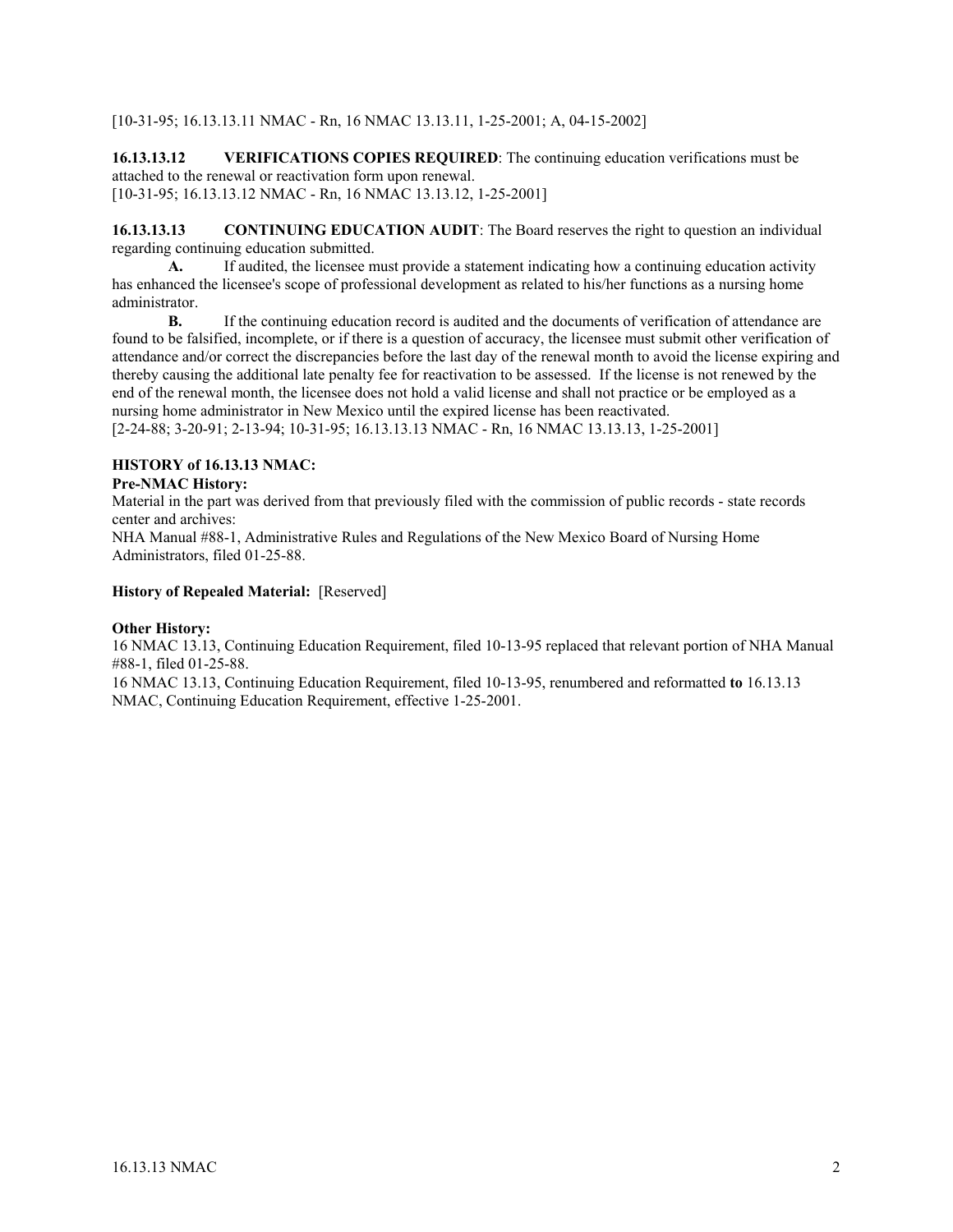[10-31-95; 16.13.13.11 NMAC - Rn, 16 NMAC 13.13.11, 1-25-2001; A, 04-15-2002]

**16.13.13.12 VERIFICATIONS COPIES REQUIRED**: The continuing education verifications must be attached to the renewal or reactivation form upon renewal. [10-31-95; 16.13.13.12 NMAC - Rn, 16 NMAC 13.13.12, 1-25-2001]

**16.13.13.13** CONTINUING EDUCATION AUDIT: The Board reserves the right to question an individual regarding continuing education submitted.

**A.** If audited, the licensee must provide a statement indicating how a continuing education activity has enhanced the licensee's scope of professional development as related to his/her functions as a nursing home administrator.

**B.** If the continuing education record is audited and the documents of verification of attendance are found to be falsified, incomplete, or if there is a question of accuracy, the licensee must submit other verification of attendance and/or correct the discrepancies before the last day of the renewal month to avoid the license expiring and thereby causing the additional late penalty fee for reactivation to be assessed. If the license is not renewed by the end of the renewal month, the licensee does not hold a valid license and shall not practice or be employed as a nursing home administrator in New Mexico until the expired license has been reactivated. [2-24-88; 3-20-91; 2-13-94; 10-31-95; 16.13.13.13 NMAC - Rn, 16 NMAC 13.13.13, 1-25-2001]

**HISTORY of 16.13.13 NMAC:**

#### **Pre-NMAC History:**

Material in the part was derived from that previously filed with the commission of public records - state records center and archives:

NHA Manual #88-1, Administrative Rules and Regulations of the New Mexico Board of Nursing Home Administrators, filed 01-25-88.

#### **History of Repealed Material:** [Reserved]

#### **Other History:**

16 NMAC 13.13, Continuing Education Requirement, filed 10-13-95 replaced that relevant portion of NHA Manual #88-1, filed 01-25-88.

16 NMAC 13.13, Continuing Education Requirement, filed 10-13-95, renumbered and reformatted **to** 16.13.13 NMAC, Continuing Education Requirement, effective 1-25-2001.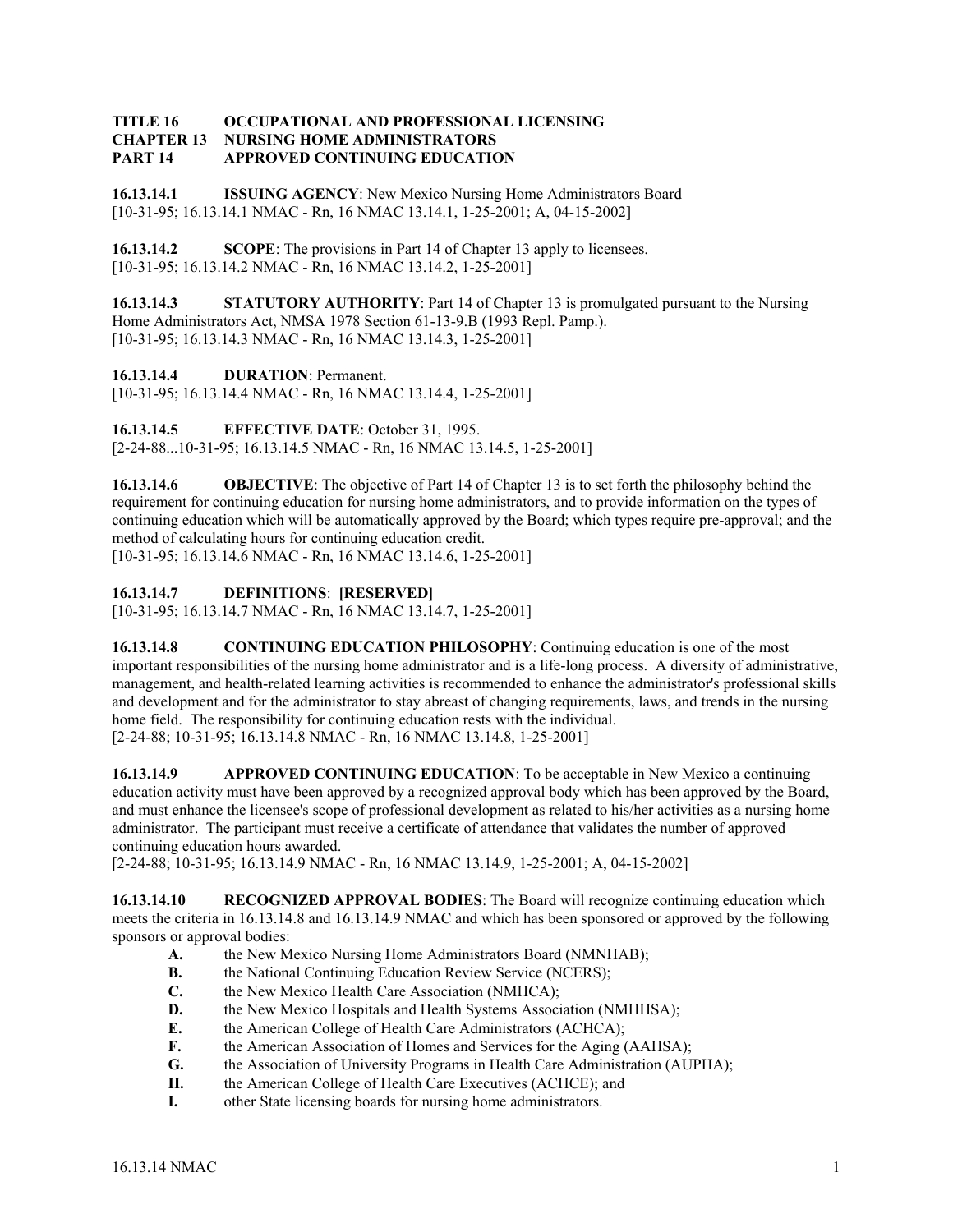#### **TITLE 16 OCCUPATIONAL AND PROFESSIONAL LICENSING CHAPTER 13 NURSING HOME ADMINISTRATORS PART 14 APPROVED CONTINUING EDUCATION**

**16.13.14.1 ISSUING AGENCY**: New Mexico Nursing Home Administrators Board [10-31-95; 16.13.14.1 NMAC - Rn, 16 NMAC 13.14.1, 1-25-2001; A, 04-15-2002]

**16.13.14.2 SCOPE**: The provisions in Part 14 of Chapter 13 apply to licensees. [10-31-95; 16.13.14.2 NMAC - Rn, 16 NMAC 13.14.2, 1-25-2001]

**16.13.14.3** STATUTORY AUTHORITY: Part 14 of Chapter 13 is promulgated pursuant to the Nursing Home Administrators Act, NMSA 1978 Section 61-13-9.B (1993 Repl. Pamp.). [10-31-95; 16.13.14.3 NMAC - Rn, 16 NMAC 13.14.3, 1-25-2001]

**16.13.14.4 DURATION**: Permanent.

[10-31-95; 16.13.14.4 NMAC - Rn, 16 NMAC 13.14.4, 1-25-2001]

**16.13.14.5 EFFECTIVE DATE**: October 31, 1995. [2-24-88...10-31-95; 16.13.14.5 NMAC - Rn, 16 NMAC 13.14.5, 1-25-2001]

**16.13.14.6 OBJECTIVE**: The objective of Part 14 of Chapter 13 is to set forth the philosophy behind the requirement for continuing education for nursing home administrators, and to provide information on the types of continuing education which will be automatically approved by the Board; which types require pre-approval; and the method of calculating hours for continuing education credit. [10-31-95; 16.13.14.6 NMAC - Rn, 16 NMAC 13.14.6, 1-25-2001]

**16.13.14.7 DEFINITIONS**: **[RESERVED]**

[10-31-95; 16.13.14.7 NMAC - Rn, 16 NMAC 13.14.7, 1-25-2001]

**16.13.14.8 CONTINUING EDUCATION PHILOSOPHY**: Continuing education is one of the most important responsibilities of the nursing home administrator and is a life-long process. A diversity of administrative, management, and health-related learning activities is recommended to enhance the administrator's professional skills and development and for the administrator to stay abreast of changing requirements, laws, and trends in the nursing home field. The responsibility for continuing education rests with the individual. [2-24-88; 10-31-95; 16.13.14.8 NMAC - Rn, 16 NMAC 13.14.8, 1-25-2001]

**16.13.14.9** APPROVED CONTINUING EDUCATION: To be acceptable in New Mexico a continuing education activity must have been approved by a recognized approval body which has been approved by the Board, and must enhance the licensee's scope of professional development as related to his/her activities as a nursing home administrator. The participant must receive a certificate of attendance that validates the number of approved continuing education hours awarded.

[2-24-88; 10-31-95; 16.13.14.9 NMAC - Rn, 16 NMAC 13.14.9, 1-25-2001; A, 04-15-2002]

**16.13.14.10 RECOGNIZED APPROVAL BODIES**: The Board will recognize continuing education which meets the criteria in 16.13.14.8 and 16.13.14.9 NMAC and which has been sponsored or approved by the following sponsors or approval bodies:

- **A.** the New Mexico Nursing Home Administrators Board (NMNHAB);
- **B.** the National Continuing Education Review Service (NCERS);
- **C.** the New Mexico Health Care Association (NMHCA);
- **D. the New Mexico Hospitals and Health Systems Association (NMHHSA);**
- **E.** the American College of Health Care Administrators (ACHCA);
- **F.** the American Association of Homes and Services for the Aging (AAHSA);
- **G.** the Association of University Programs in Health Care Administration (AUPHA);
- **H.** the American College of Health Care Executives (ACHCE); and
- **I.** other State licensing boards for nursing home administrators.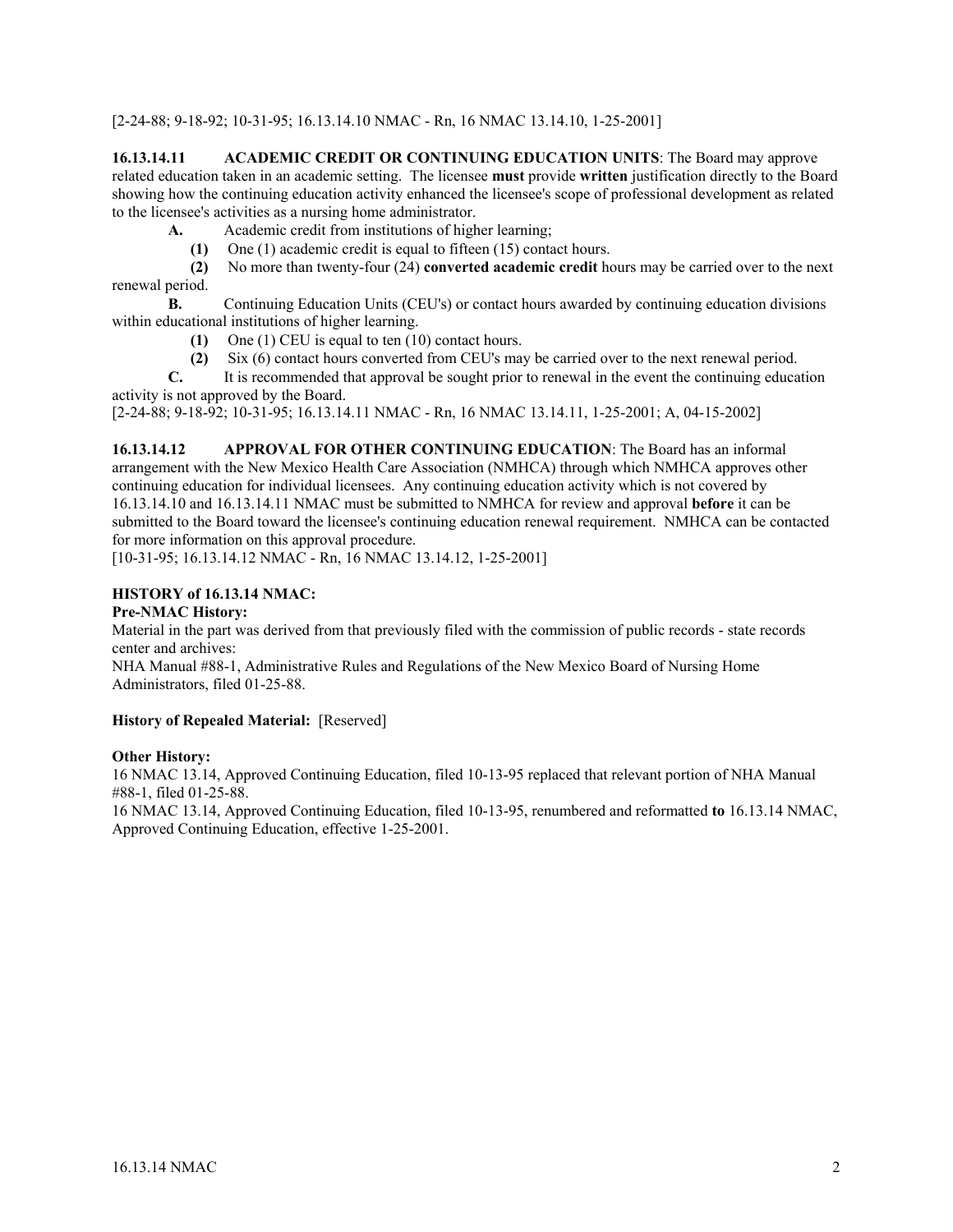[2-24-88; 9-18-92; 10-31-95; 16.13.14.10 NMAC - Rn, 16 NMAC 13.14.10, 1-25-2001]

**16.13.14.11 ACADEMIC CREDIT OR CONTINUING EDUCATION UNITS**: The Board may approve related education taken in an academic setting. The licensee **must** provide **written** justification directly to the Board showing how the continuing education activity enhanced the licensee's scope of professional development as related to the licensee's activities as a nursing home administrator.

- **A.** Academic credit from institutions of higher learning;
	- **(1)** One (1) academic credit is equal to fifteen (15) contact hours.

 **(2)** No more than twenty-four (24) **converted academic credit** hours may be carried over to the next renewal period.

**B.** Continuing Education Units (CEU's) or contact hours awarded by continuing education divisions within educational institutions of higher learning.

- **(1)** One (1) CEU is equal to ten (10) contact hours.
- (2) Six (6) contact hours converted from CEU's may be carried over to the next renewal period.<br> **C** It is recommended that approval be sought prior to renewal in the event the continuing educa

It is recommended that approval be sought prior to renewal in the event the continuing education activity is not approved by the Board.

[2-24-88; 9-18-92; 10-31-95; 16.13.14.11 NMAC - Rn, 16 NMAC 13.14.11, 1-25-2001; A, 04-15-2002]

**16.13.14.12 APPROVAL FOR OTHER CONTINUING EDUCATION**: The Board has an informal arrangement with the New Mexico Health Care Association (NMHCA) through which NMHCA approves other continuing education for individual licensees. Any continuing education activity which is not covered by 16.13.14.10 and 16.13.14.11 NMAC must be submitted to NMHCA for review and approval **before** it can be submitted to the Board toward the licensee's continuing education renewal requirement. NMHCA can be contacted for more information on this approval procedure.

[10-31-95; 16.13.14.12 NMAC - Rn, 16 NMAC 13.14.12, 1-25-2001]

## **HISTORY of 16.13.14 NMAC:**

#### **Pre-NMAC History:**

Material in the part was derived from that previously filed with the commission of public records - state records center and archives:

NHA Manual #88-1, Administrative Rules and Regulations of the New Mexico Board of Nursing Home Administrators, filed 01-25-88.

#### **History of Repealed Material:** [Reserved]

#### **Other History:**

16 NMAC 13.14, Approved Continuing Education, filed 10-13-95 replaced that relevant portion of NHA Manual #88-1, filed 01-25-88.

16 NMAC 13.14, Approved Continuing Education, filed 10-13-95, renumbered and reformatted **to** 16.13.14 NMAC, Approved Continuing Education, effective 1-25-2001.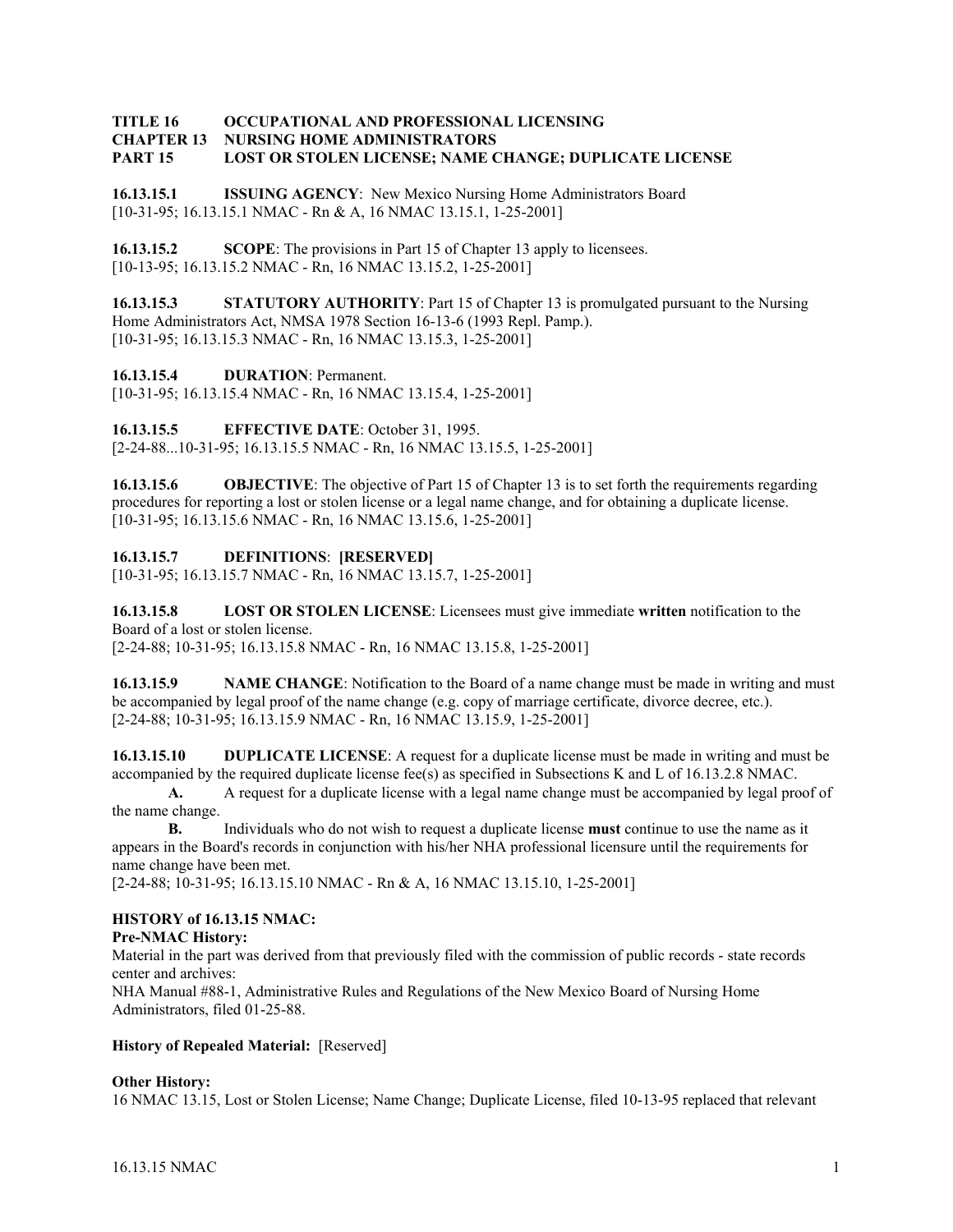#### **TITLE 16 OCCUPATIONAL AND PROFESSIONAL LICENSING CHAPTER 13 NURSING HOME ADMINISTRATORS PART 15 LOST OR STOLEN LICENSE; NAME CHANGE; DUPLICATE LICENSE**

**16.13.15.1 ISSUING AGENCY**: New Mexico Nursing Home Administrators Board [10-31-95; 16.13.15.1 NMAC - Rn & A, 16 NMAC 13.15.1, 1-25-2001]

**16.13.15.2 SCOPE**: The provisions in Part 15 of Chapter 13 apply to licensees. [10-13-95; 16.13.15.2 NMAC - Rn, 16 NMAC 13.15.2, 1-25-2001]

**16.13.15.3** STATUTORY AUTHORITY: Part 15 of Chapter 13 is promulgated pursuant to the Nursing Home Administrators Act, NMSA 1978 Section 16-13-6 (1993 Repl. Pamp.). [10-31-95; 16.13.15.3 NMAC - Rn, 16 NMAC 13.15.3, 1-25-2001]

**16.13.15.4 DURATION**: Permanent.

[10-31-95; 16.13.15.4 NMAC - Rn, 16 NMAC 13.15.4, 1-25-2001]

**16.13.15.5 EFFECTIVE DATE**: October 31, 1995. [2-24-88...10-31-95; 16.13.15.5 NMAC - Rn, 16 NMAC 13.15.5, 1-25-2001]

**16.13.15.6 OBJECTIVE**: The objective of Part 15 of Chapter 13 is to set forth the requirements regarding procedures for reporting a lost or stolen license or a legal name change, and for obtaining a duplicate license. [10-31-95; 16.13.15.6 NMAC - Rn, 16 NMAC 13.15.6, 1-25-2001]

## **16.13.15.7 DEFINITIONS**: **[RESERVED]**

[10-31-95; 16.13.15.7 NMAC - Rn, 16 NMAC 13.15.7, 1-25-2001]

**16.13.15.8 LOST OR STOLEN LICENSE**: Licensees must give immediate **written** notification to the Board of a lost or stolen license.

[2-24-88; 10-31-95; 16.13.15.8 NMAC - Rn, 16 NMAC 13.15.8, 1-25-2001]

**16.13.15.9** NAME CHANGE: Notification to the Board of a name change must be made in writing and must be accompanied by legal proof of the name change (e.g. copy of marriage certificate, divorce decree, etc.). [2-24-88; 10-31-95; 16.13.15.9 NMAC - Rn, 16 NMAC 13.15.9, 1-25-2001]

**16.13.15.10 DUPLICATE LICENSE**: A request for a duplicate license must be made in writing and must be accompanied by the required duplicate license fee(s) as specified in Subsections K and L of 16.13.2.8 NMAC.

**A.** A request for a duplicate license with a legal name change must be accompanied by legal proof of the name change.

**B.** Individuals who do not wish to request a duplicate license **must** continue to use the name as it appears in the Board's records in conjunction with his/her NHA professional licensure until the requirements for name change have been met.

[2-24-88; 10-31-95; 16.13.15.10 NMAC - Rn & A, 16 NMAC 13.15.10, 1-25-2001]

## **HISTORY of 16.13.15 NMAC:**

#### **Pre-NMAC History:**

Material in the part was derived from that previously filed with the commission of public records - state records center and archives:

NHA Manual #88-1, Administrative Rules and Regulations of the New Mexico Board of Nursing Home Administrators, filed 01-25-88.

#### **History of Repealed Material:** [Reserved]

#### **Other History:**

16 NMAC 13.15, Lost or Stolen License; Name Change; Duplicate License, filed 10-13-95 replaced that relevant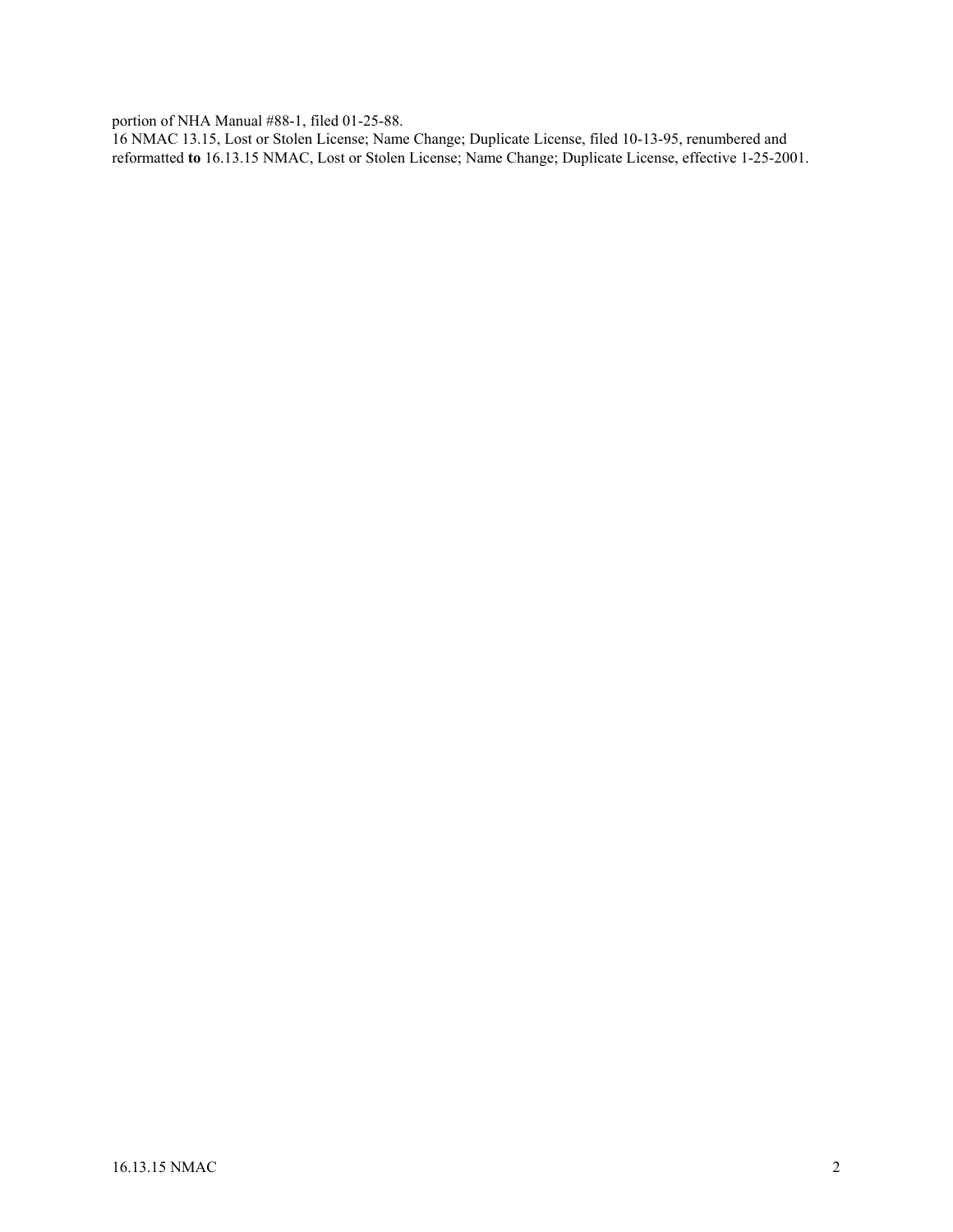portion of NHA Manual #88-1, filed 01-25-88.

16 NMAC 13.15, Lost or Stolen License; Name Change; Duplicate License, filed 10-13-95, renumbered and reformatted **to** 16.13.15 NMAC, Lost or Stolen License; Name Change; Duplicate License, effective 1-25-2001.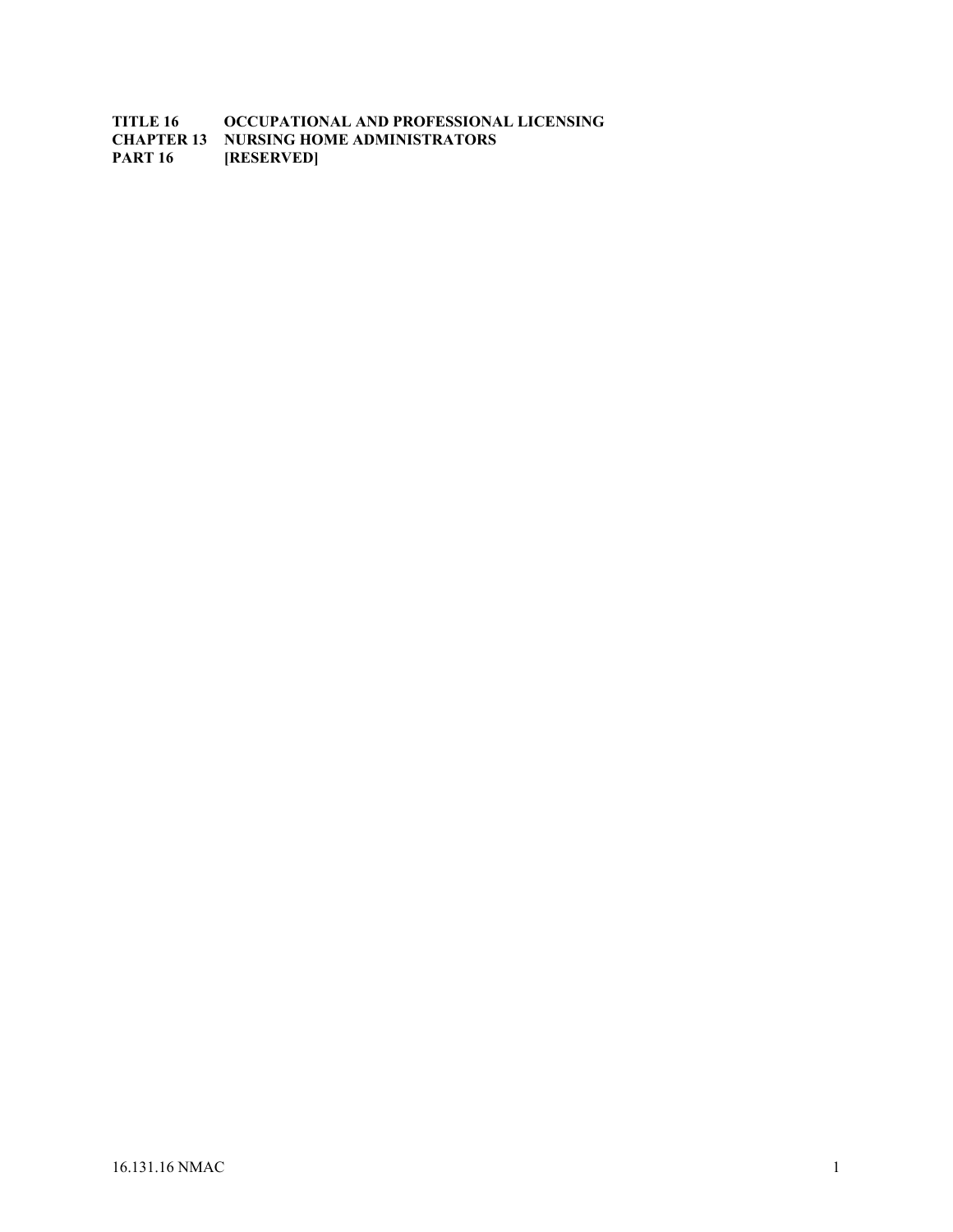**TITLE 16 OCCUPATIONAL AND PROFESSIONAL LICENSING CHAPTER 13 NURSING HOME ADMINISTRATORS**<br>**PART 16 [RESERVED] PART 16**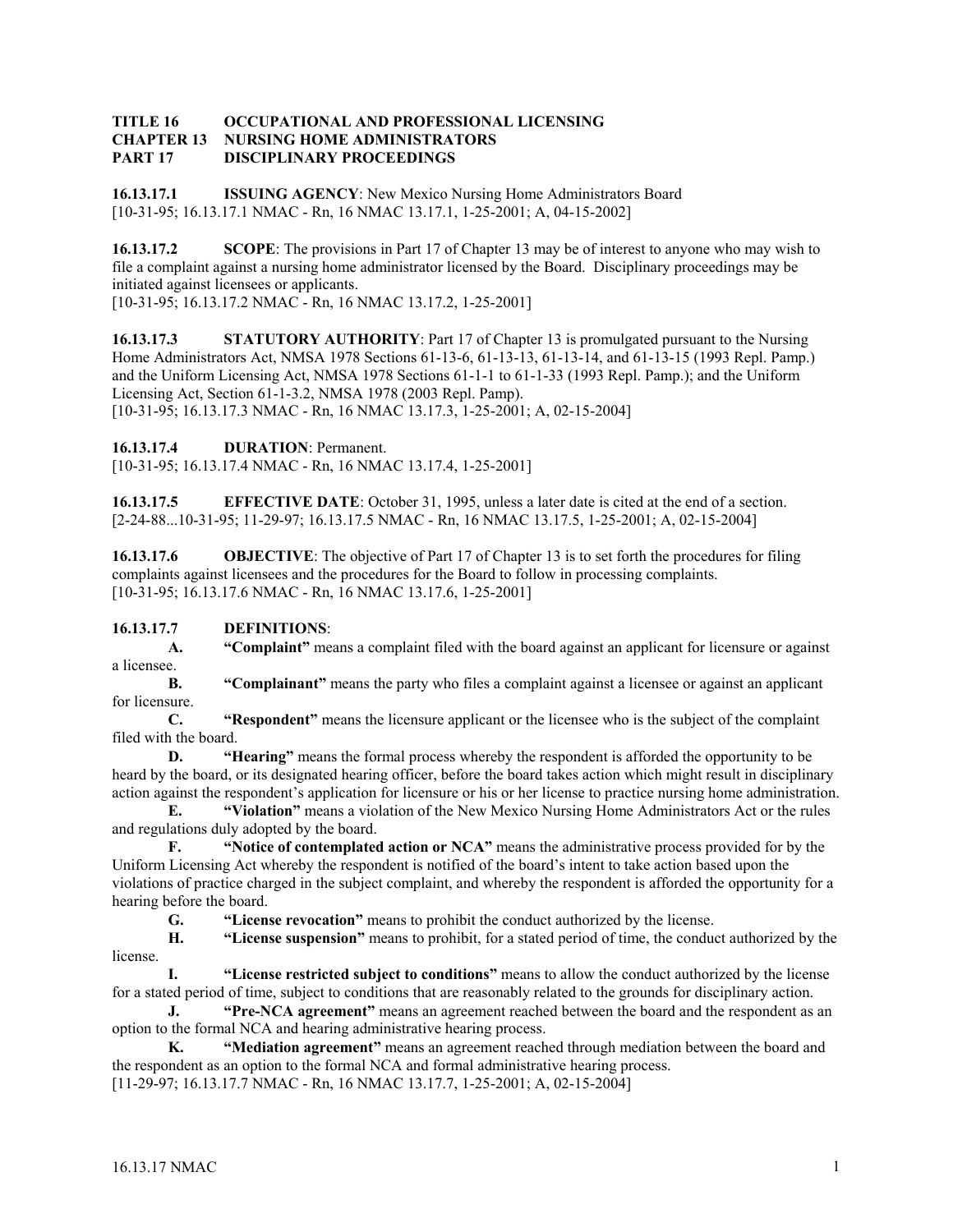#### **TITLE 16 OCCUPATIONAL AND PROFESSIONAL LICENSING CHAPTER 13 NURSING HOME ADMINISTRATORS PART 17 DISCIPLINARY PROCEEDINGS**

**16.13.17.1 ISSUING AGENCY**: New Mexico Nursing Home Administrators Board [10-31-95; 16.13.17.1 NMAC - Rn, 16 NMAC 13.17.1, 1-25-2001; A, 04-15-2002]

**16.13.17.2** SCOPE: The provisions in Part 17 of Chapter 13 may be of interest to anyone who may wish to file a complaint against a nursing home administrator licensed by the Board. Disciplinary proceedings may be initiated against licensees or applicants.

[10-31-95; 16.13.17.2 NMAC - Rn, 16 NMAC 13.17.2, 1-25-2001]

**16.13.17.3 STATUTORY AUTHORITY**: Part 17 of Chapter 13 is promulgated pursuant to the Nursing Home Administrators Act, NMSA 1978 Sections 61-13-6, 61-13-13, 61-13-14, and 61-13-15 (1993 Repl. Pamp.) and the Uniform Licensing Act, NMSA 1978 Sections 61-1-1 to 61-1-33 (1993 Repl. Pamp.); and the Uniform Licensing Act, Section 61-1-3.2, NMSA 1978 (2003 Repl. Pamp). [10-31-95; 16.13.17.3 NMAC - Rn, 16 NMAC 13.17.3, 1-25-2001; A, 02-15-2004]

**16.13.17.4 DURATION**: Permanent.

[10-31-95; 16.13.17.4 NMAC - Rn, 16 NMAC 13.17.4, 1-25-2001]

**16.13.17.5 EFFECTIVE DATE**: October 31, 1995, unless a later date is cited at the end of a section. [2-24-88...10-31-95; 11-29-97; 16.13.17.5 NMAC - Rn, 16 NMAC 13.17.5, 1-25-2001; A, 02-15-2004]

**16.13.17.6 OBJECTIVE**: The objective of Part 17 of Chapter 13 is to set forth the procedures for filing complaints against licensees and the procedures for the Board to follow in processing complaints. [10-31-95; 16.13.17.6 NMAC - Rn, 16 NMAC 13.17.6, 1-25-2001]

## **16.13.17.7 DEFINITIONS**:

**A. "Complaint"** means a complaint filed with the board against an applicant for licensure or against a licensee.

**B. "Complainant"** means the party who files a complaint against a licensee or against an applicant for licensure.

**C. "Respondent"** means the licensure applicant or the licensee who is the subject of the complaint filed with the board.

**D. "Hearing"** means the formal process whereby the respondent is afforded the opportunity to be heard by the board, or its designated hearing officer, before the board takes action which might result in disciplinary action against the respondent's application for licensure or his or her license to practice nursing home administration.

**E. "Violation"** means a violation of the New Mexico Nursing Home Administrators Act or the rules and regulations duly adopted by the board.

**F. "Notice of contemplated action or NCA"** means the administrative process provided for by the Uniform Licensing Act whereby the respondent is notified of the board's intent to take action based upon the violations of practice charged in the subject complaint, and whereby the respondent is afforded the opportunity for a hearing before the board.

**G. "License revocation"** means to prohibit the conduct authorized by the license.

**H. "License suspension"** means to prohibit, for a stated period of time, the conduct authorized by the license.

**I. "License restricted subject to conditions"** means to allow the conduct authorized by the license for a stated period of time, subject to conditions that are reasonably related to the grounds for disciplinary action.

**J.** "Pre-NCA agreement" means an agreement reached between the board and the respondent as an option to the formal NCA and hearing administrative hearing process.

**K. "Mediation agreement"** means an agreement reached through mediation between the board and the respondent as an option to the formal NCA and formal administrative hearing process.

[11-29-97; 16.13.17.7 NMAC - Rn, 16 NMAC 13.17.7, 1-25-2001; A, 02-15-2004]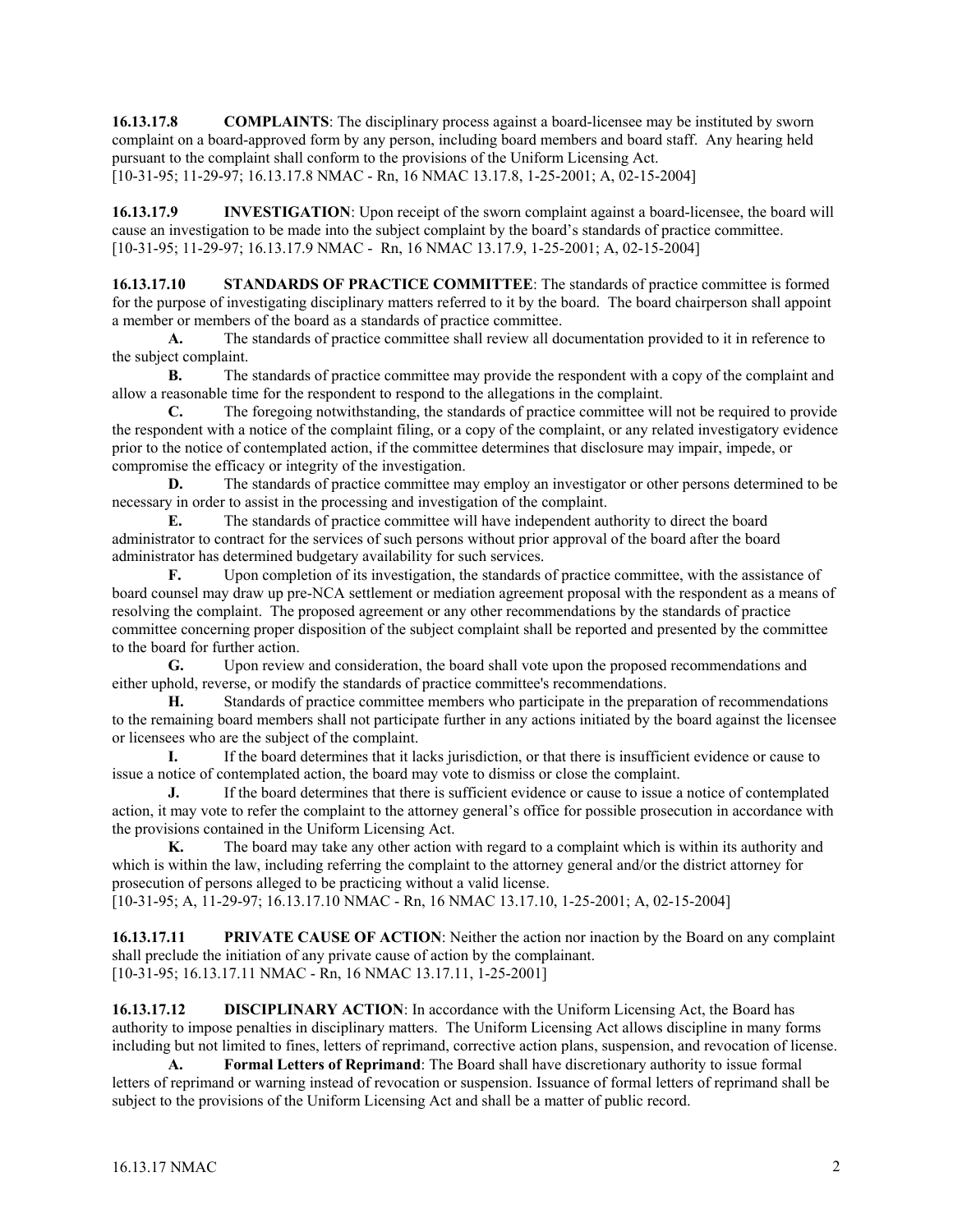**16.13.17.8 COMPLAINTS**: The disciplinary process against a board-licensee may be instituted by sworn complaint on a board-approved form by any person, including board members and board staff. Any hearing held pursuant to the complaint shall conform to the provisions of the Uniform Licensing Act. [10-31-95; 11-29-97; 16.13.17.8 NMAC - Rn, 16 NMAC 13.17.8, 1-25-2001; A, 02-15-2004]

**16.13.17.9 INVESTIGATION**: Upon receipt of the sworn complaint against a board-licensee, the board will cause an investigation to be made into the subject complaint by the board's standards of practice committee. [10-31-95; 11-29-97; 16.13.17.9 NMAC - Rn, 16 NMAC 13.17.9, 1-25-2001; A, 02-15-2004]

**16.13.17.10 STANDARDS OF PRACTICE COMMITTEE**: The standards of practice committee is formed for the purpose of investigating disciplinary matters referred to it by the board. The board chairperson shall appoint a member or members of the board as a standards of practice committee.

**A.** The standards of practice committee shall review all documentation provided to it in reference to the subject complaint.

**B.** The standards of practice committee may provide the respondent with a copy of the complaint and allow a reasonable time for the respondent to respond to the allegations in the complaint.

**C.** The foregoing notwithstanding, the standards of practice committee will not be required to provide the respondent with a notice of the complaint filing, or a copy of the complaint, or any related investigatory evidence prior to the notice of contemplated action, if the committee determines that disclosure may impair, impede, or compromise the efficacy or integrity of the investigation.

**D.** The standards of practice committee may employ an investigator or other persons determined to be necessary in order to assist in the processing and investigation of the complaint.

**E.** The standards of practice committee will have independent authority to direct the board administrator to contract for the services of such persons without prior approval of the board after the board administrator has determined budgetary availability for such services.

**F.** Upon completion of its investigation, the standards of practice committee, with the assistance of board counsel may draw up pre-NCA settlement or mediation agreement proposal with the respondent as a means of resolving the complaint. The proposed agreement or any other recommendations by the standards of practice committee concerning proper disposition of the subject complaint shall be reported and presented by the committee to the board for further action.

**G.** Upon review and consideration, the board shall vote upon the proposed recommendations and either uphold, reverse, or modify the standards of practice committee's recommendations.

**H.** Standards of practice committee members who participate in the preparation of recommendations to the remaining board members shall not participate further in any actions initiated by the board against the licensee or licensees who are the subject of the complaint.

**I.** If the board determines that it lacks jurisdiction, or that there is insufficient evidence or cause to issue a notice of contemplated action, the board may vote to dismiss or close the complaint.

**J.** If the board determines that there is sufficient evidence or cause to issue a notice of contemplated action, it may vote to refer the complaint to the attorney general's office for possible prosecution in accordance with the provisions contained in the Uniform Licensing Act.

**K.** The board may take any other action with regard to a complaint which is within its authority and which is within the law, including referring the complaint to the attorney general and/or the district attorney for prosecution of persons alleged to be practicing without a valid license.

[10-31-95; A, 11-29-97; 16.13.17.10 NMAC - Rn, 16 NMAC 13.17.10, 1-25-2001; A, 02-15-2004]

**16.13.17.11 PRIVATE CAUSE OF ACTION**: Neither the action nor inaction by the Board on any complaint shall preclude the initiation of any private cause of action by the complainant. [10-31-95; 16.13.17.11 NMAC - Rn, 16 NMAC 13.17.11, 1-25-2001]

**16.13.17.12 DISCIPLINARY ACTION**: In accordance with the Uniform Licensing Act, the Board has authority to impose penalties in disciplinary matters. The Uniform Licensing Act allows discipline in many forms including but not limited to fines, letters of reprimand, corrective action plans, suspension, and revocation of license.

**A. Formal Letters of Reprimand**: The Board shall have discretionary authority to issue formal letters of reprimand or warning instead of revocation or suspension. Issuance of formal letters of reprimand shall be subject to the provisions of the Uniform Licensing Act and shall be a matter of public record.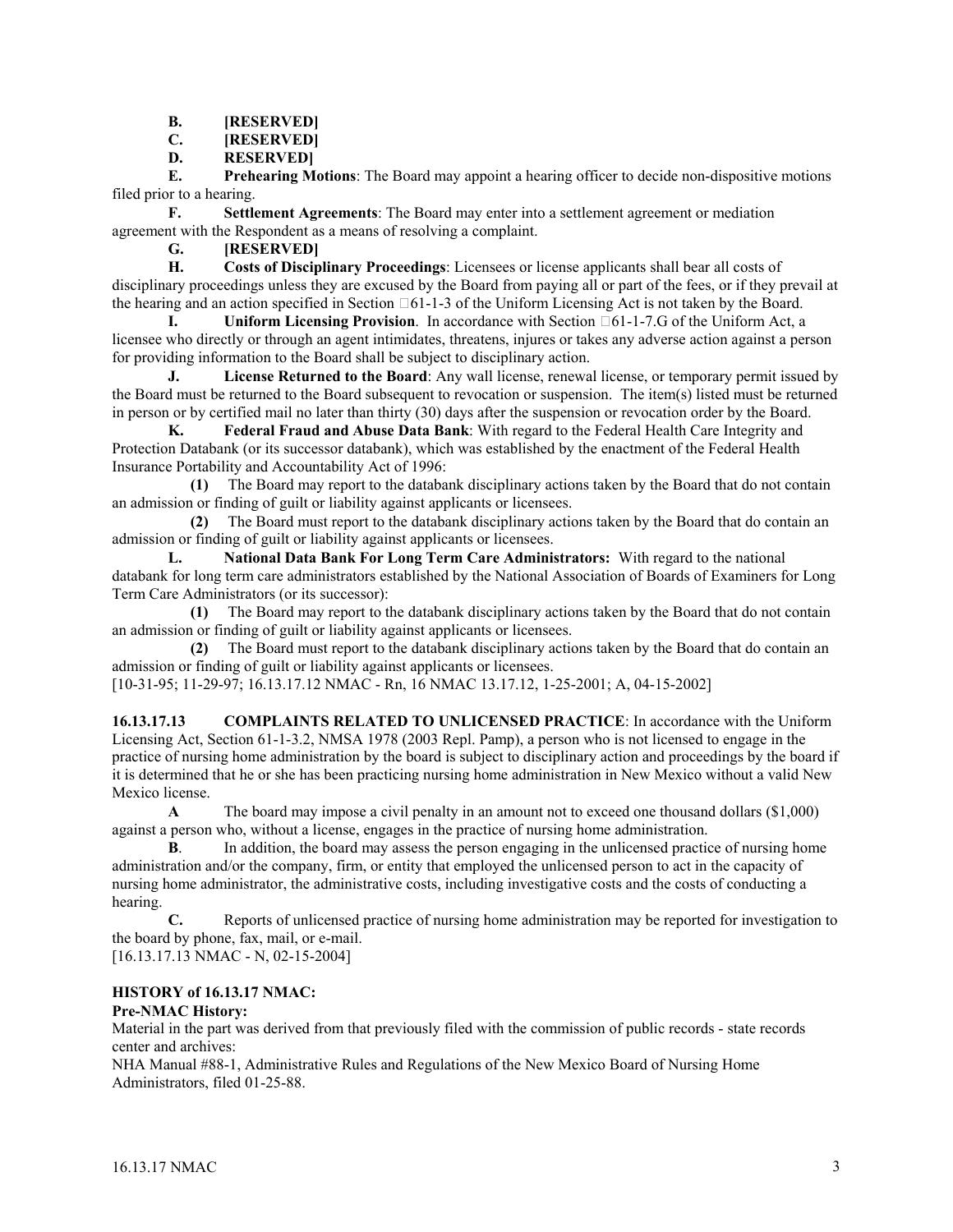- **B. [RESERVED]**
- **C. [RESERVED]**
- **D. RESERVED]**

**E. Prehearing Motions**: The Board may appoint a hearing officer to decide non-dispositive motions filed prior to a hearing.

**F. Settlement Agreements**: The Board may enter into a settlement agreement or mediation agreement with the Respondent as a means of resolving a complaint.

**G. [RESERVED]**

**H. Costs of Disciplinary Proceedings**: Licensees or license applicants shall bear all costs of disciplinary proceedings unless they are excused by the Board from paying all or part of the fees, or if they prevail at the hearing and an action specified in Section  $\Box 61$ -1-3 of the Uniform Licensing Act is not taken by the Board.

**I. Uniform Licensing Provision**. In accordance with Section  $\Box 61$ -1-7.G of the Uniform Act, a licensee who directly or through an agent intimidates, threatens, injures or takes any adverse action against a person for providing information to the Board shall be subject to disciplinary action.

**J. License Returned to the Board**: Any wall license, renewal license, or temporary permit issued by the Board must be returned to the Board subsequent to revocation or suspension. The item(s) listed must be returned in person or by certified mail no later than thirty (30) days after the suspension or revocation order by the Board.

**K. Federal Fraud and Abuse Data Bank**: With regard to the Federal Health Care Integrity and Protection Databank (or its successor databank), which was established by the enactment of the Federal Health Insurance Portability and Accountability Act of 1996:

 **(1)** The Board may report to the databank disciplinary actions taken by the Board that do not contain an admission or finding of guilt or liability against applicants or licensees.

 **(2)** The Board must report to the databank disciplinary actions taken by the Board that do contain an admission or finding of guilt or liability against applicants or licensees.

**L. National Data Bank For Long Term Care Administrators:** With regard to the national databank for long term care administrators established by the National Association of Boards of Examiners for Long Term Care Administrators (or its successor):

 **(1)** The Board may report to the databank disciplinary actions taken by the Board that do not contain an admission or finding of guilt or liability against applicants or licensees.

 **(2)** The Board must report to the databank disciplinary actions taken by the Board that do contain an admission or finding of guilt or liability against applicants or licensees.

[10-31-95; 11-29-97; 16.13.17.12 NMAC - Rn, 16 NMAC 13.17.12, 1-25-2001; A, 04-15-2002]

**16.13.17.13 COMPLAINTS RELATED TO UNLICENSED PRACTICE**: In accordance with the Uniform Licensing Act, Section 61-1-3.2, NMSA 1978 (2003 Repl. Pamp), a person who is not licensed to engage in the practice of nursing home administration by the board is subject to disciplinary action and proceedings by the board if it is determined that he or she has been practicing nursing home administration in New Mexico without a valid New Mexico license.

**A** The board may impose a civil penalty in an amount not to exceed one thousand dollars (\$1,000) against a person who, without a license, engages in the practice of nursing home administration.

**B.** In addition, the board may assess the person engaging in the unlicensed practice of nursing home administration and/or the company, firm, or entity that employed the unlicensed person to act in the capacity of nursing home administrator, the administrative costs, including investigative costs and the costs of conducting a hearing.

**C.** Reports of unlicensed practice of nursing home administration may be reported for investigation to the board by phone, fax, mail, or e-mail.

[16.13.17.13 NMAC - N, 02-15-2004]

# **HISTORY of 16.13.17 NMAC:**

## **Pre-NMAC History:**

Material in the part was derived from that previously filed with the commission of public records - state records center and archives:

NHA Manual #88-1, Administrative Rules and Regulations of the New Mexico Board of Nursing Home Administrators, filed 01-25-88.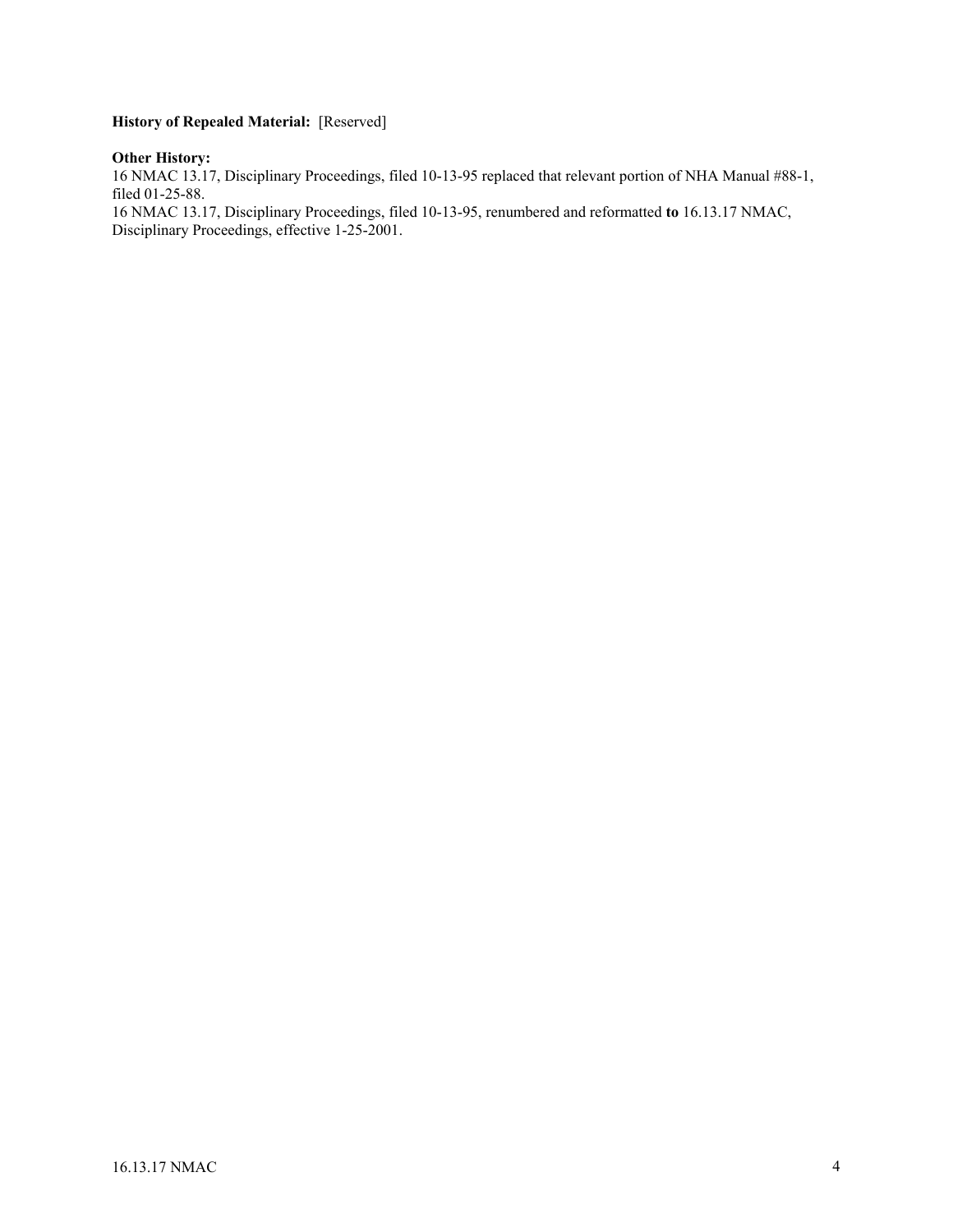# **History of Repealed Material:** [Reserved]

#### **Other History:**

16 NMAC 13.17, Disciplinary Proceedings, filed 10-13-95 replaced that relevant portion of NHA Manual #88-1, filed 01-25-88.

16 NMAC 13.17, Disciplinary Proceedings, filed 10-13-95, renumbered and reformatted **to** 16.13.17 NMAC, Disciplinary Proceedings, effective 1-25-2001.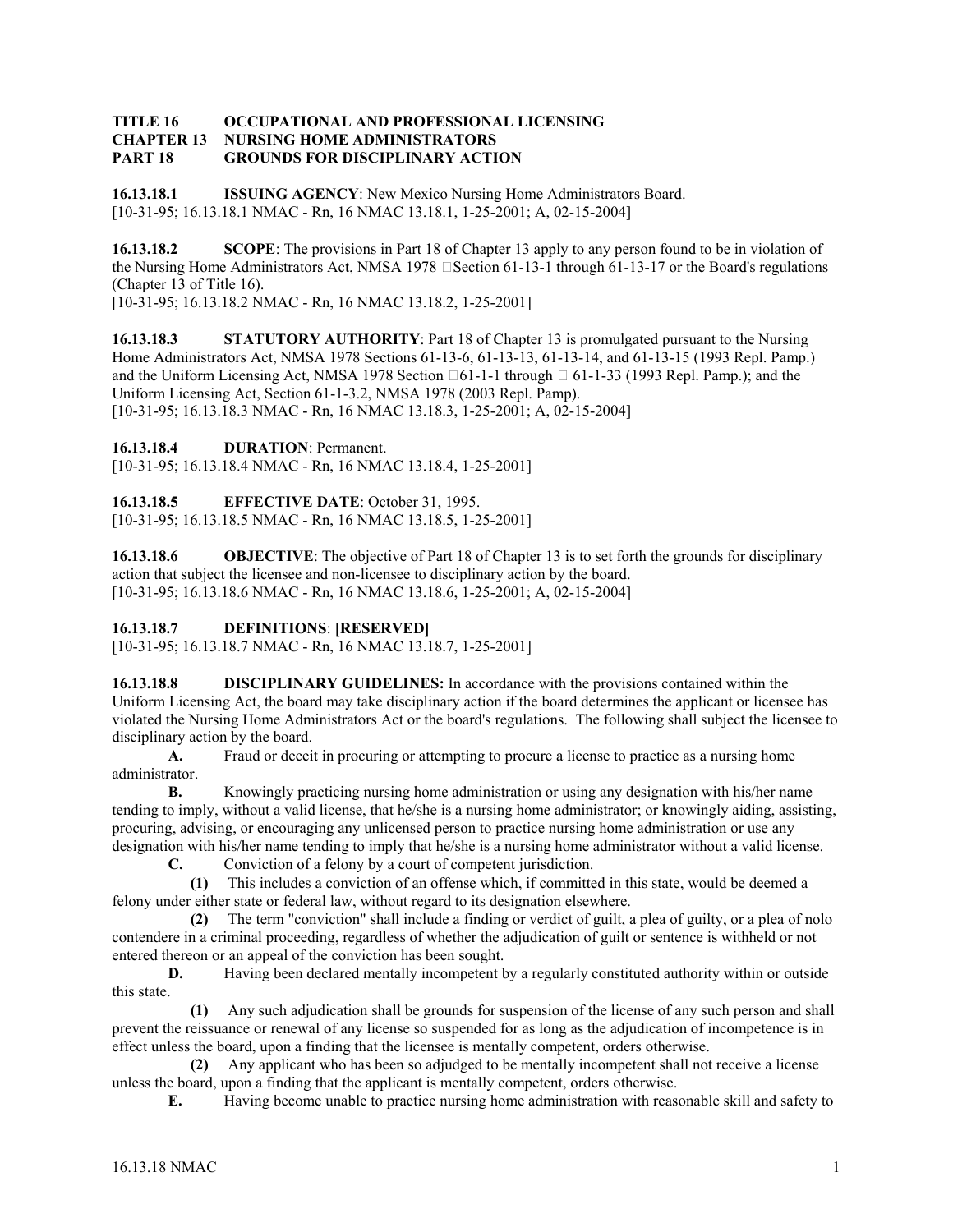#### **TITLE 16 OCCUPATIONAL AND PROFESSIONAL LICENSING CHAPTER 13 NURSING HOME ADMINISTRATORS PART 18 GROUNDS FOR DISCIPLINARY ACTION**

**16.13.18.1 ISSUING AGENCY**: New Mexico Nursing Home Administrators Board. [10-31-95; 16.13.18.1 NMAC - Rn, 16 NMAC 13.18.1, 1-25-2001; A, 02-15-2004]

**16.13.18.2 SCOPE**: The provisions in Part 18 of Chapter 13 apply to any person found to be in violation of the Nursing Home Administrators Act, NMSA 1978  $\square$  Section 61-13-1 through 61-13-17 or the Board's regulations (Chapter 13 of Title 16).

[10-31-95; 16.13.18.2 NMAC - Rn, 16 NMAC 13.18.2, 1-25-2001]

**16.13.18.3** STATUTORY AUTHORITY: Part 18 of Chapter 13 is promulgated pursuant to the Nursing Home Administrators Act, NMSA 1978 Sections 61-13-6, 61-13-13, 61-13-14, and 61-13-15 (1993 Repl. Pamp.) and the Uniform Licensing Act, NMSA 1978 Section  $\Box 61$ -1-1 through  $\Box 61$ -1-33 (1993 Repl. Pamp.); and the Uniform Licensing Act, Section 61-1-3.2, NMSA 1978 (2003 Repl. Pamp). [10-31-95; 16.13.18.3 NMAC - Rn, 16 NMAC 13.18.3, 1-25-2001; A, 02-15-2004]

**16.13.18.4 DURATION**: Permanent.

[10-31-95; 16.13.18.4 NMAC - Rn, 16 NMAC 13.18.4, 1-25-2001]

**16.13.18.5 EFFECTIVE DATE**: October 31, 1995.

[10-31-95; 16.13.18.5 NMAC - Rn, 16 NMAC 13.18.5, 1-25-2001]

**16.13.18.6 OBJECTIVE**: The objective of Part 18 of Chapter 13 is to set forth the grounds for disciplinary action that subject the licensee and non-licensee to disciplinary action by the board. [10-31-95; 16.13.18.6 NMAC - Rn, 16 NMAC 13.18.6, 1-25-2001; A, 02-15-2004]

# **16.13.18.7 DEFINITIONS**: **[RESERVED]**

[10-31-95; 16.13.18.7 NMAC - Rn, 16 NMAC 13.18.7, 1-25-2001]

**16.13.18.8 DISCIPLINARY GUIDELINES:** In accordance with the provisions contained within the Uniform Licensing Act, the board may take disciplinary action if the board determines the applicant or licensee has violated the Nursing Home Administrators Act or the board's regulations. The following shall subject the licensee to disciplinary action by the board.

**A.** Fraud or deceit in procuring or attempting to procure a license to practice as a nursing home administrator.

**B.** Knowingly practicing nursing home administration or using any designation with his/her name tending to imply, without a valid license, that he/she is a nursing home administrator; or knowingly aiding, assisting, procuring, advising, or encouraging any unlicensed person to practice nursing home administration or use any designation with his/her name tending to imply that he/she is a nursing home administrator without a valid license.

**C.** Conviction of a felony by a court of competent jurisdiction.

 **(1)** This includes a conviction of an offense which, if committed in this state, would be deemed a felony under either state or federal law, without regard to its designation elsewhere.

 **(2)** The term "conviction" shall include a finding or verdict of guilt, a plea of guilty, or a plea of nolo contendere in a criminal proceeding, regardless of whether the adjudication of guilt or sentence is withheld or not entered thereon or an appeal of the conviction has been sought.

**D.** Having been declared mentally incompetent by a regularly constituted authority within or outside this state.

 **(1)** Any such adjudication shall be grounds for suspension of the license of any such person and shall prevent the reissuance or renewal of any license so suspended for as long as the adjudication of incompetence is in effect unless the board, upon a finding that the licensee is mentally competent, orders otherwise.

 **(2)** Any applicant who has been so adjudged to be mentally incompetent shall not receive a license unless the board, upon a finding that the applicant is mentally competent, orders otherwise.

**E.** Having become unable to practice nursing home administration with reasonable skill and safety to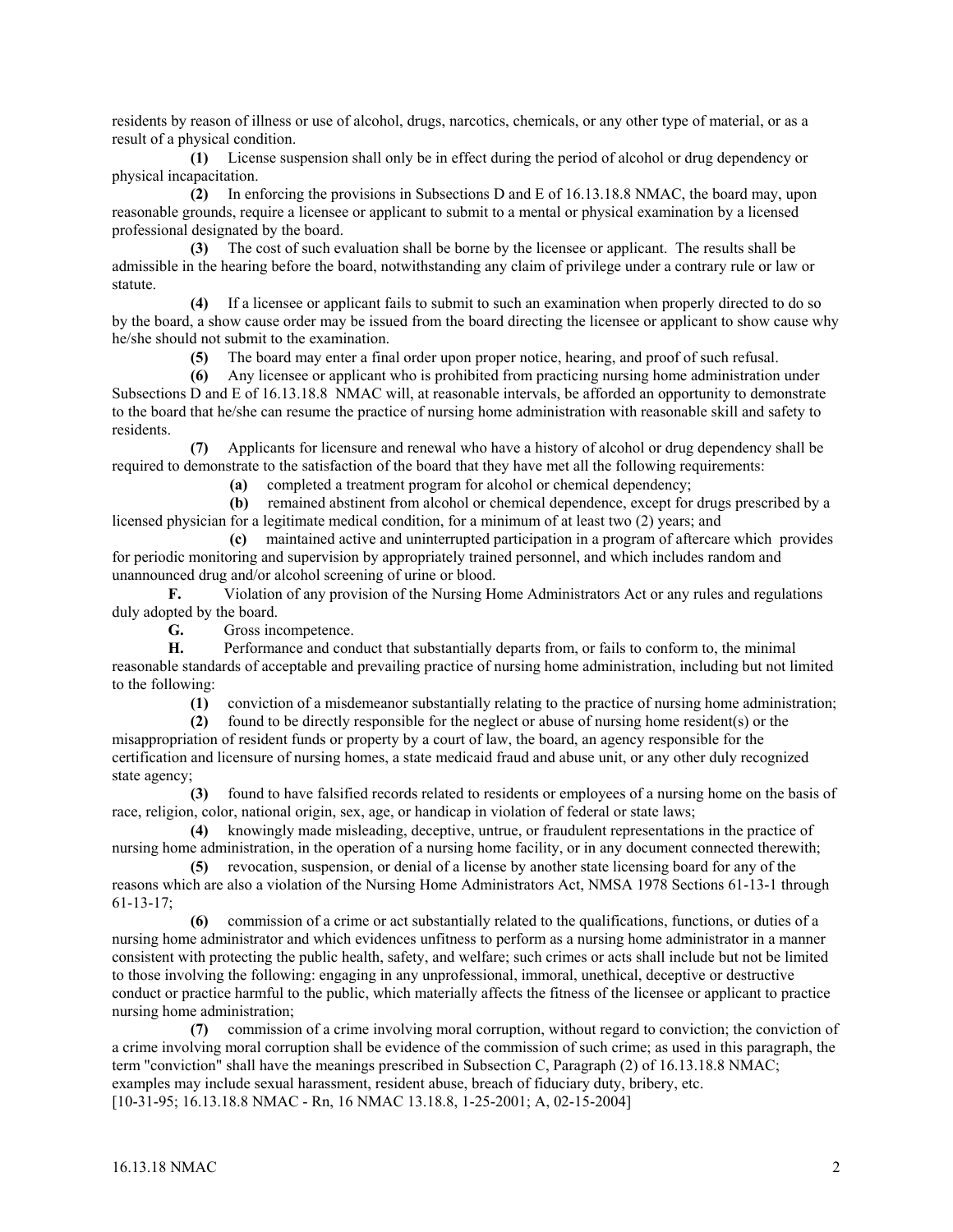residents by reason of illness or use of alcohol, drugs, narcotics, chemicals, or any other type of material, or as a result of a physical condition.

 **(1)** License suspension shall only be in effect during the period of alcohol or drug dependency or physical incapacitation.

 **(2)** In enforcing the provisions in Subsections D and E of 16.13.18.8 NMAC, the board may, upon reasonable grounds, require a licensee or applicant to submit to a mental or physical examination by a licensed professional designated by the board.

 **(3)** The cost of such evaluation shall be borne by the licensee or applicant. The results shall be admissible in the hearing before the board, notwithstanding any claim of privilege under a contrary rule or law or statute.

 **(4)** If a licensee or applicant fails to submit to such an examination when properly directed to do so by the board, a show cause order may be issued from the board directing the licensee or applicant to show cause why he/she should not submit to the examination.

**(5)** The board may enter a final order upon proper notice, hearing, and proof of such refusal.

 **(6)** Any licensee or applicant who is prohibited from practicing nursing home administration under Subsections D and E of 16.13.18.8 NMAC will, at reasonable intervals, be afforded an opportunity to demonstrate to the board that he/she can resume the practice of nursing home administration with reasonable skill and safety to residents.

 **(7)** Applicants for licensure and renewal who have a history of alcohol or drug dependency shall be required to demonstrate to the satisfaction of the board that they have met all the following requirements:

**(a)** completed a treatment program for alcohol or chemical dependency;

 **(b)** remained abstinent from alcohol or chemical dependence, except for drugs prescribed by a licensed physician for a legitimate medical condition, for a minimum of at least two (2) years; and

 **(c)** maintained active and uninterrupted participation in a program of aftercare which provides for periodic monitoring and supervision by appropriately trained personnel, and which includes random and unannounced drug and/or alcohol screening of urine or blood.

**F.** Violation of any provision of the Nursing Home Administrators Act or any rules and regulations duly adopted by the board.

**G.** Gross incompetence.

**H.** Performance and conduct that substantially departs from, or fails to conform to, the minimal reasonable standards of acceptable and prevailing practice of nursing home administration, including but not limited to the following:

**(1)** conviction of a misdemeanor substantially relating to the practice of nursing home administration;

 **(2)** found to be directly responsible for the neglect or abuse of nursing home resident(s) or the misappropriation of resident funds or property by a court of law, the board, an agency responsible for the certification and licensure of nursing homes, a state medicaid fraud and abuse unit, or any other duly recognized state agency;

 **(3)** found to have falsified records related to residents or employees of a nursing home on the basis of race, religion, color, national origin, sex, age, or handicap in violation of federal or state laws;

 **(4)** knowingly made misleading, deceptive, untrue, or fraudulent representations in the practice of nursing home administration, in the operation of a nursing home facility, or in any document connected therewith;

 **(5)** revocation, suspension, or denial of a license by another state licensing board for any of the reasons which are also a violation of the Nursing Home Administrators Act, NMSA 1978 Sections 61-13-1 through 61-13-17;

 **(6)** commission of a crime or act substantially related to the qualifications, functions, or duties of a nursing home administrator and which evidences unfitness to perform as a nursing home administrator in a manner consistent with protecting the public health, safety, and welfare; such crimes or acts shall include but not be limited to those involving the following: engaging in any unprofessional, immoral, unethical, deceptive or destructive conduct or practice harmful to the public, which materially affects the fitness of the licensee or applicant to practice nursing home administration;

 **(7)** commission of a crime involving moral corruption, without regard to conviction; the conviction of a crime involving moral corruption shall be evidence of the commission of such crime; as used in this paragraph, the term "conviction" shall have the meanings prescribed in Subsection C, Paragraph (2) of 16.13.18.8 NMAC; examples may include sexual harassment, resident abuse, breach of fiduciary duty, bribery, etc. [10-31-95; 16.13.18.8 NMAC - Rn, 16 NMAC 13.18.8, 1-25-2001; A, 02-15-2004]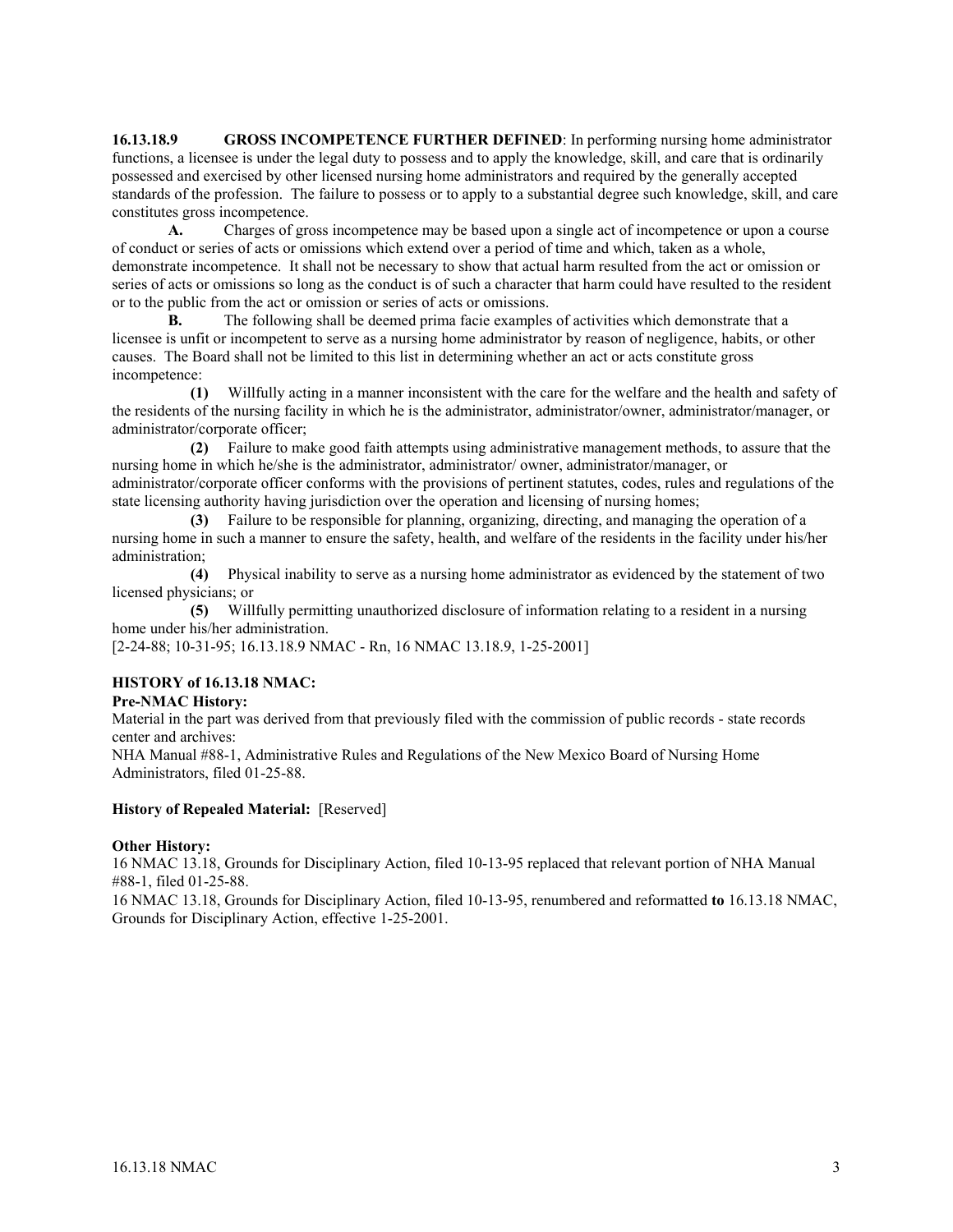**16.13.18.9** GROSS INCOMPETENCE FURTHER DEFINED: In performing nursing home administrator functions, a licensee is under the legal duty to possess and to apply the knowledge, skill, and care that is ordinarily possessed and exercised by other licensed nursing home administrators and required by the generally accepted standards of the profession. The failure to possess or to apply to a substantial degree such knowledge, skill, and care constitutes gross incompetence.

**A.** Charges of gross incompetence may be based upon a single act of incompetence or upon a course of conduct or series of acts or omissions which extend over a period of time and which, taken as a whole, demonstrate incompetence. It shall not be necessary to show that actual harm resulted from the act or omission or series of acts or omissions so long as the conduct is of such a character that harm could have resulted to the resident or to the public from the act or omission or series of acts or omissions.

**B.** The following shall be deemed prima facie examples of activities which demonstrate that a licensee is unfit or incompetent to serve as a nursing home administrator by reason of negligence, habits, or other causes. The Board shall not be limited to this list in determining whether an act or acts constitute gross incompetence:

 **(1)** Willfully acting in a manner inconsistent with the care for the welfare and the health and safety of the residents of the nursing facility in which he is the administrator, administrator/owner, administrator/manager, or administrator/corporate officer;

 **(2)** Failure to make good faith attempts using administrative management methods, to assure that the nursing home in which he/she is the administrator, administrator/ owner, administrator/manager, or administrator/corporate officer conforms with the provisions of pertinent statutes, codes, rules and regulations of the state licensing authority having jurisdiction over the operation and licensing of nursing homes;

 **(3)** Failure to be responsible for planning, organizing, directing, and managing the operation of a nursing home in such a manner to ensure the safety, health, and welfare of the residents in the facility under his/her administration;

 **(4)** Physical inability to serve as a nursing home administrator as evidenced by the statement of two licensed physicians; or

 **(5)** Willfully permitting unauthorized disclosure of information relating to a resident in a nursing home under his/her administration.

[2-24-88; 10-31-95; 16.13.18.9 NMAC - Rn, 16 NMAC 13.18.9, 1-25-2001]

## **HISTORY of 16.13.18 NMAC:**

#### **Pre-NMAC History:**

Material in the part was derived from that previously filed with the commission of public records - state records center and archives:

NHA Manual #88-1, Administrative Rules and Regulations of the New Mexico Board of Nursing Home Administrators, filed 01-25-88.

#### **History of Repealed Material:** [Reserved]

#### **Other History:**

16 NMAC 13.18, Grounds for Disciplinary Action, filed 10-13-95 replaced that relevant portion of NHA Manual #88-1, filed 01-25-88.

16 NMAC 13.18, Grounds for Disciplinary Action, filed 10-13-95, renumbered and reformatted **to** 16.13.18 NMAC, Grounds for Disciplinary Action, effective 1-25-2001.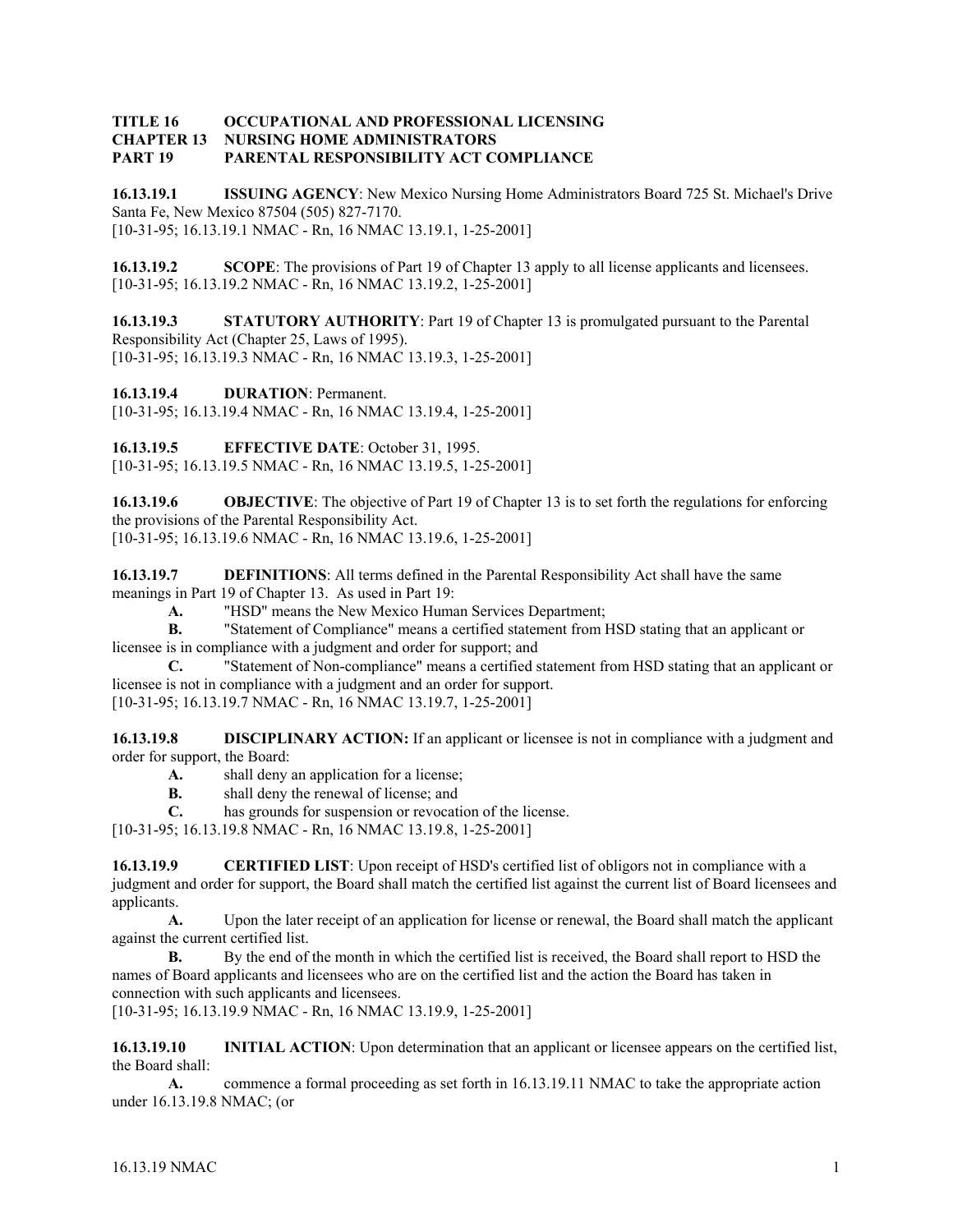#### **TITLE 16 OCCUPATIONAL AND PROFESSIONAL LICENSING CHAPTER 13 NURSING HOME ADMINISTRATORS PART 19 PARENTAL RESPONSIBILITY ACT COMPLIANCE**

**16.13.19.1 ISSUING AGENCY**: New Mexico Nursing Home Administrators Board 725 St. Michael's Drive Santa Fe, New Mexico 87504 (505) 827-7170. [10-31-95; 16.13.19.1 NMAC - Rn, 16 NMAC 13.19.1, 1-25-2001]

**16.13.19.2 SCOPE**: The provisions of Part 19 of Chapter 13 apply to all license applicants and licensees. [10-31-95; 16.13.19.2 NMAC - Rn, 16 NMAC 13.19.2, 1-25-2001]

**16.13.19.3 STATUTORY AUTHORITY**: Part 19 of Chapter 13 is promulgated pursuant to the Parental Responsibility Act (Chapter 25, Laws of 1995). [10-31-95; 16.13.19.3 NMAC - Rn, 16 NMAC 13.19.3, 1-25-2001]

**16.13.19.4 DURATION**: Permanent.

[10-31-95; 16.13.19.4 NMAC - Rn, 16 NMAC 13.19.4, 1-25-2001]

**16.13.19.5 EFFECTIVE DATE**: October 31, 1995.

[10-31-95; 16.13.19.5 NMAC - Rn, 16 NMAC 13.19.5, 1-25-2001]

**16.13.19.6 OBJECTIVE**: The objective of Part 19 of Chapter 13 is to set forth the regulations for enforcing the provisions of the Parental Responsibility Act.

[10-31-95; 16.13.19.6 NMAC - Rn, 16 NMAC 13.19.6, 1-25-2001]

**16.13.19.7 DEFINITIONS**: All terms defined in the Parental Responsibility Act shall have the same meanings in Part 19 of Chapter 13. As used in Part 19:

 **A.** "HSD" means the New Mexico Human Services Department;

**B.** "Statement of Compliance" means a certified statement from HSD stating that an applicant or licensee is in compliance with a judgment and order for support; and

 **C.** "Statement of Non-compliance" means a certified statement from HSD stating that an applicant or licensee is not in compliance with a judgment and an order for support.

[10-31-95; 16.13.19.7 NMAC - Rn, 16 NMAC 13.19.7, 1-25-2001]

**16.13.19.8 DISCIPLINARY ACTION:** If an applicant or licensee is not in compliance with a judgment and order for support, the Board:

- **A.** shall deny an application for a license;
- **B.** shall deny the renewal of license; and
- **C.** has grounds for suspension or revocation of the license.

[10-31-95; 16.13.19.8 NMAC - Rn, 16 NMAC 13.19.8, 1-25-2001]

**16.13.19.9 CERTIFIED LIST**: Upon receipt of HSD's certified list of obligors not in compliance with a judgment and order for support, the Board shall match the certified list against the current list of Board licensees and applicants.

**A.** Upon the later receipt of an application for license or renewal, the Board shall match the applicant against the current certified list.

**B.** By the end of the month in which the certified list is received, the Board shall report to HSD the names of Board applicants and licensees who are on the certified list and the action the Board has taken in connection with such applicants and licensees.

[10-31-95; 16.13.19.9 NMAC - Rn, 16 NMAC 13.19.9, 1-25-2001]

**16.13.19.10 INITIAL ACTION**: Upon determination that an applicant or licensee appears on the certified list, the Board shall:

**A.** commence a formal proceeding as set forth in 16.13.19.11 NMAC to take the appropriate action under 16.13.19.8 NMAC; (or